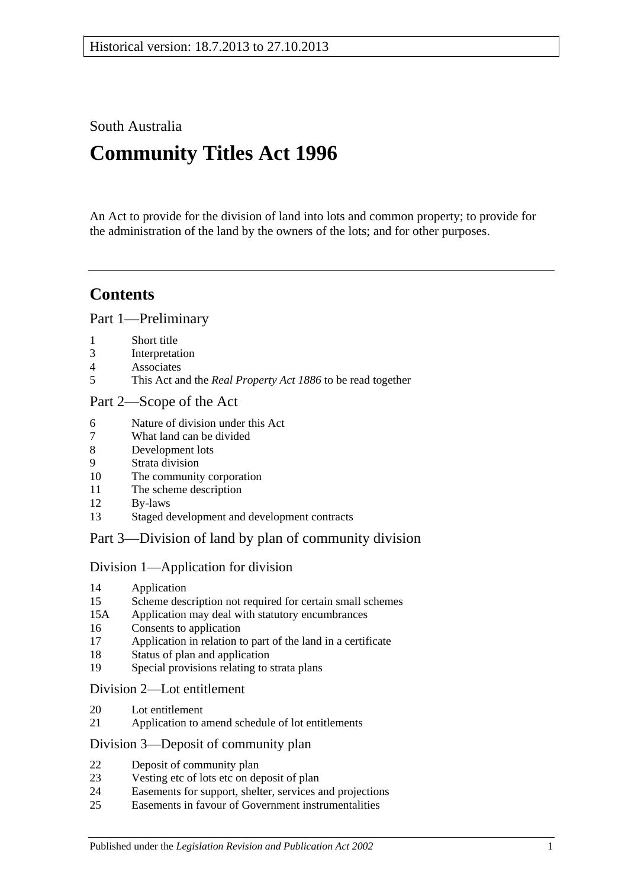South Australia

# **Community Titles Act 1996**

An Act to provide for the division of land into lots and common property; to provide for the administration of the land by the owners of the lots; and for other purposes.

# **Contents**

[Part 1—Preliminary](#page-6-0)

- [Short title](#page-6-1)
- [Interpretation](#page-6-2)
- [Associates](#page-12-0)
- This Act and the *Real Property Act 1886* [to be read together](#page-13-0)

### [Part 2—Scope of the Act](#page-14-0)

- [Nature of division under this Act](#page-14-1)
- [What land can be divided](#page-14-2)
- [Development lots](#page-14-3)
- [Strata division](#page-14-4)
- [The community corporation](#page-15-0)
- [The scheme description](#page-15-1)
- [By-laws](#page-15-2)
- [Staged development and development contracts](#page-15-3)

## [Part 3—Division of land by plan of community division](#page-18-0)

## [Division 1—Application for division](#page-18-1)

- [Application](#page-18-2)
- [Scheme description not required for certain small schemes](#page-20-0)
- 15A [Application may deal with statutory encumbrances](#page-20-1)
- [Consents to application](#page-20-2)
- [Application in relation to part of the land in a certificate](#page-21-0)
- [Status of plan and application](#page-21-1)
- [Special provisions relating to strata plans](#page-21-2)

### [Division 2—Lot entitlement](#page-22-0)

- [Lot entitlement](#page-22-1)
- [Application to amend schedule of lot entitlements](#page-22-2)

#### [Division 3—Deposit of community plan](#page-24-0)

- [Deposit of community plan](#page-24-1)
- [Vesting etc of lots etc on deposit of plan](#page-25-0)
- [Easements for support, shelter, services and projections](#page-26-0)
- [Easements in favour of Government instrumentalities](#page-27-0)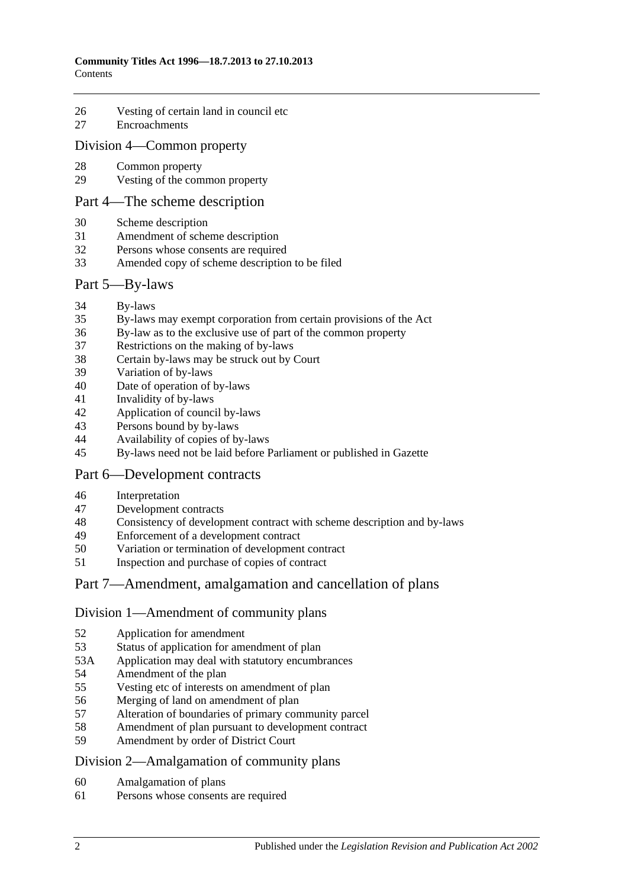- [Vesting of certain land in council etc](#page-27-1)
- [Encroachments](#page-28-0)

#### [Division 4—Common property](#page-29-0)

- [Common property](#page-29-1)
- [Vesting of the common property](#page-29-2)

#### [Part 4—The scheme description](#page-32-0)

- [Scheme description](#page-32-1)
- [Amendment of scheme description](#page-33-0)
- Persons whose [consents are required](#page-34-0)
- [Amended copy of scheme description to be filed](#page-35-0)

#### [Part 5—By-laws](#page-36-0)

- [By-laws](#page-36-1)
- [By-laws may exempt corporation from certain provisions of the Act](#page-37-0)
- [By-law as to the exclusive use of part of the common property](#page-37-1)
- [Restrictions on the making of by-laws](#page-38-0)
- [Certain by-laws may be struck out by Court](#page-38-1)
- [Variation of by-laws](#page-38-2)
- [Date of operation of by-laws](#page-39-0)
- [Invalidity of by-laws](#page-39-1)
- [Application of council by-laws](#page-40-0)
- [Persons bound by by-laws](#page-40-1)
- [Availability of copies of by-laws](#page-40-2)
- [By-laws need not be laid before Parliament or published in Gazette](#page-41-0)

## [Part 6—Development contracts](#page-42-0)

- [Interpretation](#page-42-1)
- [Development contracts](#page-42-2)
- [Consistency of development contract with scheme description and by-laws](#page-43-0)
- [Enforcement of a development contract](#page-44-0)
- [Variation or termination of development contract](#page-45-0)
- [Inspection and purchase of copies of contract](#page-46-0)

## [Part 7—Amendment, amalgamation and cancellation of plans](#page-48-0)

#### [Division 1—Amendment of community plans](#page-48-1)

- [Application for amendment](#page-48-2)
- [Status of application for amendment of plan](#page-50-0)
- 53A [Application may deal with statutory encumbrances](#page-50-1)
- [Amendment of the plan](#page-51-0)
- [Vesting etc of interests on amendment of plan](#page-51-1)
- [Merging of land on amendment of plan](#page-52-0)
- [Alteration of boundaries of primary community parcel](#page-52-1)
- [Amendment of plan pursuant to development contract](#page-53-0)
- [Amendment by order of District Court](#page-54-0)

#### [Division 2—Amalgamation of community plans](#page-55-0)

- [Amalgamation of plans](#page-55-1)
- [Persons whose consents are required](#page-56-0)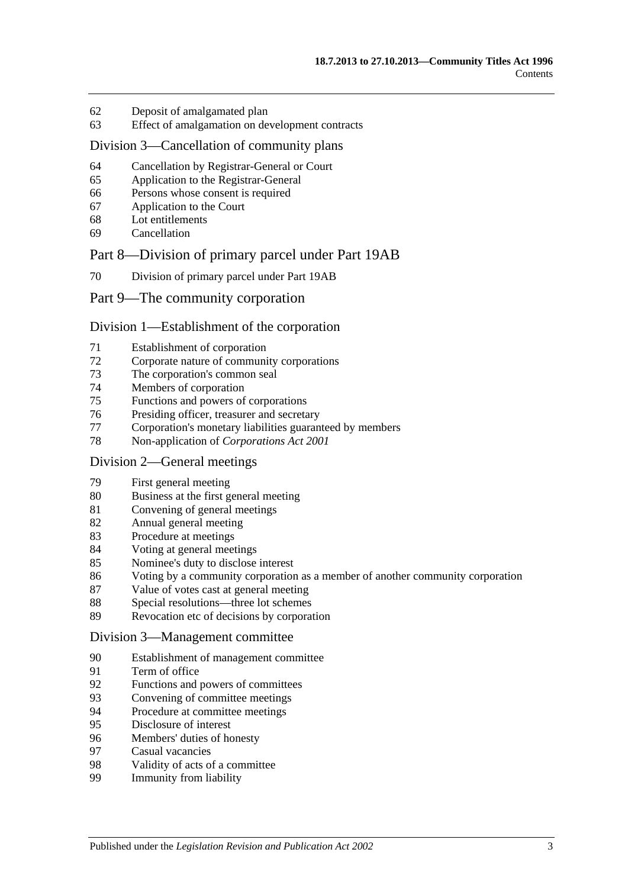- [Deposit of amalgamated plan](#page-57-0)
- [Effect of amalgamation on development contracts](#page-58-0)

#### [Division 3—Cancellation of community plans](#page-59-0)

- [Cancellation by Registrar-General or Court](#page-59-1)
- [Application to the Registrar-General](#page-59-2)
- [Persons whose consent is required](#page-59-3)
- [Application to the Court](#page-60-0)
- [Lot entitlements](#page-61-0)
- [Cancellation](#page-61-1)

#### [Part 8—Division of primary parcel under Part 19AB](#page-64-0)

[Division of primary parcel under Part 19AB](#page-64-1)

#### [Part 9—The community corporation](#page-66-0)

#### [Division 1—Establishment of the corporation](#page-66-1)

- [Establishment of corporation](#page-66-2)
- [Corporate nature of community corporations](#page-66-3)
- [The corporation's common seal](#page-66-4)
- [Members of corporation](#page-66-5)
- Functions [and powers of corporations](#page-67-0)
- [Presiding officer, treasurer and secretary](#page-67-1)
- [Corporation's monetary liabilities guaranteed by members](#page-69-0)
- [Non-application of](#page-69-1) *Corporations Act 2001*

#### [Division 2—General meetings](#page-69-2)

- [First general meeting](#page-69-3)
- [Business at the first general meeting](#page-69-4)
- [Convening of general meetings](#page-70-0)
- [Annual general meeting](#page-71-0)
- [Procedure at meetings](#page-71-1)
- [Voting at general meetings](#page-72-0)
- [Nominee's duty to disclose interest](#page-73-0)
- [Voting by a community corporation as a member of another community corporation](#page-73-1)
- [Value of votes cast at general meeting](#page-74-0)
- [Special resolutions—three lot schemes](#page-74-1)
- [Revocation etc of decisions by corporation](#page-75-0)

#### [Division 3—Management committee](#page-75-1)

- [Establishment of management committee](#page-75-2)
- [Term of office](#page-75-3)
- Functions [and powers of committees](#page-76-0)
- [Convening of committee meetings](#page-76-1)
- [Procedure at committee meetings](#page-76-2)
- [Disclosure of interest](#page-77-0)
- [Members' duties of honesty](#page-77-1)
- [Casual vacancies](#page-78-0)
- [Validity of acts of a committee](#page-78-1)
- [Immunity from](#page-78-2) liability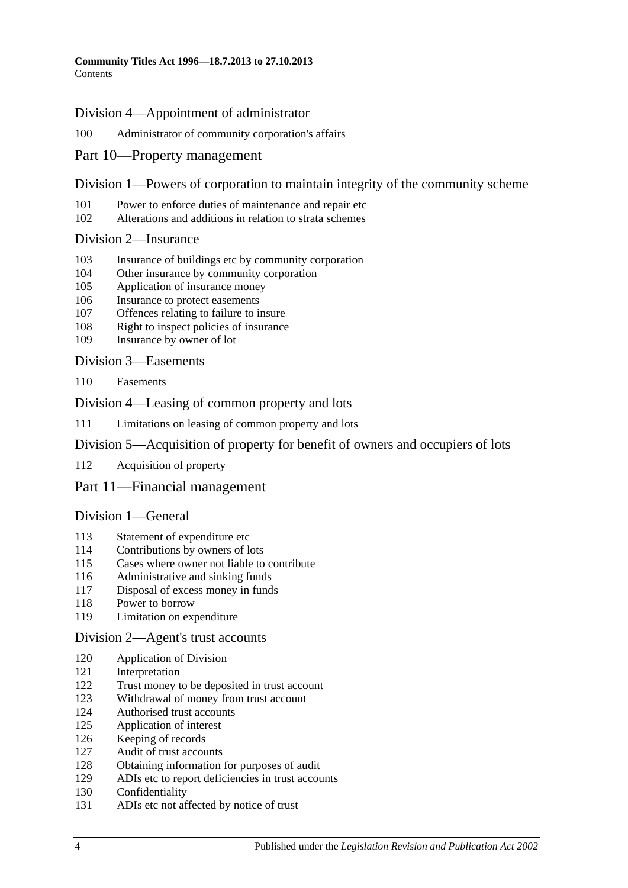#### [Division 4—Appointment of administrator](#page-78-3)

#### [Administrator of community corporation's affairs](#page-78-4)

[Part 10—Property management](#page-80-0)

### [Division 1—Powers of corporation to maintain integrity of the community scheme](#page-80-1)

- [Power to enforce duties of maintenance and repair etc](#page-80-2)
- [Alterations and additions in relation to strata schemes](#page-81-0)

#### [Division 2—Insurance](#page-81-1)

- [Insurance of buildings etc by community corporation](#page-81-2)
- [Other insurance by community corporation](#page-82-0)
- [Application of insurance money](#page-82-1)
- [Insurance to protect easements](#page-82-2)
- [Offences relating to failure to insure](#page-82-3)
- [Right to inspect policies of insurance](#page-83-0)
- [Insurance by owner of lot](#page-83-1)

[Division 3—Easements](#page-84-0)

[Easements](#page-84-1)

#### [Division 4—Leasing of common property and lots](#page-85-0)

[Limitations on leasing of common property and lots](#page-85-1)

## [Division 5—Acquisition of property for benefit of owners and occupiers of lots](#page-85-2)

[Acquisition of property](#page-85-3)

## [Part 11—Financial management](#page-86-0)

#### [Division 1—General](#page-86-1)

- [Statement of expenditure etc](#page-86-2)
- [Contributions by owners of lots](#page-86-3)
- [Cases where owner not liable to contribute](#page-87-0)
- [Administrative and sinking funds](#page-87-1)
- [Disposal of excess money in funds](#page-88-0)
- [Power to borrow](#page-88-1)
- [Limitation on expenditure](#page-88-2)

#### [Division 2—Agent's trust accounts](#page-88-3)

- [Application of Division](#page-88-4)
- [Interpretation](#page-89-0)
- [Trust money to be deposited in trust account](#page-89-1)
- [Withdrawal of money from trust account](#page-89-2)
- [Authorised trust accounts](#page-89-3)
- [Application of interest](#page-89-4)
- [Keeping of records](#page-90-0)
- [Audit of trust accounts](#page-90-1)
- [Obtaining information for purposes of audit](#page-91-0)
- [ADIs etc to report deficiencies in trust accounts](#page-91-1)<br>130 Confidentiality
- [Confidentiality](#page-91-2)
- [ADIs etc not affected by notice of trust](#page-91-3)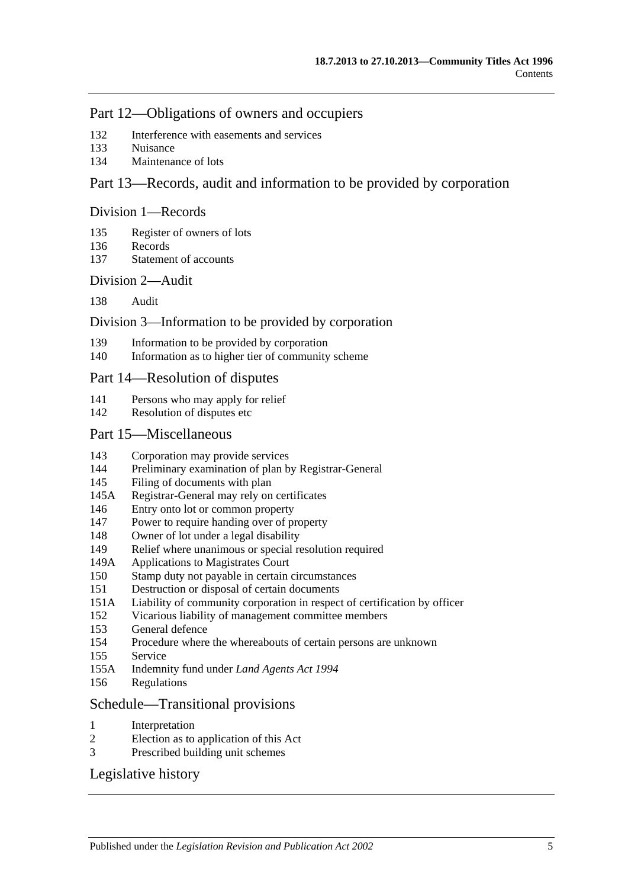## [Part 12—Obligations of owners and occupiers](#page-94-0)

- [Interference with easements and services](#page-94-1)
- [Nuisance](#page-94-2)
- [Maintenance of lots](#page-94-3)

## [Part 13—Records, audit and information to be provided by corporation](#page-96-0)

#### [Division 1—Records](#page-96-1)

- [Register of owners of lots](#page-96-2)
- [Records](#page-96-3)
- [Statement of accounts](#page-96-4)

#### [Division 2—Audit](#page-96-5)

[Audit](#page-96-6)

### [Division 3—Information to be provided by corporation](#page-97-0)

- [Information to be provided by corporation](#page-97-1)
- [Information as to higher tier of community scheme](#page-98-0)

### [Part 14—Resolution of disputes](#page-100-0)

- [Persons who may apply for relief](#page-100-1)
- [Resolution of disputes etc](#page-100-2)

### [Part 15—Miscellaneous](#page-104-0)

- [Corporation may provide services](#page-104-1)
- [Preliminary examination of plan by Registrar-General](#page-104-2)
- [Filing of documents with plan](#page-104-3)
- 145A [Registrar-General may rely on certificates](#page-104-4)
- [Entry onto lot or common property](#page-104-5)
- [Power to require handing over of property](#page-105-0)
- [Owner of lot under a legal disability](#page-105-1)
- [Relief where unanimous or special resolution required](#page-106-0)
- 149A [Applications to Magistrates Court](#page-106-1)
- [Stamp duty not payable in certain circumstances](#page-106-2)
- [Destruction or disposal of certain documents](#page-107-0)
- 151A [Liability of community corporation in respect of certification by officer](#page-107-1)
- [Vicarious liability of management committee members](#page-107-2)
- [General defence](#page-107-3)
- [Procedure where the whereabouts of certain persons are unknown](#page-107-4)
- [Service](#page-108-0)
- 155A [Indemnity fund under](#page-109-0) *Land Agents Act 1994*
- [Regulations](#page-109-1)

#### [Schedule—Transitional provisions](#page-110-0)

- [Interpretation](#page-110-1)
- [Election as to application of this Act](#page-110-2)
- [Prescribed building unit schemes](#page-111-0)

## [Legislative history](#page-114-0)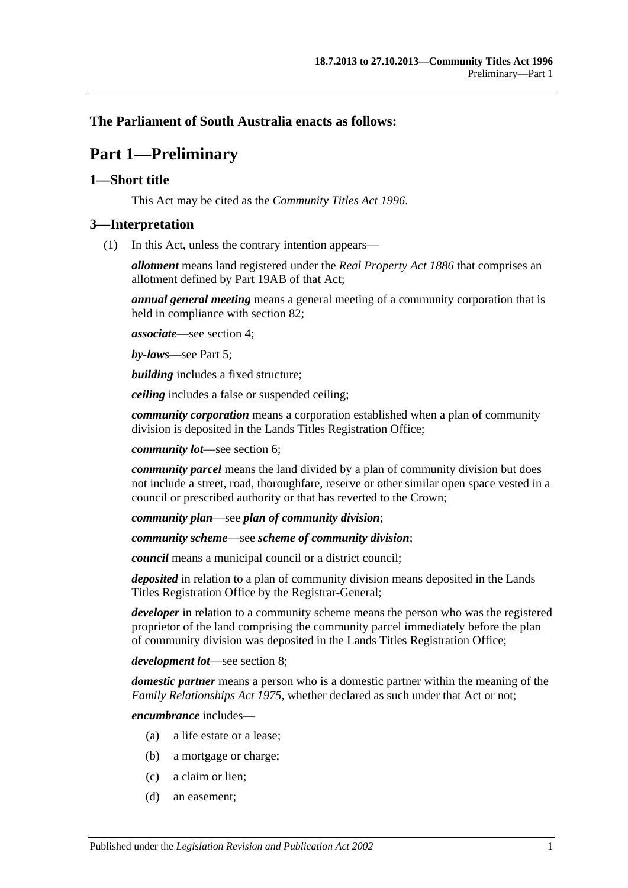## <span id="page-6-0"></span>**The Parliament of South Australia enacts as follows:**

# **Part 1—Preliminary**

## <span id="page-6-1"></span>**1—Short title**

This Act may be cited as the *Community Titles Act 1996*.

### <span id="page-6-2"></span>**3—Interpretation**

(1) In this Act, unless the contrary intention appears—

*allotment* means land registered under the *[Real Property Act](http://www.legislation.sa.gov.au/index.aspx?action=legref&type=act&legtitle=Real%20Property%20Act%201886) 1886* that comprises an allotment defined by Part 19AB of that Act;

*annual general meeting* means a general meeting of a community corporation that is held in compliance with [section](#page-71-0) 82;

*associate*—see [section](#page-12-0) 4;

*by-laws*—see [Part 5;](#page-36-0)

*building* includes a fixed structure;

*ceiling* includes a false or suspended ceiling;

*community corporation* means a corporation established when a plan of community division is deposited in the Lands Titles Registration Office;

*community lot*—see [section](#page-14-1) 6;

*community parcel* means the land divided by a plan of community division but does not include a street, road, thoroughfare, reserve or other similar open space vested in a council or prescribed authority or that has reverted to the Crown;

*community plan*—see *plan of community division*;

*community scheme*—see *scheme of community division*;

*council* means a municipal council or a district council;

*deposited* in relation to a plan of community division means deposited in the Lands Titles Registration Office by the Registrar-General;

*developer* in relation to a community scheme means the person who was the registered proprietor of the land comprising the community parcel immediately before the plan of community division was deposited in the Lands Titles Registration Office;

*development lot*—see [section](#page-14-3) 8;

*domestic partner* means a person who is a domestic partner within the meaning of the *[Family Relationships Act](http://www.legislation.sa.gov.au/index.aspx?action=legref&type=act&legtitle=Family%20Relationships%20Act%201975) 1975*, whether declared as such under that Act or not;

*encumbrance* includes—

- (a) a life estate or a lease;
- (b) a mortgage or charge;
- (c) a claim or lien;
- (d) an easement;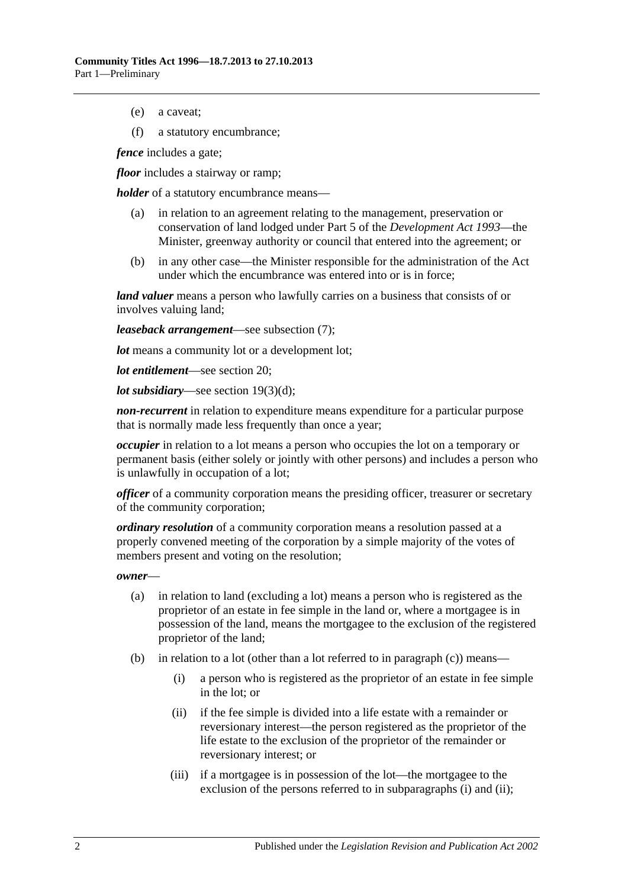(e) a caveat;

(f) a statutory encumbrance;

*fence* includes a gate;

*floor* includes a stairway or ramp;

*holder* of a statutory encumbrance means—

- (a) in relation to an agreement relating to the management, preservation or conservation of land lodged under Part 5 of the *[Development Act](http://www.legislation.sa.gov.au/index.aspx?action=legref&type=act&legtitle=Development%20Act%201993) 1993*—the Minister, greenway authority or council that entered into the agreement; or
- (b) in any other case—the Minister responsible for the administration of the Act under which the encumbrance was entered into or is in force;

*land valuer* means a person who lawfully carries on a business that consists of or involves valuing land;

*leaseback arrangement*—see [subsection](#page-11-0) (7);

*lot* means a community lot or a development lot;

*lot entitlement*—see [section](#page-22-1) 20;

*lot subsidiary*—see section [19\(3\)\(d\);](#page-22-3)

*non-recurrent* in relation to expenditure means expenditure for a particular purpose that is normally made less frequently than once a year;

*occupier* in relation to a lot means a person who occupies the lot on a temporary or permanent basis (either solely or jointly with other persons) and includes a person who is unlawfully in occupation of a lot;

*officer* of a community corporation means the presiding officer, treasurer or secretary of the community corporation;

*ordinary resolution* of a community corporation means a resolution passed at a properly convened meeting of the corporation by a simple majority of the votes of members present and voting on the resolution;

*owner*—

- (a) in relation to land (excluding a lot) means a person who is registered as the proprietor of an estate in fee simple in the land or, where a mortgagee is in possession of the land, means the mortgagee to the exclusion of the registered proprietor of the land;
- <span id="page-7-1"></span><span id="page-7-0"></span>(b) in relation to a lot (other than a lot referred to in [paragraph](#page-8-0) (c)) means—
	- (i) a person who is registered as the proprietor of an estate in fee simple in the lot; or
	- (ii) if the fee simple is divided into a life estate with a remainder or reversionary interest—the person registered as the proprietor of the life estate to the exclusion of the proprietor of the remainder or reversionary interest; or
	- (iii) if a mortgagee is in possession of the lot—the mortgagee to the exclusion of the persons referred to in [subparagraphs](#page-7-0) (i) and [\(ii\);](#page-7-1)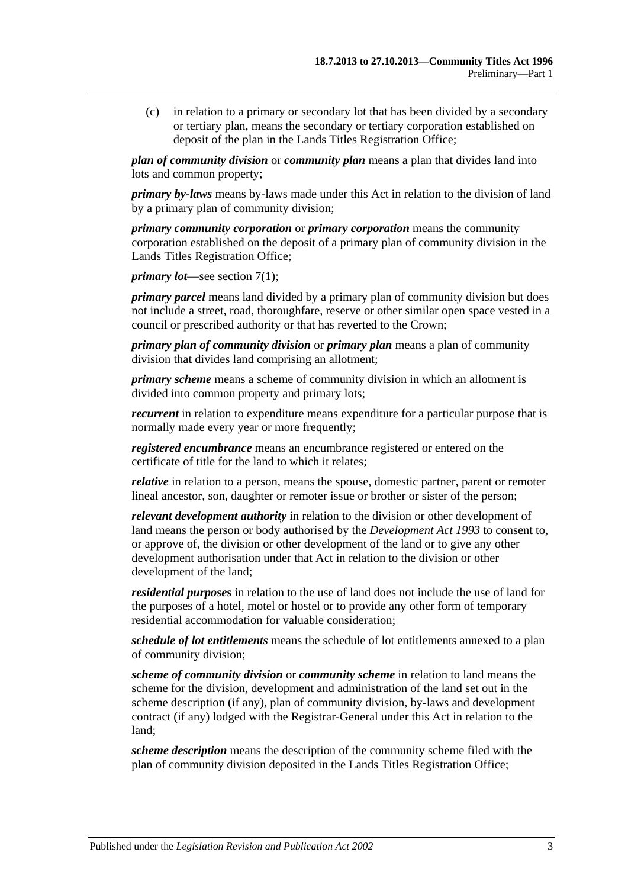<span id="page-8-0"></span>(c) in relation to a primary or secondary lot that has been divided by a secondary or tertiary plan, means the secondary or tertiary corporation established on deposit of the plan in the Lands Titles Registration Office;

*plan of community division* or *community plan* means a plan that divides land into lots and common property;

*primary by-laws* means by-laws made under this Act in relation to the division of land by a primary plan of community division;

*primary community corporation* or *primary corporation* means the community corporation established on the deposit of a primary plan of community division in the Lands Titles Registration Office;

*primary lot*—see [section](#page-14-5) 7(1);

*primary parcel* means land divided by a primary plan of community division but does not include a street, road, thoroughfare, reserve or other similar open space vested in a council or prescribed authority or that has reverted to the Crown;

*primary plan of community division* or *primary plan* means a plan of community division that divides land comprising an allotment;

*primary scheme* means a scheme of community division in which an allotment is divided into common property and primary lots;

*recurrent* in relation to expenditure means expenditure for a particular purpose that is normally made every year or more frequently;

*registered encumbrance* means an encumbrance registered or entered on the certificate of title for the land to which it relates;

*relative* in relation to a person, means the spouse, domestic partner, parent or remoter lineal ancestor, son, daughter or remoter issue or brother or sister of the person;

*relevant development authority* in relation to the division or other development of land means the person or body authorised by the *[Development Act](http://www.legislation.sa.gov.au/index.aspx?action=legref&type=act&legtitle=Development%20Act%201993) 1993* to consent to, or approve of, the division or other development of the land or to give any other development authorisation under that Act in relation to the division or other development of the land;

*residential purposes* in relation to the use of land does not include the use of land for the purposes of a hotel, motel or hostel or to provide any other form of temporary residential accommodation for valuable consideration;

*schedule of lot entitlements* means the schedule of lot entitlements annexed to a plan of community division;

*scheme of community division* or *community scheme* in relation to land means the scheme for the division, development and administration of the land set out in the scheme description (if any), plan of community division, by-laws and development contract (if any) lodged with the Registrar-General under this Act in relation to the land;

*scheme description* means the description of the community scheme filed with the plan of community division deposited in the Lands Titles Registration Office;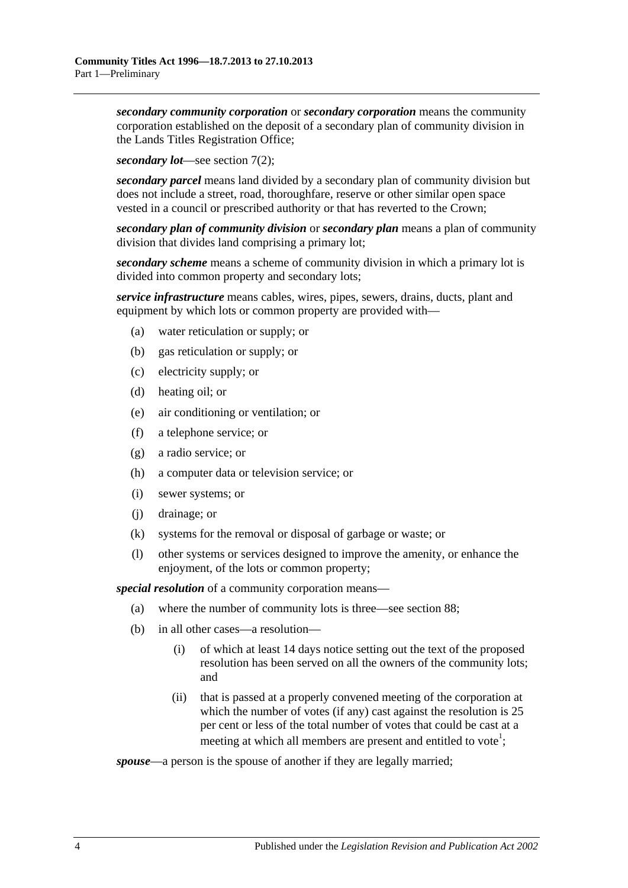*secondary community corporation* or *secondary corporation* means the community corporation established on the deposit of a secondary plan of community division in the Lands Titles Registration Office;

*secondary lot*—see [section](#page-14-6) 7(2);

*secondary parcel* means land divided by a secondary plan of community division but does not include a street, road, thoroughfare, reserve or other similar open space vested in a council or prescribed authority or that has reverted to the Crown;

*secondary plan of community division* or *secondary plan* means a plan of community division that divides land comprising a primary lot;

*secondary scheme* means a scheme of community division in which a primary lot is divided into common property and secondary lots;

*service infrastructure* means cables, wires, pipes, sewers, drains, ducts, plant and equipment by which lots or common property are provided with—

- (a) water reticulation or supply; or
- (b) gas reticulation or supply; or
- (c) electricity supply; or
- (d) heating oil; or
- (e) air conditioning or ventilation; or
- (f) a telephone service; or
- (g) a radio service; or
- (h) a computer data or television service; or
- (i) sewer systems; or
- (j) drainage; or
- (k) systems for the removal or disposal of garbage or waste; or
- (l) other systems or services designed to improve the amenity, or enhance the enjoyment, of the lots or common property;

*special resolution* of a community corporation means—

- (a) where the number of community lots is three—see [section](#page-74-1) 88;
- <span id="page-9-0"></span>(b) in all other cases—a resolution—
	- (i) of which at least 14 days notice setting out the text of the proposed resolution has been served on all the owners of the community lots; and
	- (ii) that is passed at a properly convened meeting of the corporation at which the number of votes (if any) cast against the resolution is 25 per cent or less of the total number of votes that could be cast at a meeting at which all members are present and entitled to vote<sup>1</sup>;

*spouse*—a person is the spouse of another if they are legally married;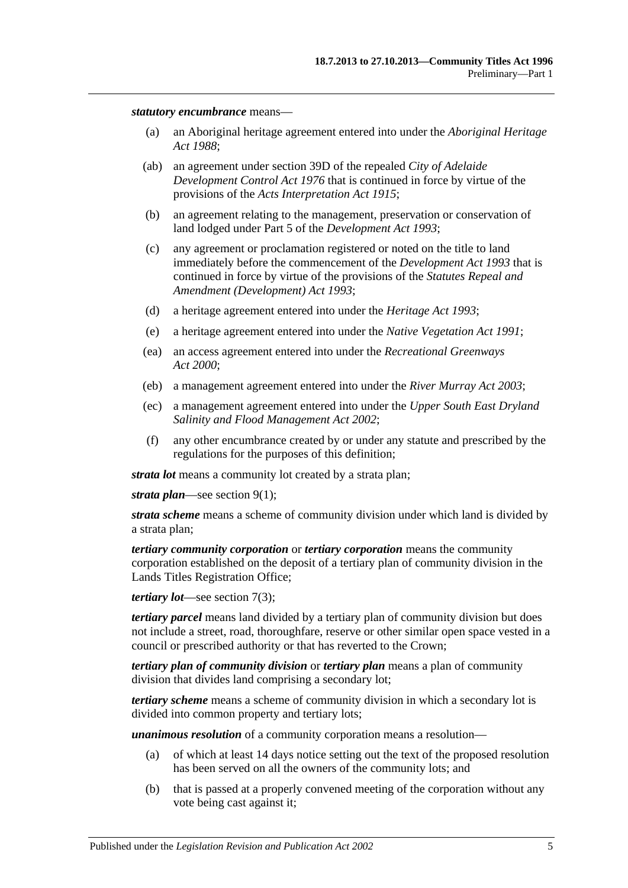#### *statutory encumbrance* means—

- (a) an Aboriginal heritage agreement entered into under the *[Aboriginal Heritage](http://www.legislation.sa.gov.au/index.aspx?action=legref&type=act&legtitle=Aboriginal%20Heritage%20Act%201988)  Act [1988](http://www.legislation.sa.gov.au/index.aspx?action=legref&type=act&legtitle=Aboriginal%20Heritage%20Act%201988)*;
- (ab) an agreement under section 39D of the repealed *[City of Adelaide](http://www.legislation.sa.gov.au/index.aspx?action=legref&type=act&legtitle=City%20of%20Adelaide%20Development%20Control%20Act%201976)  [Development Control Act](http://www.legislation.sa.gov.au/index.aspx?action=legref&type=act&legtitle=City%20of%20Adelaide%20Development%20Control%20Act%201976) 1976* that is continued in force by virtue of the provisions of the *[Acts Interpretation Act](http://www.legislation.sa.gov.au/index.aspx?action=legref&type=act&legtitle=Acts%20Interpretation%20Act%201915) 1915*;
- (b) an agreement relating to the management, preservation or conservation of land lodged under Part 5 of the *[Development Act](http://www.legislation.sa.gov.au/index.aspx?action=legref&type=act&legtitle=Development%20Act%201993) 1993*;
- (c) any agreement or proclamation registered or noted on the title to land immediately before the commencement of the *[Development Act](http://www.legislation.sa.gov.au/index.aspx?action=legref&type=act&legtitle=Development%20Act%201993) 1993* that is continued in force by virtue of the provisions of the *[Statutes Repeal and](http://www.legislation.sa.gov.au/index.aspx?action=legref&type=act&legtitle=Statutes%20Repeal%20and%20Amendment%20(Development)%20Act%201993)  [Amendment \(Development\) Act](http://www.legislation.sa.gov.au/index.aspx?action=legref&type=act&legtitle=Statutes%20Repeal%20and%20Amendment%20(Development)%20Act%201993) 1993*;
- (d) a heritage agreement entered into under the *[Heritage Act](http://www.legislation.sa.gov.au/index.aspx?action=legref&type=act&legtitle=Heritage%20Act%201993) 1993*;
- (e) a heritage agreement entered into under the *[Native Vegetation Act](http://www.legislation.sa.gov.au/index.aspx?action=legref&type=act&legtitle=Native%20Vegetation%20Act%201991) 1991*;
- (ea) an access agreement entered into under the *[Recreational Greenways](http://www.legislation.sa.gov.au/index.aspx?action=legref&type=act&legtitle=Recreational%20Greenways%20Act%202000)  Act [2000](http://www.legislation.sa.gov.au/index.aspx?action=legref&type=act&legtitle=Recreational%20Greenways%20Act%202000)*;
- (eb) a management agreement entered into under the *[River Murray Act](http://www.legislation.sa.gov.au/index.aspx?action=legref&type=act&legtitle=River%20Murray%20Act%202003) 2003*;
- (ec) a management agreement entered into under the *[Upper South East Dryland](http://www.legislation.sa.gov.au/index.aspx?action=legref&type=act&legtitle=Upper%20South%20East%20Dryland%20Salinity%20and%20Flood%20Management%20Act%202002)  [Salinity and Flood Management Act](http://www.legislation.sa.gov.au/index.aspx?action=legref&type=act&legtitle=Upper%20South%20East%20Dryland%20Salinity%20and%20Flood%20Management%20Act%202002) 2002*;
- (f) any other encumbrance created by or under any statute and prescribed by the regulations for the purposes of this definition;

*strata lot* means a community lot created by a strata plan;

*strata plan*—see [section](#page-14-7) 9(1);

*strata scheme* means a scheme of community division under which land is divided by a strata plan;

*tertiary community corporation* or *tertiary corporation* means the community corporation established on the deposit of a tertiary plan of community division in the Lands Titles Registration Office;

*tertiary lot*—see [section](#page-14-8) 7(3);

*tertiary parcel* means land divided by a tertiary plan of community division but does not include a street, road, thoroughfare, reserve or other similar open space vested in a council or prescribed authority or that has reverted to the Crown;

*tertiary plan of community division* or *tertiary plan* means a plan of community division that divides land comprising a secondary lot;

*tertiary scheme* means a scheme of community division in which a secondary lot is divided into common property and tertiary lots;

*unanimous resolution* of a community corporation means a resolution—

- (a) of which at least 14 days notice setting out the text of the proposed resolution has been served on all the owners of the community lots; and
- (b) that is passed at a properly convened meeting of the corporation without any vote being cast against it;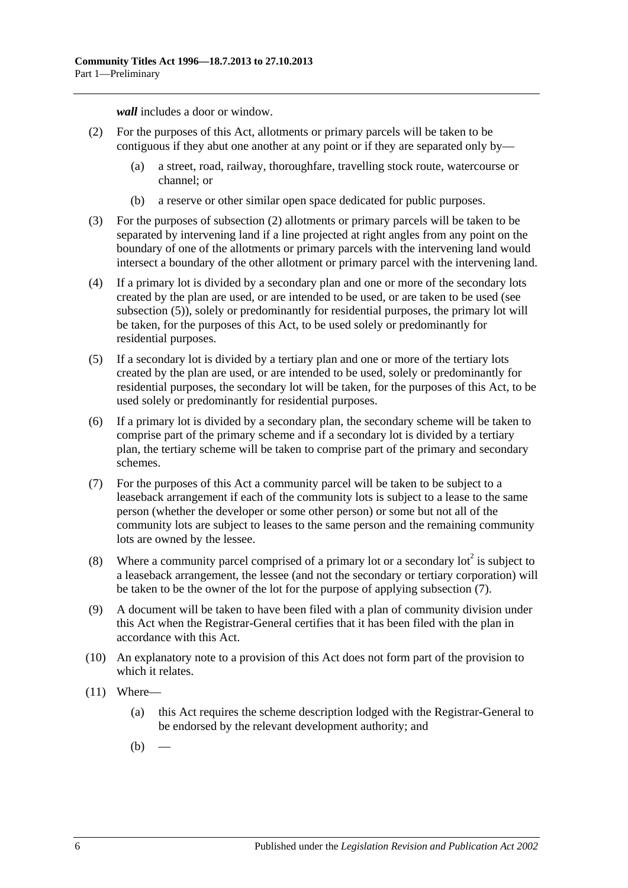*wall* includes a door or window.

- <span id="page-11-1"></span>(2) For the purposes of this Act, allotments or primary parcels will be taken to be contiguous if they abut one another at any point or if they are separated only by—
	- (a) a street, road, railway, thoroughfare, travelling stock route, watercourse or channel; or
	- (b) a reserve or other similar open space dedicated for public purposes.
- (3) For the purposes of [subsection](#page-11-1) (2) allotments or primary parcels will be taken to be separated by intervening land if a line projected at right angles from any point on the boundary of one of the allotments or primary parcels with the intervening land would intersect a boundary of the other allotment or primary parcel with the intervening land.
- (4) If a primary lot is divided by a secondary plan and one or more of the secondary lots created by the plan are used, or are intended to be used, or are taken to be used (see [subsection](#page-11-2) (5)), solely or predominantly for residential purposes, the primary lot will be taken, for the purposes of this Act, to be used solely or predominantly for residential purposes.
- <span id="page-11-2"></span>(5) If a secondary lot is divided by a tertiary plan and one or more of the tertiary lots created by the plan are used, or are intended to be used, solely or predominantly for residential purposes, the secondary lot will be taken, for the purposes of this Act, to be used solely or predominantly for residential purposes.
- (6) If a primary lot is divided by a secondary plan, the secondary scheme will be taken to comprise part of the primary scheme and if a secondary lot is divided by a tertiary plan, the tertiary scheme will be taken to comprise part of the primary and secondary schemes.
- <span id="page-11-0"></span>(7) For the purposes of this Act a community parcel will be taken to be subject to a leaseback arrangement if each of the community lots is subject to a lease to the same person (whether the developer or some other person) or some but not all of the community lots are subject to leases to the same person and the remaining community lots are owned by the lessee.
- (8) Where a community parcel comprised of a primary lot or a secondary lot  $\alpha^2$  is subject to a leaseback arrangement, the lessee (and not the secondary or tertiary corporation) will be taken to be the owner of the lot for the purpose of applying [subsection](#page-11-0) (7).
- (9) A document will be taken to have been filed with a plan of community division under this Act when the Registrar-General certifies that it has been filed with the plan in accordance with this Act.
- (10) An explanatory note to a provision of this Act does not form part of the provision to which it relates.
- (11) Where—
	- (a) this Act requires the scheme description lodged with the Registrar-General to be endorsed by the relevant development authority; and
	- $(b)$  –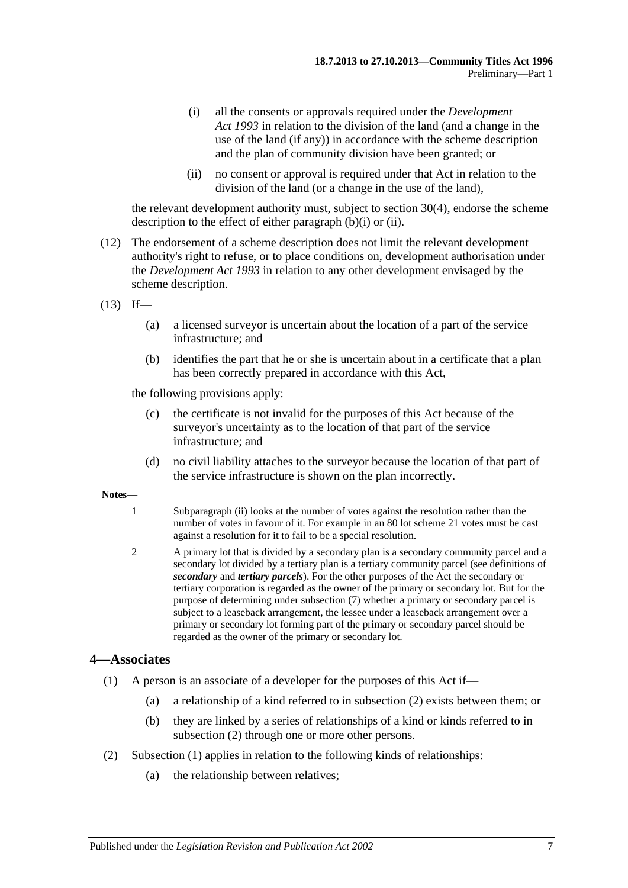- <span id="page-12-1"></span>(i) all the consents or approvals required under the *[Development](http://www.legislation.sa.gov.au/index.aspx?action=legref&type=act&legtitle=Development%20Act%201993)  Act [1993](http://www.legislation.sa.gov.au/index.aspx?action=legref&type=act&legtitle=Development%20Act%201993)* in relation to the division of the land (and a change in the use of the land (if any)) in accordance with the scheme description and the plan of community division have been granted; or
- (ii) no consent or approval is required under that Act in relation to the division of the land (or a change in the use of the land),

<span id="page-12-2"></span>the relevant development authority must, subject to [section](#page-33-1) 30(4), endorse the scheme description to the effect of either [paragraph](#page-12-1) (b)(i) or [\(ii\).](#page-12-2)

- (12) The endorsement of a scheme description does not limit the relevant development authority's right to refuse, or to place conditions on, development authorisation under the *[Development Act](http://www.legislation.sa.gov.au/index.aspx?action=legref&type=act&legtitle=Development%20Act%201993) 1993* in relation to any other development envisaged by the scheme description.
- $(13)$  If—
	- (a) a licensed surveyor is uncertain about the location of a part of the service infrastructure; and
	- (b) identifies the part that he or she is uncertain about in a certificate that a plan has been correctly prepared in accordance with this Act,

the following provisions apply:

- (c) the certificate is not invalid for the purposes of this Act because of the surveyor's uncertainty as to the location of that part of the service infrastructure; and
- (d) no civil liability attaches to the surveyor because the location of that part of the service infrastructure is shown on the plan incorrectly.

#### **Notes—**

- 1 [Subparagraph](#page-9-0) (ii) looks at the number of votes against the resolution rather than the number of votes in favour of it. For example in an 80 lot scheme 21 votes must be cast against a resolution for it to fail to be a special resolution.
- 2 A primary lot that is divided by a secondary plan is a secondary community parcel and a secondary lot divided by a tertiary plan is a tertiary community parcel (see definitions of *secondary* and *tertiary parcels*). For the other purposes of the Act the secondary or tertiary corporation is regarded as the owner of the primary or secondary lot. But for the purpose of determining unde[r subsection](#page-11-0) (7) whether a primary or secondary parcel is subject to a leaseback arrangement, the lessee under a leaseback arrangement over a primary or secondary lot forming part of the primary or secondary parcel should be regarded as the owner of the primary or secondary lot.

#### <span id="page-12-4"></span><span id="page-12-0"></span>**4—Associates**

- (1) A person is an associate of a developer for the purposes of this Act if—
	- (a) a relationship of a kind referred to in [subsection](#page-12-3) (2) exists between them; or
	- (b) they are linked by a series of relationships of a kind or kinds referred to in [subsection](#page-12-3) (2) through one or more other persons.
- <span id="page-12-3"></span>(2) [Subsection](#page-12-4) (1) applies in relation to the following kinds of relationships:
	- (a) the relationship between relatives;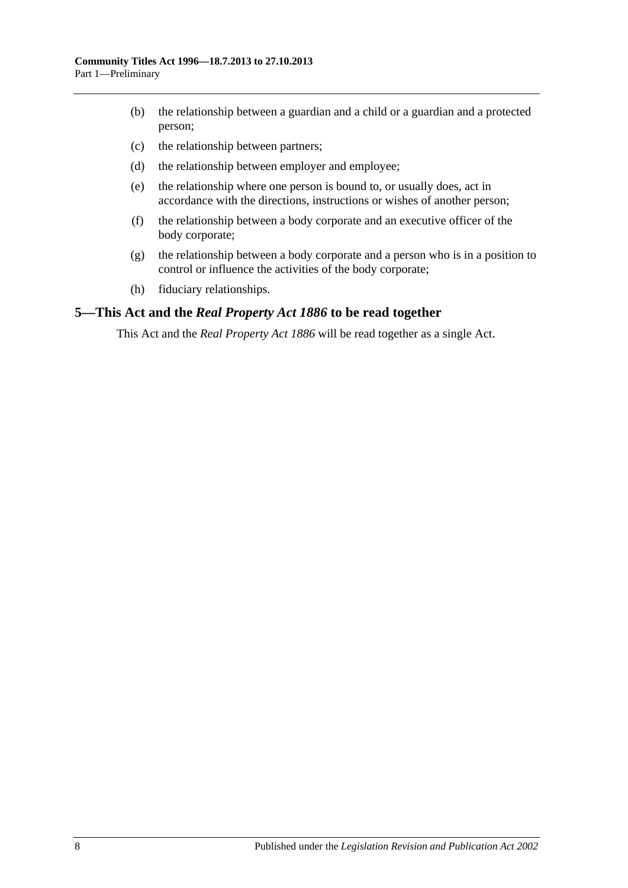- (b) the relationship between a guardian and a child or a guardian and a protected person;
- (c) the relationship between partners;
- (d) the relationship between employer and employee;
- (e) the relationship where one person is bound to, or usually does, act in accordance with the directions, instructions or wishes of another person;
- (f) the relationship between a body corporate and an executive officer of the body corporate;
- (g) the relationship between a body corporate and a person who is in a position to control or influence the activities of the body corporate;
- (h) fiduciary relationships.

#### <span id="page-13-0"></span>**5—This Act and the** *Real Property Act 1886* **to be read together**

This Act and the *[Real Property Act](http://www.legislation.sa.gov.au/index.aspx?action=legref&type=act&legtitle=Real%20Property%20Act%201886) 1886* will be read together as a single Act.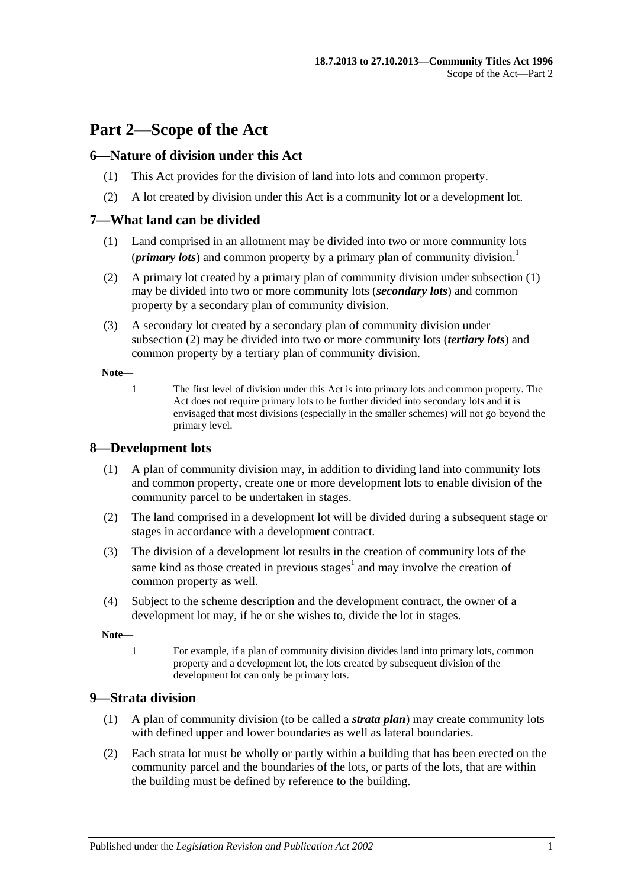# <span id="page-14-0"></span>**Part 2—Scope of the Act**

## <span id="page-14-1"></span>**6—Nature of division under this Act**

- (1) This Act provides for the division of land into lots and common property.
- (2) A lot created by division under this Act is a community lot or a development lot.

## <span id="page-14-5"></span><span id="page-14-2"></span>**7—What land can be divided**

- (1) Land comprised in an allotment may be divided into two or more community lots (*primary lots*) and common property by a primary plan of community division.<sup>1</sup>
- <span id="page-14-6"></span>(2) A primary lot created by a primary plan of community division under [subsection](#page-14-5) (1) may be divided into two or more community lots (*secondary lots*) and common property by a secondary plan of community division.
- <span id="page-14-8"></span>(3) A secondary lot created by a secondary plan of community division under [subsection](#page-14-6) (2) may be divided into two or more community lots (*tertiary lots*) and common property by a tertiary plan of community division.

**Note—**

1 The first level of division under this Act is into primary lots and common property. The Act does not require primary lots to be further divided into secondary lots and it is envisaged that most divisions (especially in the smaller schemes) will not go beyond the primary level.

## <span id="page-14-3"></span>**8—Development lots**

- (1) A plan of community division may, in addition to dividing land into community lots and common property, create one or more development lots to enable division of the community parcel to be undertaken in stages.
- (2) The land comprised in a development lot will be divided during a subsequent stage or stages in accordance with a development contract.
- (3) The division of a development lot results in the creation of community lots of the same kind as those created in previous stages<sup>1</sup> and may involve the creation of common property as well.
- (4) Subject to the scheme description and the development contract, the owner of a development lot may, if he or she wishes to, divide the lot in stages.

**Note—**

1 For example, if a plan of community division divides land into primary lots, common property and a development lot, the lots created by subsequent division of the development lot can only be primary lots.

#### <span id="page-14-7"></span><span id="page-14-4"></span>**9—Strata division**

- (1) A plan of community division (to be called a *strata plan*) may create community lots with defined upper and lower boundaries as well as lateral boundaries.
- (2) Each strata lot must be wholly or partly within a building that has been erected on the community parcel and the boundaries of the lots, or parts of the lots, that are within the building must be defined by reference to the building.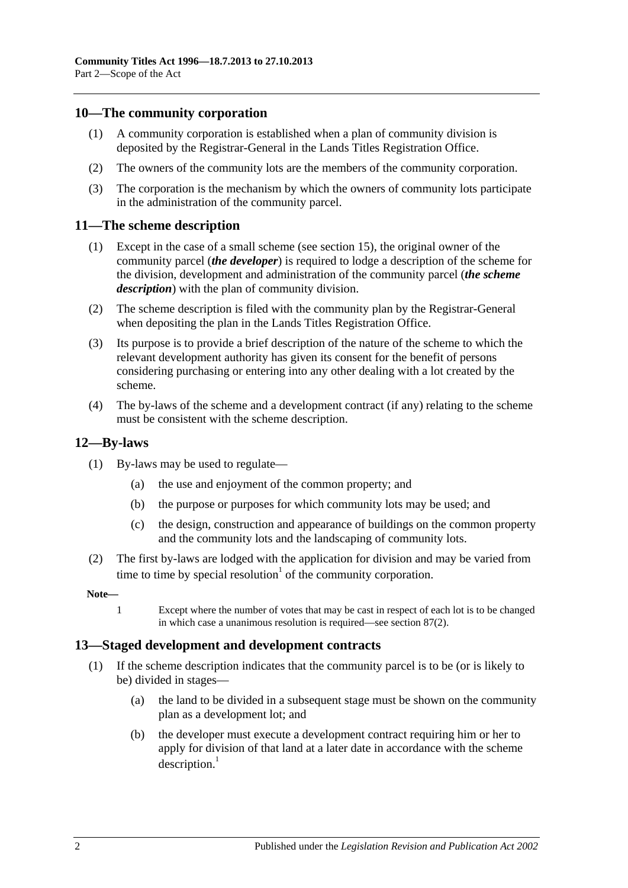## <span id="page-15-0"></span>**10—The community corporation**

- (1) A community corporation is established when a plan of community division is deposited by the Registrar-General in the Lands Titles Registration Office.
- (2) The owners of the community lots are the members of the community corporation.
- (3) The corporation is the mechanism by which the owners of community lots participate in the administration of the community parcel.

#### <span id="page-15-1"></span>**11—The scheme description**

- (1) Except in the case of a small scheme (see [section](#page-20-0) 15), the original owner of the community parcel (*the developer*) is required to lodge a description of the scheme for the division, development and administration of the community parcel (*the scheme description*) with the plan of community division.
- (2) The scheme description is filed with the community plan by the Registrar-General when depositing the plan in the Lands Titles Registration Office.
- (3) Its purpose is to provide a brief description of the nature of the scheme to which the relevant development authority has given its consent for the benefit of persons considering purchasing or entering into any other dealing with a lot created by the scheme.
- (4) The by-laws of the scheme and a development contract (if any) relating to the scheme must be consistent with the scheme description.

#### <span id="page-15-2"></span>**12—By-laws**

- (1) By-laws may be used to regulate—
	- (a) the use and enjoyment of the common property; and
	- (b) the purpose or purposes for which community lots may be used; and
	- (c) the design, construction and appearance of buildings on the common property and the community lots and the landscaping of community lots.
- (2) The first by-laws are lodged with the application for division and may be varied from time to time by special resolution<sup> $1$ </sup> of the community corporation.

#### **Note—**

1 Except where the number of votes that may be cast in respect of each lot is to be changed in which case a unanimous resolution is required—see [section](#page-74-2) 87(2).

#### <span id="page-15-3"></span>**13—Staged development and development contracts**

- (1) If the scheme description indicates that the community parcel is to be (or is likely to be) divided in stages—
	- (a) the land to be divided in a subsequent stage must be shown on the community plan as a development lot; and
	- (b) the developer must execute a development contract requiring him or her to apply for division of that land at a later date in accordance with the scheme  $description.<sup>1</sup>$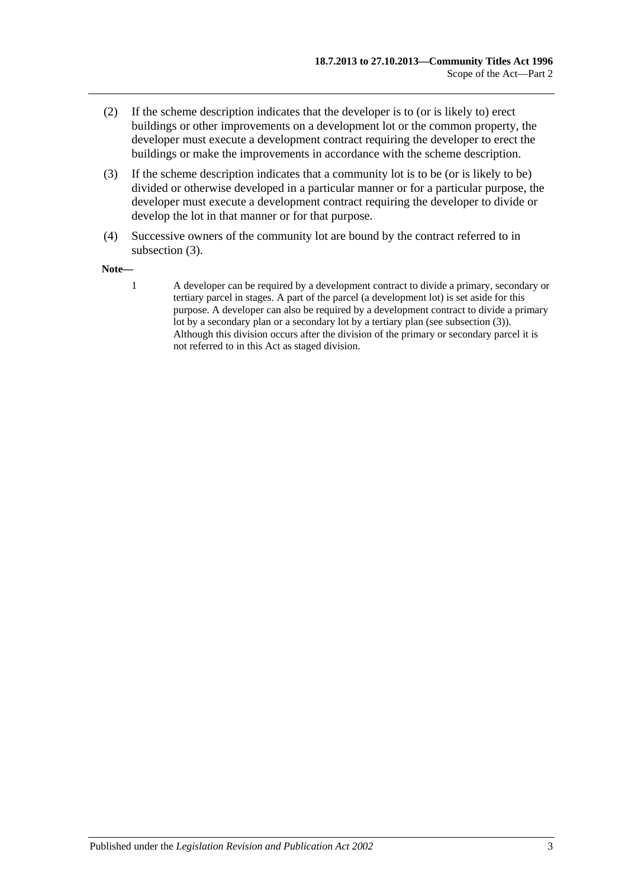- (2) If the scheme description indicates that the developer is to (or is likely to) erect buildings or other improvements on a development lot or the common property, the developer must execute a development contract requiring the developer to erect the buildings or make the improvements in accordance with the scheme description.
- <span id="page-16-0"></span>(3) If the scheme description indicates that a community lot is to be (or is likely to be) divided or otherwise developed in a particular manner or for a particular purpose, the developer must execute a development contract requiring the developer to divide or develop the lot in that manner or for that purpose.
- (4) Successive owners of the community lot are bound by the contract referred to in [subsection](#page-16-0) (3).

#### **Note—**

1 A developer can be required by a development contract to divide a primary, secondary or tertiary parcel in stages. A part of the parcel (a development lot) is set aside for this purpose. A developer can also be required by a development contract to divide a primary lot by a secondary plan or a secondary lot by a tertiary plan (se[e subsection](#page-16-0) (3)). Although this division occurs after the division of the primary or secondary parcel it is not referred to in this Act as staged division.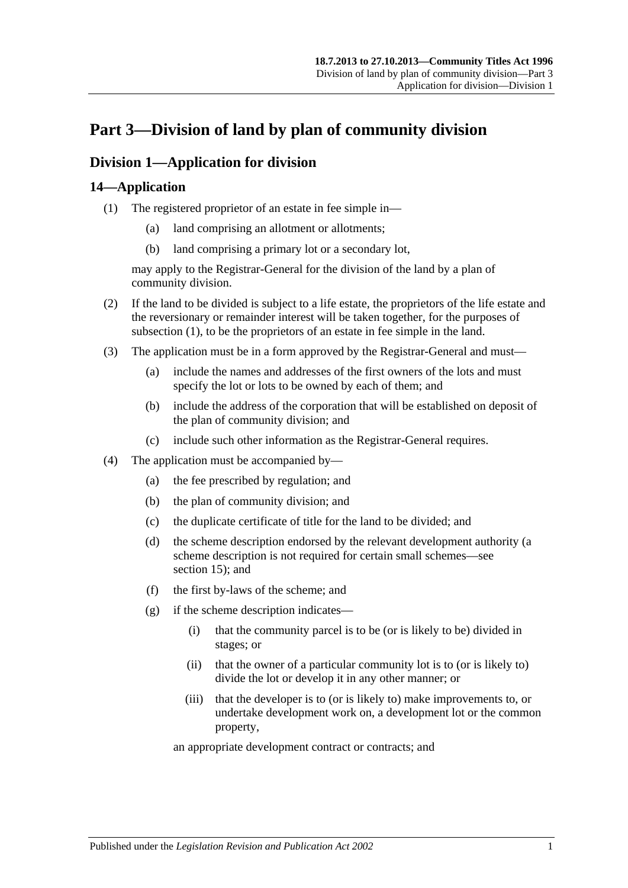# <span id="page-18-0"></span>**Part 3—Division of land by plan of community division**

# <span id="page-18-1"></span>**Division 1—Application for division**

## <span id="page-18-3"></span><span id="page-18-2"></span>**14—Application**

- (1) The registered proprietor of an estate in fee simple in—
	- (a) land comprising an allotment or allotments;
	- (b) land comprising a primary lot or a secondary lot,

may apply to the Registrar-General for the division of the land by a plan of community division.

- (2) If the land to be divided is subject to a life estate, the proprietors of the life estate and the reversionary or remainder interest will be taken together, for the purposes of [subsection](#page-18-3) (1), to be the proprietors of an estate in fee simple in the land.
- (3) The application must be in a form approved by the Registrar-General and must—
	- (a) include the names and addresses of the first owners of the lots and must specify the lot or lots to be owned by each of them; and
	- (b) include the address of the corporation that will be established on deposit of the plan of community division; and
	- (c) include such other information as the Registrar-General requires.
- (4) The application must be accompanied by—
	- (a) the fee prescribed by regulation; and
	- (b) the plan of community division; and
	- (c) the duplicate certificate of title for the land to be divided; and
	- (d) the scheme description endorsed by the relevant development authority (a scheme description is not required for certain small schemes—see [section](#page-20-0) 15); and
	- (f) the first by-laws of the scheme; and
	- (g) if the scheme description indicates—
		- (i) that the community parcel is to be (or is likely to be) divided in stages; or
		- (ii) that the owner of a particular community lot is to (or is likely to) divide the lot or develop it in any other manner; or
		- (iii) that the developer is to (or is likely to) make improvements to, or undertake development work on, a development lot or the common property,

an appropriate development contract or contracts; and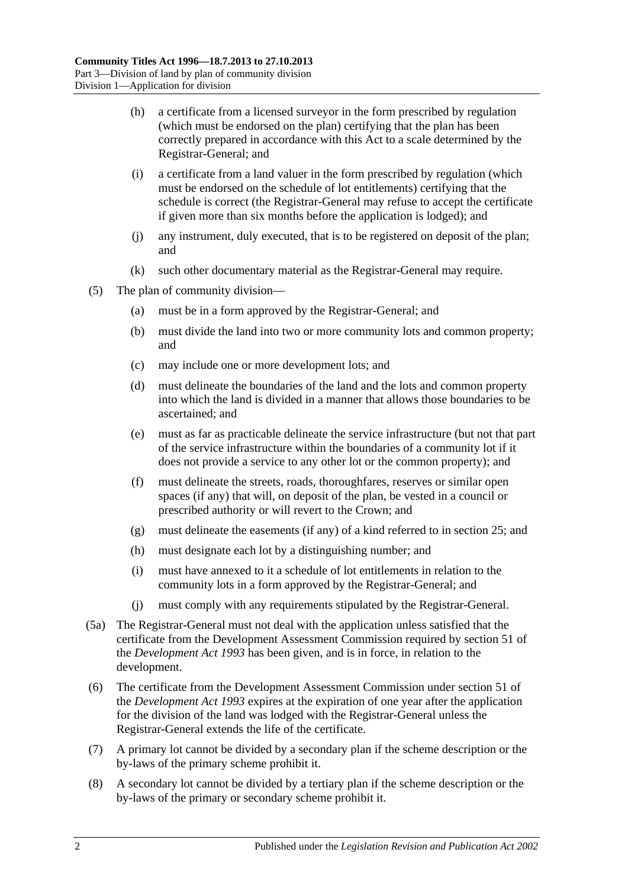- (h) a certificate from a licensed surveyor in the form prescribed by regulation (which must be endorsed on the plan) certifying that the plan has been correctly prepared in accordance with this Act to a scale determined by the Registrar-General; and
- (i) a certificate from a land valuer in the form prescribed by regulation (which must be endorsed on the schedule of lot entitlements) certifying that the schedule is correct (the Registrar-General may refuse to accept the certificate if given more than six months before the application is lodged); and
- (j) any instrument, duly executed, that is to be registered on deposit of the plan; and
- (k) such other documentary material as the Registrar-General may require.
- (5) The plan of community division—
	- (a) must be in a form approved by the Registrar-General; and
	- (b) must divide the land into two or more community lots and common property; and
	- (c) may include one or more development lots; and
	- (d) must delineate the boundaries of the land and the lots and common property into which the land is divided in a manner that allows those boundaries to be ascertained; and
	- (e) must as far as practicable delineate the service infrastructure (but not that part of the service infrastructure within the boundaries of a community lot if it does not provide a service to any other lot or the common property); and
	- (f) must delineate the streets, roads, thoroughfares, reserves or similar open spaces (if any) that will, on deposit of the plan, be vested in a council or prescribed authority or will revert to the Crown; and
	- (g) must delineate the easements (if any) of a kind referred to in [section](#page-27-0) 25; and
	- (h) must designate each lot by a distinguishing number; and
	- (i) must have annexed to it a schedule of lot entitlements in relation to the community lots in a form approved by the Registrar-General; and
	- (j) must comply with any requirements stipulated by the Registrar-General.
- (5a) The Registrar-General must not deal with the application unless satisfied that the certificate from the Development Assessment Commission required by section 51 of the *[Development Act](http://www.legislation.sa.gov.au/index.aspx?action=legref&type=act&legtitle=Development%20Act%201993) 1993* has been given, and is in force, in relation to the development.
- (6) The certificate from the Development Assessment Commission under section 51 of the *[Development Act](http://www.legislation.sa.gov.au/index.aspx?action=legref&type=act&legtitle=Development%20Act%201993) 1993* expires at the expiration of one year after the application for the division of the land was lodged with the Registrar-General unless the Registrar-General extends the life of the certificate.
- (7) A primary lot cannot be divided by a secondary plan if the scheme description or the by-laws of the primary scheme prohibit it.
- (8) A secondary lot cannot be divided by a tertiary plan if the scheme description or the by-laws of the primary or secondary scheme prohibit it.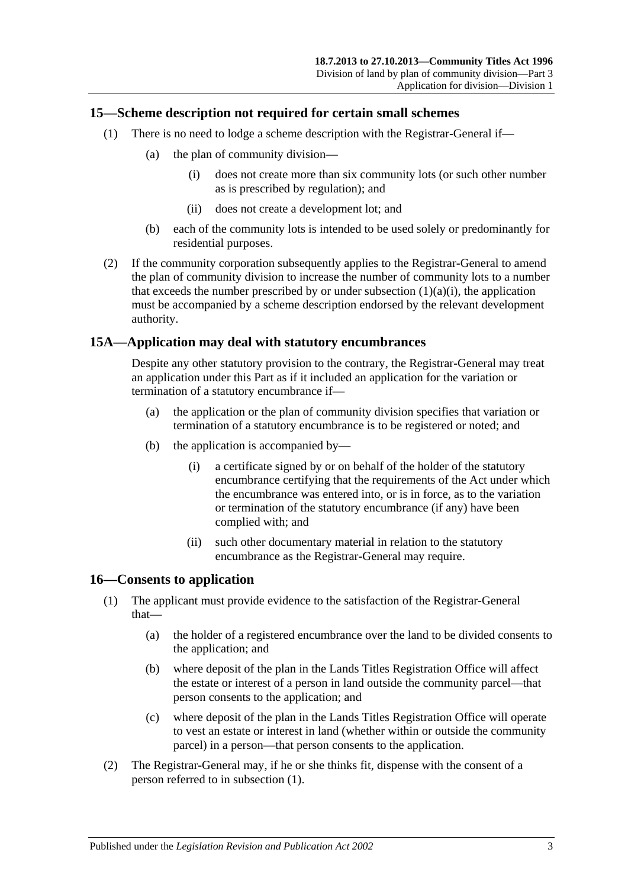## <span id="page-20-0"></span>**15—Scheme description not required for certain small schemes**

- <span id="page-20-3"></span>(1) There is no need to lodge a scheme description with the Registrar-General if—
	- (a) the plan of community division—
		- (i) does not create more than six community lots (or such other number as is prescribed by regulation); and
		- (ii) does not create a development lot; and
	- (b) each of the community lots is intended to be used solely or predominantly for residential purposes.
- (2) If the community corporation subsequently applies to the Registrar-General to amend the plan of community division to increase the number of community lots to a number that exceeds the number prescribed by or under [subsection](#page-20-3)  $(1)(a)(i)$ , the application must be accompanied by a scheme description endorsed by the relevant development authority.

## <span id="page-20-1"></span>**15A—Application may deal with statutory encumbrances**

Despite any other statutory provision to the contrary, the Registrar-General may treat an application under this Part as if it included an application for the variation or termination of a statutory encumbrance if—

- (a) the application or the plan of community division specifies that variation or termination of a statutory encumbrance is to be registered or noted; and
- (b) the application is accompanied by—
	- (i) a certificate signed by or on behalf of the holder of the statutory encumbrance certifying that the requirements of the Act under which the encumbrance was entered into, or is in force, as to the variation or termination of the statutory encumbrance (if any) have been complied with; and
	- (ii) such other documentary material in relation to the statutory encumbrance as the Registrar-General may require.

## <span id="page-20-4"></span><span id="page-20-2"></span>**16—Consents to application**

- (1) The applicant must provide evidence to the satisfaction of the Registrar-General that—
	- (a) the holder of a registered encumbrance over the land to be divided consents to the application; and
	- (b) where deposit of the plan in the Lands Titles Registration Office will affect the estate or interest of a person in land outside the community parcel—that person consents to the application; and
	- (c) where deposit of the plan in the Lands Titles Registration Office will operate to vest an estate or interest in land (whether within or outside the community parcel) in a person—that person consents to the application.
- (2) The Registrar-General may, if he or she thinks fit, dispense with the consent of a person referred to in [subsection](#page-20-4) (1).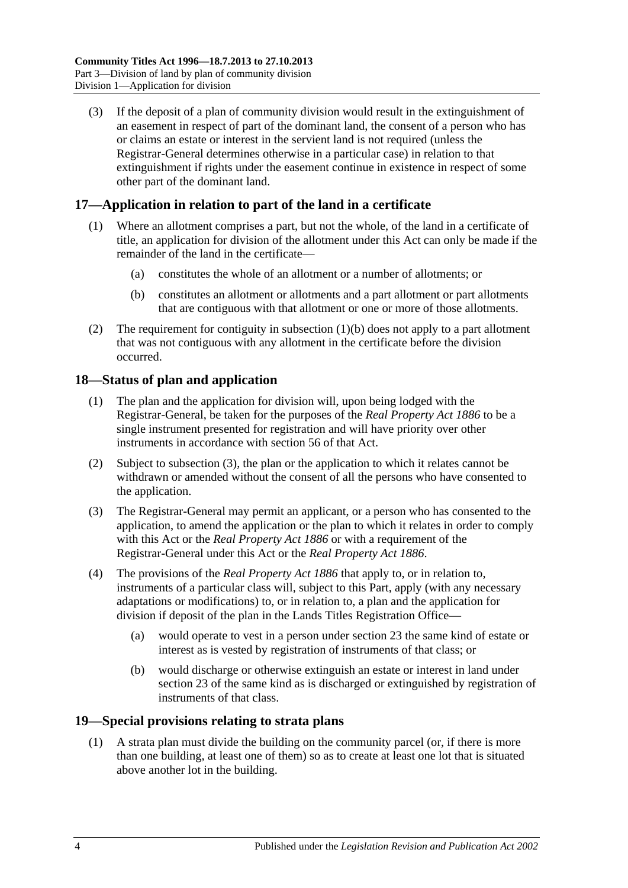(3) If the deposit of a plan of community division would result in the extinguishment of an easement in respect of part of the dominant land, the consent of a person who has or claims an estate or interest in the servient land is not required (unless the Registrar-General determines otherwise in a particular case) in relation to that extinguishment if rights under the easement continue in existence in respect of some other part of the dominant land.

## <span id="page-21-0"></span>**17—Application in relation to part of the land in a certificate**

- (1) Where an allotment comprises a part, but not the whole, of the land in a certificate of title, an application for division of the allotment under this Act can only be made if the remainder of the land in the certificate—
	- (a) constitutes the whole of an allotment or a number of allotments; or
	- (b) constitutes an allotment or allotments and a part allotment or part allotments that are contiguous with that allotment or one or more of those allotments.
- <span id="page-21-3"></span>(2) The requirement for contiguity in [subsection](#page-21-3)  $(1)(b)$  does not apply to a part allotment that was not contiguous with any allotment in the certificate before the division occurred.

## <span id="page-21-1"></span>**18—Status of plan and application**

- (1) The plan and the application for division will, upon being lodged with the Registrar-General, be taken for the purposes of the *[Real Property Act](http://www.legislation.sa.gov.au/index.aspx?action=legref&type=act&legtitle=Real%20Property%20Act%201886) 1886* to be a single instrument presented for registration and will have priority over other instruments in accordance with section 56 of that Act.
- (2) Subject to [subsection](#page-21-4) (3), the plan or the application to which it relates cannot be withdrawn or amended without the consent of all the persons who have consented to the application.
- <span id="page-21-4"></span>(3) The Registrar-General may permit an applicant, or a person who has consented to the application, to amend the application or the plan to which it relates in order to comply with this Act or the *[Real Property Act](http://www.legislation.sa.gov.au/index.aspx?action=legref&type=act&legtitle=Real%20Property%20Act%201886) 1886* or with a requirement of the Registrar-General under this Act or the *[Real Property Act](http://www.legislation.sa.gov.au/index.aspx?action=legref&type=act&legtitle=Real%20Property%20Act%201886) 1886*.
- (4) The provisions of the *[Real Property Act](http://www.legislation.sa.gov.au/index.aspx?action=legref&type=act&legtitle=Real%20Property%20Act%201886) 1886* that apply to, or in relation to, instruments of a particular class will, subject to this Part, apply (with any necessary adaptations or modifications) to, or in relation to, a plan and the application for division if deposit of the plan in the Lands Titles Registration Office—
	- (a) would operate to vest in a person under [section](#page-25-0) 23 the same kind of estate or interest as is vested by registration of instruments of that class; or
	- (b) would discharge or otherwise extinguish an estate or interest in land under [section](#page-25-0) 23 of the same kind as is discharged or extinguished by registration of instruments of that class.

## <span id="page-21-5"></span><span id="page-21-2"></span>**19—Special provisions relating to strata plans**

(1) A strata plan must divide the building on the community parcel (or, if there is more than one building, at least one of them) so as to create at least one lot that is situated above another lot in the building.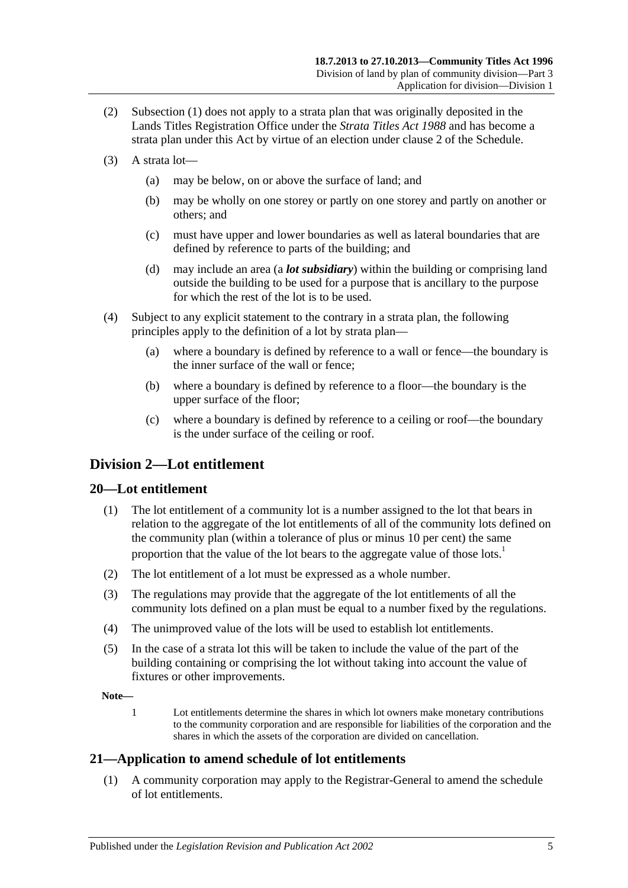- (2) [Subsection](#page-21-5) (1) does not apply to a strata plan that was originally deposited in the Lands Titles Registration Office under the *[Strata Titles Act](http://www.legislation.sa.gov.au/index.aspx?action=legref&type=act&legtitle=Strata%20Titles%20Act%201988) 1988* and has become a strata plan under this Act by virtue of an election under [clause](#page-110-2) 2 of the [Schedule.](#page-110-0)
- (3) A strata lot—
	- (a) may be below, on or above the surface of land; and
	- (b) may be wholly on one storey or partly on one storey and partly on another or others; and
	- (c) must have upper and lower boundaries as well as lateral boundaries that are defined by reference to parts of the building; and
	- (d) may include an area (a *lot subsidiary*) within the building or comprising land outside the building to be used for a purpose that is ancillary to the purpose for which the rest of the lot is to be used.
- <span id="page-22-3"></span>(4) Subject to any explicit statement to the contrary in a strata plan, the following principles apply to the definition of a lot by strata plan—
	- (a) where a boundary is defined by reference to a wall or fence—the boundary is the inner surface of the wall or fence;
	- (b) where a boundary is defined by reference to a floor—the boundary is the upper surface of the floor;
	- (c) where a boundary is defined by reference to a ceiling or roof—the boundary is the under surface of the ceiling or roof.

## <span id="page-22-0"></span>**Division 2—Lot entitlement**

## <span id="page-22-1"></span>**20—Lot entitlement**

- (1) The lot entitlement of a community lot is a number assigned to the lot that bears in relation to the aggregate of the lot entitlements of all of the community lots defined on the community plan (within a tolerance of plus or minus 10 per cent) the same proportion that the value of the lot bears to the aggregate value of those lots.<sup>1</sup>
- (2) The lot entitlement of a lot must be expressed as a whole number.
- (3) The regulations may provide that the aggregate of the lot entitlements of all the community lots defined on a plan must be equal to a number fixed by the regulations.
- (4) The unimproved value of the lots will be used to establish lot entitlements.
- (5) In the case of a strata lot this will be taken to include the value of the part of the building containing or comprising the lot without taking into account the value of fixtures or other improvements.

**Note—**

1 Lot entitlements determine the shares in which lot owners make monetary contributions to the community corporation and are responsible for liabilities of the corporation and the shares in which the assets of the corporation are divided on cancellation.

## <span id="page-22-2"></span>**21—Application to amend schedule of lot entitlements**

(1) A community corporation may apply to the Registrar-General to amend the schedule of lot entitlements.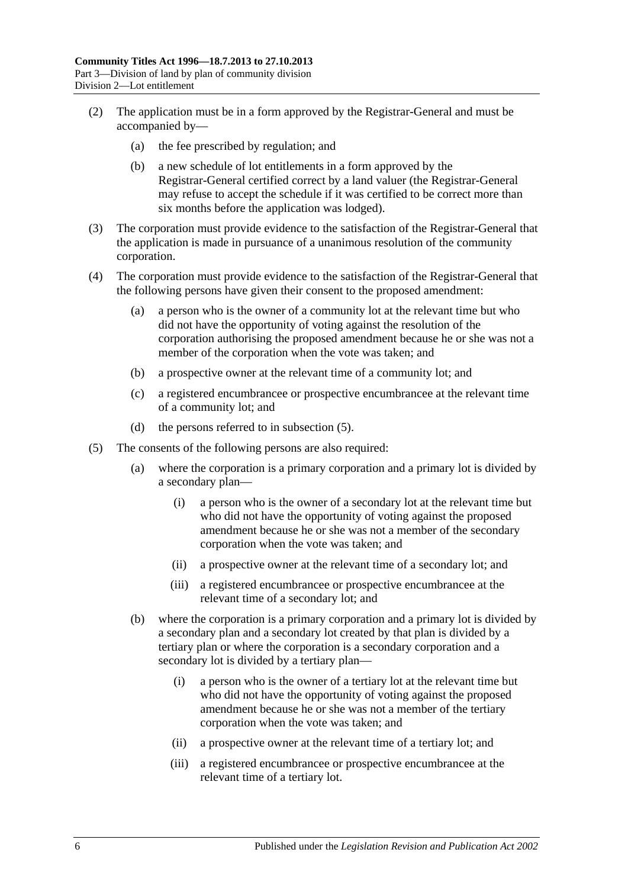- (2) The application must be in a form approved by the Registrar-General and must be accompanied by—
	- (a) the fee prescribed by regulation; and
	- (b) a new schedule of lot entitlements in a form approved by the Registrar-General certified correct by a land valuer (the Registrar-General may refuse to accept the schedule if it was certified to be correct more than six months before the application was lodged).
- (3) The corporation must provide evidence to the satisfaction of the Registrar-General that the application is made in pursuance of a unanimous resolution of the community corporation.
- (4) The corporation must provide evidence to the satisfaction of the Registrar-General that the following persons have given their consent to the proposed amendment:
	- (a) a person who is the owner of a community lot at the relevant time but who did not have the opportunity of voting against the resolution of the corporation authorising the proposed amendment because he or she was not a member of the corporation when the vote was taken; and
	- (b) a prospective owner at the relevant time of a community lot; and
	- (c) a registered encumbrancee or prospective encumbrancee at the relevant time of a community lot; and
	- (d) the persons referred to in [subsection](#page-23-0) (5).
- <span id="page-23-0"></span>(5) The consents of the following persons are also required:
	- (a) where the corporation is a primary corporation and a primary lot is divided by a secondary plan—
		- (i) a person who is the owner of a secondary lot at the relevant time but who did not have the opportunity of voting against the proposed amendment because he or she was not a member of the secondary corporation when the vote was taken; and
		- (ii) a prospective owner at the relevant time of a secondary lot; and
		- (iii) a registered encumbrancee or prospective encumbrancee at the relevant time of a secondary lot; and
	- (b) where the corporation is a primary corporation and a primary lot is divided by a secondary plan and a secondary lot created by that plan is divided by a tertiary plan or where the corporation is a secondary corporation and a secondary lot is divided by a tertiary plan—
		- (i) a person who is the owner of a tertiary lot at the relevant time but who did not have the opportunity of voting against the proposed amendment because he or she was not a member of the tertiary corporation when the vote was taken; and
		- (ii) a prospective owner at the relevant time of a tertiary lot; and
		- (iii) a registered encumbrancee or prospective encumbrancee at the relevant time of a tertiary lot.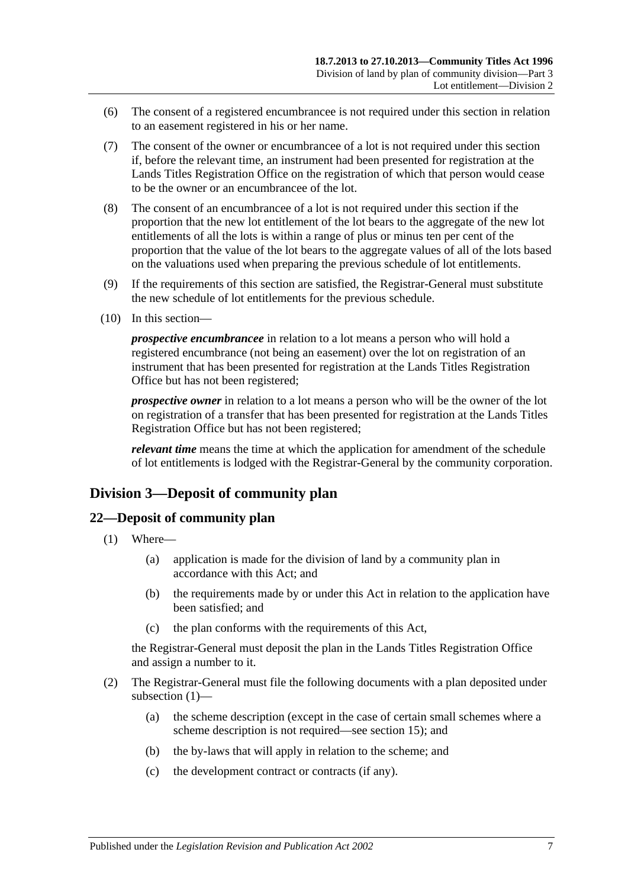- (6) The consent of a registered encumbrancee is not required under this section in relation to an easement registered in his or her name.
- (7) The consent of the owner or encumbrancee of a lot is not required under this section if, before the relevant time, an instrument had been presented for registration at the Lands Titles Registration Office on the registration of which that person would cease to be the owner or an encumbrancee of the lot.
- (8) The consent of an encumbrancee of a lot is not required under this section if the proportion that the new lot entitlement of the lot bears to the aggregate of the new lot entitlements of all the lots is within a range of plus or minus ten per cent of the proportion that the value of the lot bears to the aggregate values of all of the lots based on the valuations used when preparing the previous schedule of lot entitlements.
- (9) If the requirements of this section are satisfied, the Registrar-General must substitute the new schedule of lot entitlements for the previous schedule.
- (10) In this section—

*prospective encumbrancee* in relation to a lot means a person who will hold a registered encumbrance (not being an easement) over the lot on registration of an instrument that has been presented for registration at the Lands Titles Registration Office but has not been registered;

*prospective owner* in relation to a lot means a person who will be the owner of the lot on registration of a transfer that has been presented for registration at the Lands Titles Registration Office but has not been registered;

*relevant time* means the time at which the application for amendment of the schedule of lot entitlements is lodged with the Registrar-General by the community corporation.

## <span id="page-24-0"></span>**Division 3—Deposit of community plan**

#### <span id="page-24-2"></span><span id="page-24-1"></span>**22—Deposit of community plan**

- (1) Where—
	- (a) application is made for the division of land by a community plan in accordance with this Act; and
	- (b) the requirements made by or under this Act in relation to the application have been satisfied; and
	- (c) the plan conforms with the requirements of this Act,

the Registrar-General must deposit the plan in the Lands Titles Registration Office and assign a number to it.

- (2) The Registrar-General must file the following documents with a plan deposited under [subsection](#page-24-2) (1)—
	- (a) the scheme description (except in the case of certain small schemes where a scheme description is not required—see [section](#page-20-0) 15); and
	- (b) the by-laws that will apply in relation to the scheme; and
	- (c) the development contract or contracts (if any).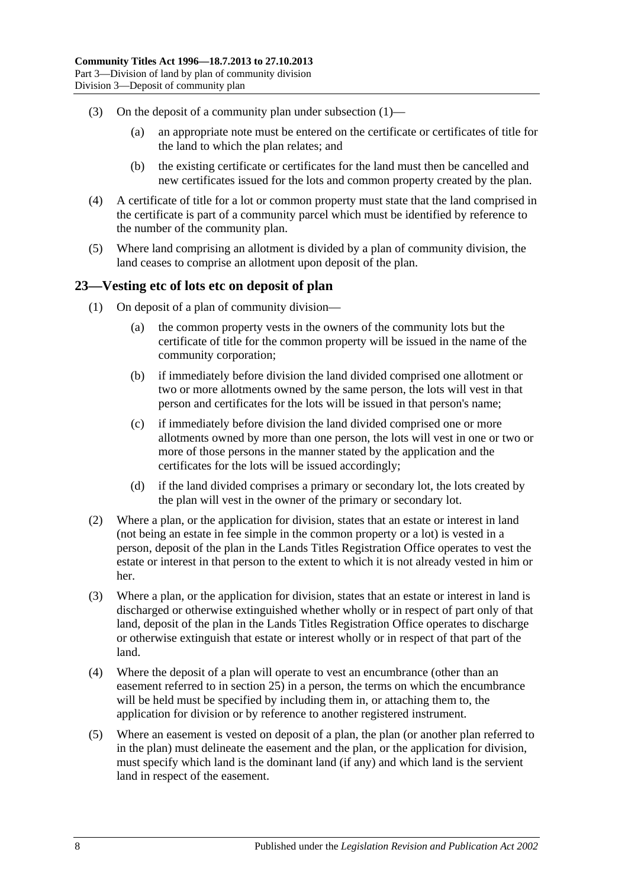- (3) On the deposit of a community plan under [subsection](#page-24-2)  $(1)$ 
	- (a) an appropriate note must be entered on the certificate or certificates of title for the land to which the plan relates; and
	- (b) the existing certificate or certificates for the land must then be cancelled and new certificates issued for the lots and common property created by the plan.
- (4) A certificate of title for a lot or common property must state that the land comprised in the certificate is part of a community parcel which must be identified by reference to the number of the community plan.
- (5) Where land comprising an allotment is divided by a plan of community division, the land ceases to comprise an allotment upon deposit of the plan.

## <span id="page-25-0"></span>**23—Vesting etc of lots etc on deposit of plan**

- (1) On deposit of a plan of community division—
	- (a) the common property vests in the owners of the community lots but the certificate of title for the common property will be issued in the name of the community corporation;
	- (b) if immediately before division the land divided comprised one allotment or two or more allotments owned by the same person, the lots will vest in that person and certificates for the lots will be issued in that person's name;
	- (c) if immediately before division the land divided comprised one or more allotments owned by more than one person, the lots will vest in one or two or more of those persons in the manner stated by the application and the certificates for the lots will be issued accordingly;
	- (d) if the land divided comprises a primary or secondary lot, the lots created by the plan will vest in the owner of the primary or secondary lot.
- (2) Where a plan, or the application for division, states that an estate or interest in land (not being an estate in fee simple in the common property or a lot) is vested in a person, deposit of the plan in the Lands Titles Registration Office operates to vest the estate or interest in that person to the extent to which it is not already vested in him or her.
- (3) Where a plan, or the application for division, states that an estate or interest in land is discharged or otherwise extinguished whether wholly or in respect of part only of that land, deposit of the plan in the Lands Titles Registration Office operates to discharge or otherwise extinguish that estate or interest wholly or in respect of that part of the land.
- (4) Where the deposit of a plan will operate to vest an encumbrance (other than an easement referred to in [section](#page-27-0) 25) in a person, the terms on which the encumbrance will be held must be specified by including them in, or attaching them to, the application for division or by reference to another registered instrument.
- (5) Where an easement is vested on deposit of a plan, the plan (or another plan referred to in the plan) must delineate the easement and the plan, or the application for division, must specify which land is the dominant land (if any) and which land is the servient land in respect of the easement.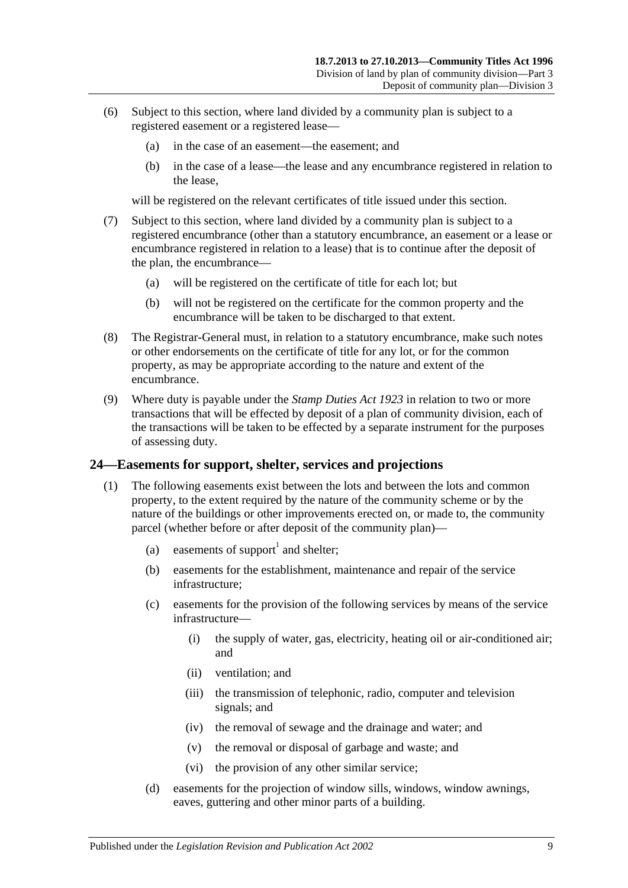- (6) Subject to this section, where land divided by a community plan is subject to a registered easement or a registered lease—
	- (a) in the case of an easement—the easement; and
	- (b) in the case of a lease—the lease and any encumbrance registered in relation to the lease,

will be registered on the relevant certificates of title issued under this section.

- (7) Subject to this section, where land divided by a community plan is subject to a registered encumbrance (other than a statutory encumbrance, an easement or a lease or encumbrance registered in relation to a lease) that is to continue after the deposit of the plan, the encumbrance—
	- (a) will be registered on the certificate of title for each lot; but
	- (b) will not be registered on the certificate for the common property and the encumbrance will be taken to be discharged to that extent.
- (8) The Registrar-General must, in relation to a statutory encumbrance, make such notes or other endorsements on the certificate of title for any lot, or for the common property, as may be appropriate according to the nature and extent of the encumbrance.
- (9) Where duty is payable under the *[Stamp Duties Act](http://www.legislation.sa.gov.au/index.aspx?action=legref&type=act&legtitle=Stamp%20Duties%20Act%201923) 1923* in relation to two or more transactions that will be effected by deposit of a plan of community division, each of the transactions will be taken to be effected by a separate instrument for the purposes of assessing duty.

## <span id="page-26-1"></span><span id="page-26-0"></span>**24—Easements for support, shelter, services and projections**

- <span id="page-26-2"></span>(1) The following easements exist between the lots and between the lots and common property, to the extent required by the nature of the community scheme or by the nature of the buildings or other improvements erected on, or made to, the community parcel (whether before or after deposit of the community plan)—
	- (a) easements of support<sup>1</sup> and shelter;
	- (b) easements for the establishment, maintenance and repair of the service infrastructure;
	- (c) easements for the provision of the following services by means of the service infrastructure—
		- (i) the supply of water, gas, electricity, heating oil or air-conditioned air; and
		- (ii) ventilation; and
		- (iii) the transmission of telephonic, radio, computer and television signals; and
		- (iv) the removal of sewage and the drainage and water; and
		- (v) the removal or disposal of garbage and waste; and
		- (vi) the provision of any other similar service;
	- (d) easements for the projection of window sills, windows, window awnings, eaves, guttering and other minor parts of a building.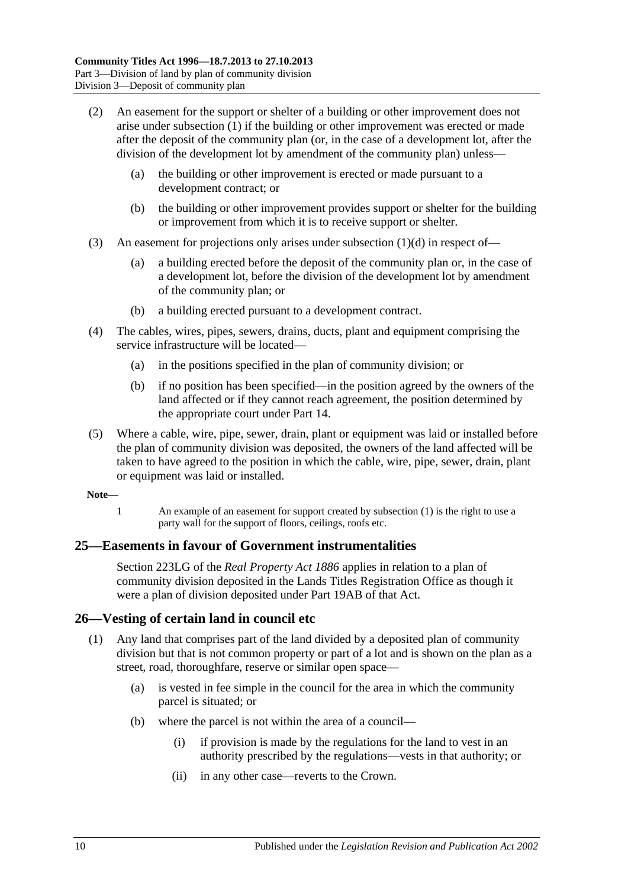- (2) An easement for the support or shelter of a building or other improvement does not arise under [subsection](#page-26-1) (1) if the building or other improvement was erected or made after the deposit of the community plan (or, in the case of a development lot, after the division of the development lot by amendment of the community plan) unless—
	- (a) the building or other improvement is erected or made pursuant to a development contract; or
	- (b) the building or other improvement provides support or shelter for the building or improvement from which it is to receive support or shelter.
- (3) An easement for projections only arises under [subsection](#page-26-2) (1)(d) in respect of—
	- (a) a building erected before the deposit of the community plan or, in the case of a development lot, before the division of the development lot by amendment of the community plan; or
	- (b) a building erected pursuant to a development contract.
- (4) The cables, wires, pipes, sewers, drains, ducts, plant and equipment comprising the service infrastructure will be located—
	- (a) in the positions specified in the plan of community division; or
	- (b) if no position has been specified—in the position agreed by the owners of the land affected or if they cannot reach agreement, the position determined by the appropriate court under [Part 14.](#page-100-0)
- (5) Where a cable, wire, pipe, sewer, drain, plant or equipment was laid or installed before the plan of community division was deposited, the owners of the land affected will be taken to have agreed to the position in which the cable, wire, pipe, sewer, drain, plant or equipment was laid or installed.

#### **Note—**

1 An example of an easement for support created by [subsection](#page-26-1) (1) is the right to use a party wall for the support of floors, ceilings, roofs etc.

## <span id="page-27-0"></span>**25—Easements in favour of Government instrumentalities**

Section 223LG of the *[Real Property Act](http://www.legislation.sa.gov.au/index.aspx?action=legref&type=act&legtitle=Real%20Property%20Act%201886) 1886* applies in relation to a plan of community division deposited in the Lands Titles Registration Office as though it were a plan of division deposited under Part 19AB of that Act.

## <span id="page-27-1"></span>**26—Vesting of certain land in council etc**

- (1) Any land that comprises part of the land divided by a deposited plan of community division but that is not common property or part of a lot and is shown on the plan as a street, road, thoroughfare, reserve or similar open space—
	- (a) is vested in fee simple in the council for the area in which the community parcel is situated; or
	- (b) where the parcel is not within the area of a council—
		- (i) if provision is made by the regulations for the land to vest in an authority prescribed by the regulations—vests in that authority; or
		- (ii) in any other case—reverts to the Crown.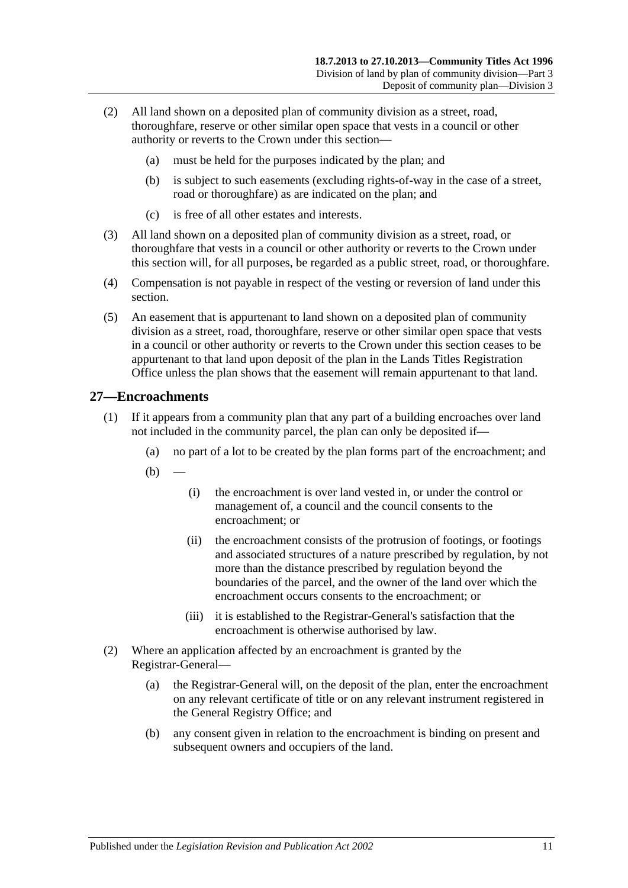- (2) All land shown on a deposited plan of community division as a street, road, thoroughfare, reserve or other similar open space that vests in a council or other authority or reverts to the Crown under this section—
	- (a) must be held for the purposes indicated by the plan; and
	- (b) is subject to such easements (excluding rights-of-way in the case of a street, road or thoroughfare) as are indicated on the plan; and
	- (c) is free of all other estates and interests.
- (3) All land shown on a deposited plan of community division as a street, road, or thoroughfare that vests in a council or other authority or reverts to the Crown under this section will, for all purposes, be regarded as a public street, road, or thoroughfare.
- (4) Compensation is not payable in respect of the vesting or reversion of land under this section.
- (5) An easement that is appurtenant to land shown on a deposited plan of community division as a street, road, thoroughfare, reserve or other similar open space that vests in a council or other authority or reverts to the Crown under this section ceases to be appurtenant to that land upon deposit of the plan in the Lands Titles Registration Office unless the plan shows that the easement will remain appurtenant to that land.

## <span id="page-28-0"></span>**27—Encroachments**

- (1) If it appears from a community plan that any part of a building encroaches over land not included in the community parcel, the plan can only be deposited if—
	- (a) no part of a lot to be created by the plan forms part of the encroachment; and
	- $(b)$ 
		- (i) the encroachment is over land vested in, or under the control or management of, a council and the council consents to the encroachment; or
		- (ii) the encroachment consists of the protrusion of footings, or footings and associated structures of a nature prescribed by regulation, by not more than the distance prescribed by regulation beyond the boundaries of the parcel, and the owner of the land over which the encroachment occurs consents to the encroachment; or
		- (iii) it is established to the Registrar-General's satisfaction that the encroachment is otherwise authorised by law.
- (2) Where an application affected by an encroachment is granted by the Registrar-General—
	- (a) the Registrar-General will, on the deposit of the plan, enter the encroachment on any relevant certificate of title or on any relevant instrument registered in the General Registry Office; and
	- (b) any consent given in relation to the encroachment is binding on present and subsequent owners and occupiers of the land.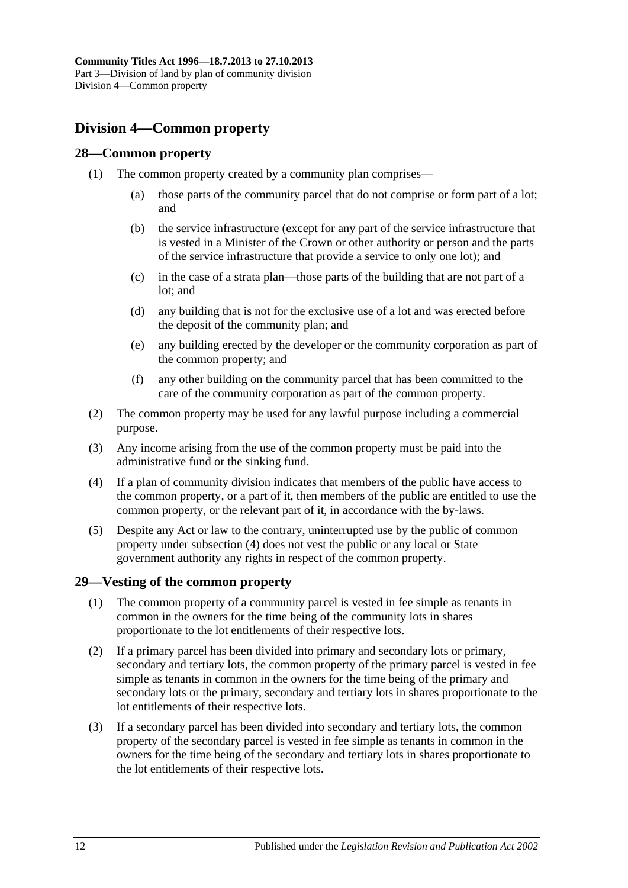# <span id="page-29-0"></span>**Division 4—Common property**

## <span id="page-29-1"></span>**28—Common property**

- (1) The common property created by a community plan comprises—
	- (a) those parts of the community parcel that do not comprise or form part of a lot; and
	- (b) the service infrastructure (except for any part of the service infrastructure that is vested in a Minister of the Crown or other authority or person and the parts of the service infrastructure that provide a service to only one lot); and
	- (c) in the case of a strata plan—those parts of the building that are not part of a lot; and
	- (d) any building that is not for the exclusive use of a lot and was erected before the deposit of the community plan; and
	- (e) any building erected by the developer or the community corporation as part of the common property; and
	- (f) any other building on the community parcel that has been committed to the care of the community corporation as part of the common property.
- (2) The common property may be used for any lawful purpose including a commercial purpose.
- (3) Any income arising from the use of the common property must be paid into the administrative fund or the sinking fund.
- <span id="page-29-3"></span>(4) If a plan of community division indicates that members of the public have access to the common property, or a part of it, then members of the public are entitled to use the common property, or the relevant part of it, in accordance with the by-laws.
- (5) Despite any Act or law to the contrary, uninterrupted use by the public of common property under [subsection](#page-29-3) (4) does not vest the public or any local or State government authority any rights in respect of the common property.

## <span id="page-29-2"></span>**29—Vesting of the common property**

- (1) The common property of a community parcel is vested in fee simple as tenants in common in the owners for the time being of the community lots in shares proportionate to the lot entitlements of their respective lots.
- (2) If a primary parcel has been divided into primary and secondary lots or primary, secondary and tertiary lots, the common property of the primary parcel is vested in fee simple as tenants in common in the owners for the time being of the primary and secondary lots or the primary, secondary and tertiary lots in shares proportionate to the lot entitlements of their respective lots.
- (3) If a secondary parcel has been divided into secondary and tertiary lots, the common property of the secondary parcel is vested in fee simple as tenants in common in the owners for the time being of the secondary and tertiary lots in shares proportionate to the lot entitlements of their respective lots.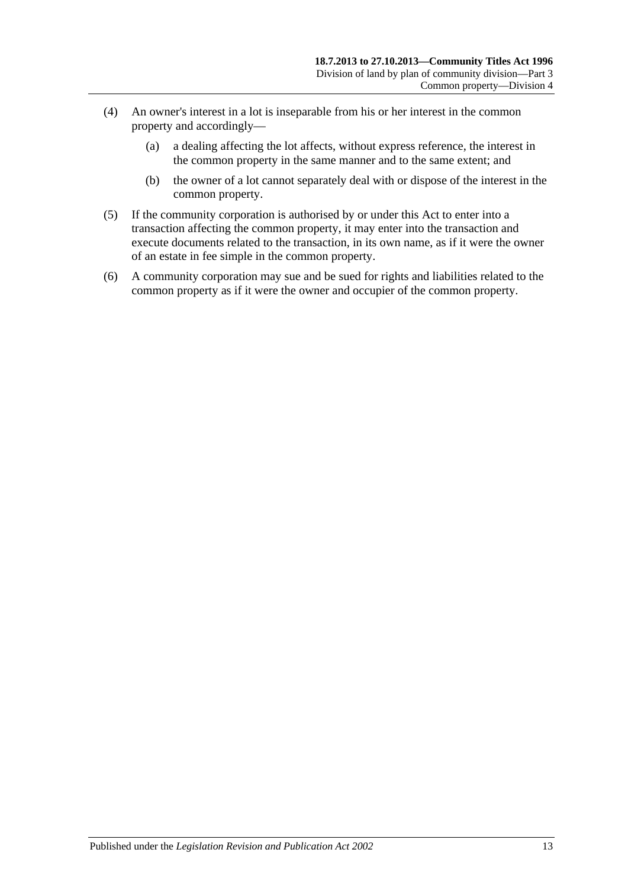- (4) An owner's interest in a lot is inseparable from his or her interest in the common property and accordingly—
	- (a) a dealing affecting the lot affects, without express reference, the interest in the common property in the same manner and to the same extent; and
	- (b) the owner of a lot cannot separately deal with or dispose of the interest in the common property.
- (5) If the community corporation is authorised by or under this Act to enter into a transaction affecting the common property, it may enter into the transaction and execute documents related to the transaction, in its own name, as if it were the owner of an estate in fee simple in the common property.
- (6) A community corporation may sue and be sued for rights and liabilities related to the common property as if it were the owner and occupier of the common property.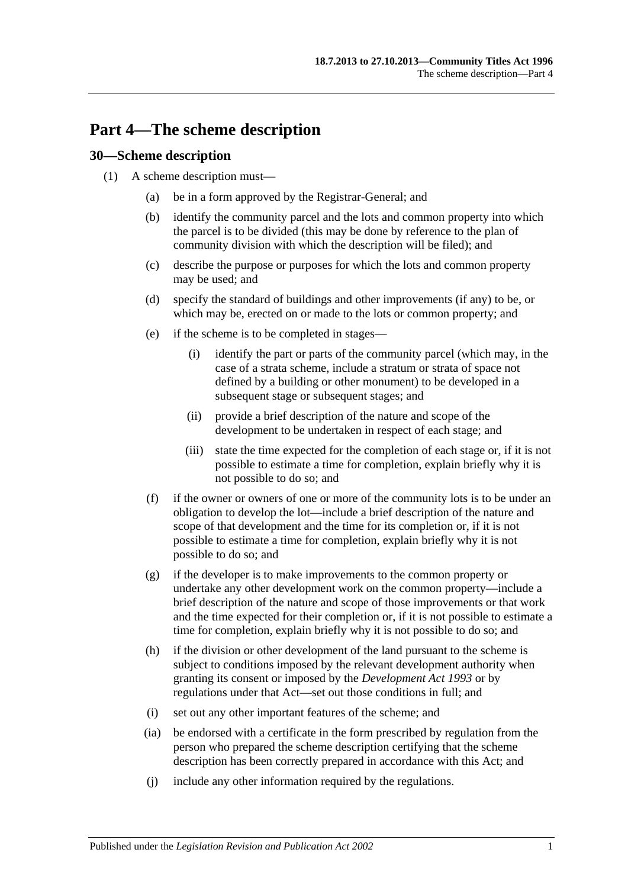# <span id="page-32-0"></span>**Part 4—The scheme description**

## <span id="page-32-1"></span>**30—Scheme description**

- (1) A scheme description must—
	- (a) be in a form approved by the Registrar-General; and
	- (b) identify the community parcel and the lots and common property into which the parcel is to be divided (this may be done by reference to the plan of community division with which the description will be filed); and
	- (c) describe the purpose or purposes for which the lots and common property may be used; and
	- (d) specify the standard of buildings and other improvements (if any) to be, or which may be, erected on or made to the lots or common property; and
	- (e) if the scheme is to be completed in stages—
		- (i) identify the part or parts of the community parcel (which may, in the case of a strata scheme, include a stratum or strata of space not defined by a building or other monument) to be developed in a subsequent stage or subsequent stages; and
		- (ii) provide a brief description of the nature and scope of the development to be undertaken in respect of each stage; and
		- (iii) state the time expected for the completion of each stage or, if it is not possible to estimate a time for completion, explain briefly why it is not possible to do so; and
	- (f) if the owner or owners of one or more of the community lots is to be under an obligation to develop the lot—include a brief description of the nature and scope of that development and the time for its completion or, if it is not possible to estimate a time for completion, explain briefly why it is not possible to do so; and
	- (g) if the developer is to make improvements to the common property or undertake any other development work on the common property—include a brief description of the nature and scope of those improvements or that work and the time expected for their completion or, if it is not possible to estimate a time for completion, explain briefly why it is not possible to do so; and
	- (h) if the division or other development of the land pursuant to the scheme is subject to conditions imposed by the relevant development authority when granting its consent or imposed by the *[Development Act](http://www.legislation.sa.gov.au/index.aspx?action=legref&type=act&legtitle=Development%20Act%201993) 1993* or by regulations under that Act—set out those conditions in full; and
	- (i) set out any other important features of the scheme; and
	- (ia) be endorsed with a certificate in the form prescribed by regulation from the person who prepared the scheme description certifying that the scheme description has been correctly prepared in accordance with this Act; and
	- (j) include any other information required by the regulations.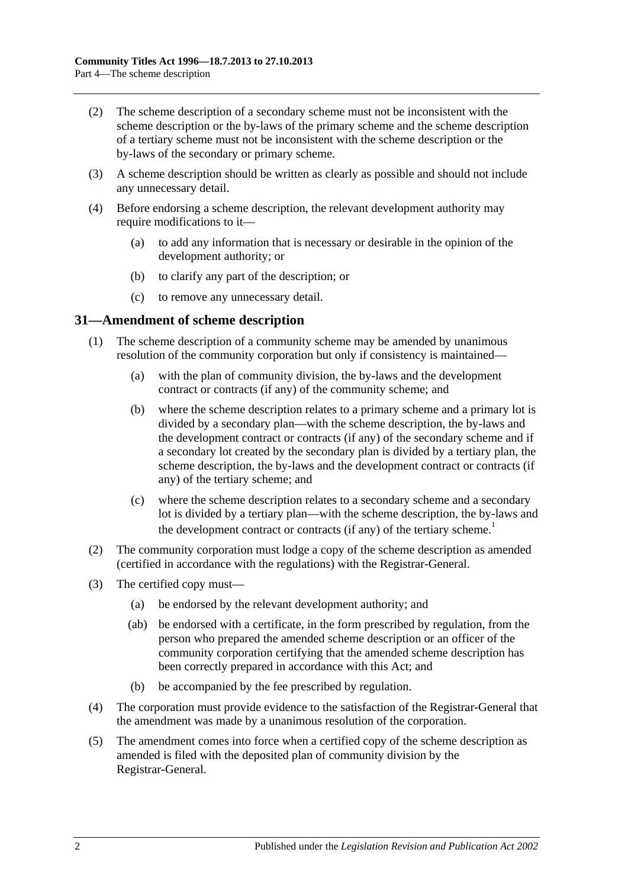- (2) The scheme description of a secondary scheme must not be inconsistent with the scheme description or the by-laws of the primary scheme and the scheme description of a tertiary scheme must not be inconsistent with the scheme description or the by-laws of the secondary or primary scheme.
- (3) A scheme description should be written as clearly as possible and should not include any unnecessary detail.
- <span id="page-33-1"></span>(4) Before endorsing a scheme description, the relevant development authority may require modifications to it—
	- (a) to add any information that is necessary or desirable in the opinion of the development authority; or
	- (b) to clarify any part of the description; or
	- (c) to remove any unnecessary detail.

### <span id="page-33-0"></span>**31—Amendment of scheme description**

- (1) The scheme description of a community scheme may be amended by unanimous resolution of the community corporation but only if consistency is maintained—
	- (a) with the plan of community division, the by-laws and the development contract or contracts (if any) of the community scheme; and
	- (b) where the scheme description relates to a primary scheme and a primary lot is divided by a secondary plan—with the scheme description, the by-laws and the development contract or contracts (if any) of the secondary scheme and if a secondary lot created by the secondary plan is divided by a tertiary plan, the scheme description, the by-laws and the development contract or contracts (if any) of the tertiary scheme; and
	- (c) where the scheme description relates to a secondary scheme and a secondary lot is divided by a tertiary plan—with the scheme description, the by-laws and the development contract or contracts (if any) of the tertiary scheme.<sup>1</sup>
- (2) The community corporation must lodge a copy of the scheme description as amended (certified in accordance with the regulations) with the Registrar-General.
- (3) The certified copy must—
	- (a) be endorsed by the relevant development authority; and
	- (ab) be endorsed with a certificate, in the form prescribed by regulation, from the person who prepared the amended scheme description or an officer of the community corporation certifying that the amended scheme description has been correctly prepared in accordance with this Act; and
	- (b) be accompanied by the fee prescribed by regulation.
- (4) The corporation must provide evidence to the satisfaction of the Registrar-General that the amendment was made by a unanimous resolution of the corporation.
- (5) The amendment comes into force when a certified copy of the scheme description as amended is filed with the deposited plan of community division by the Registrar-General.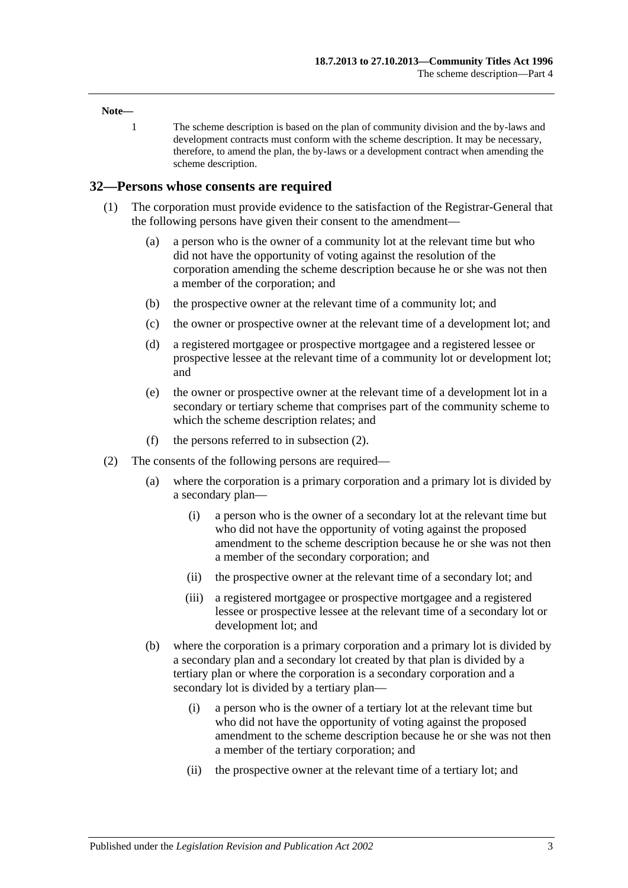#### **Note—**

1 The scheme description is based on the plan of community division and the by-laws and development contracts must conform with the scheme description. It may be necessary, therefore, to amend the plan, the by-laws or a development contract when amending the scheme description.

#### <span id="page-34-0"></span>**32—Persons whose consents are required**

- (1) The corporation must provide evidence to the satisfaction of the Registrar-General that the following persons have given their consent to the amendment—
	- (a) a person who is the owner of a community lot at the relevant time but who did not have the opportunity of voting against the resolution of the corporation amending the scheme description because he or she was not then a member of the corporation; and
	- (b) the prospective owner at the relevant time of a community lot; and
	- (c) the owner or prospective owner at the relevant time of a development lot; and
	- (d) a registered mortgagee or prospective mortgagee and a registered lessee or prospective lessee at the relevant time of a community lot or development lot; and
	- (e) the owner or prospective owner at the relevant time of a development lot in a secondary or tertiary scheme that comprises part of the community scheme to which the scheme description relates; and
	- (f) the persons referred to in [subsection](#page-34-1) (2).
- <span id="page-34-1"></span>(2) The consents of the following persons are required—
	- (a) where the corporation is a primary corporation and a primary lot is divided by a secondary plan—
		- (i) a person who is the owner of a secondary lot at the relevant time but who did not have the opportunity of voting against the proposed amendment to the scheme description because he or she was not then a member of the secondary corporation; and
		- (ii) the prospective owner at the relevant time of a secondary lot; and
		- (iii) a registered mortgagee or prospective mortgagee and a registered lessee or prospective lessee at the relevant time of a secondary lot or development lot; and
	- (b) where the corporation is a primary corporation and a primary lot is divided by a secondary plan and a secondary lot created by that plan is divided by a tertiary plan or where the corporation is a secondary corporation and a secondary lot is divided by a tertiary plan—
		- (i) a person who is the owner of a tertiary lot at the relevant time but who did not have the opportunity of voting against the proposed amendment to the scheme description because he or she was not then a member of the tertiary corporation; and
		- (ii) the prospective owner at the relevant time of a tertiary lot; and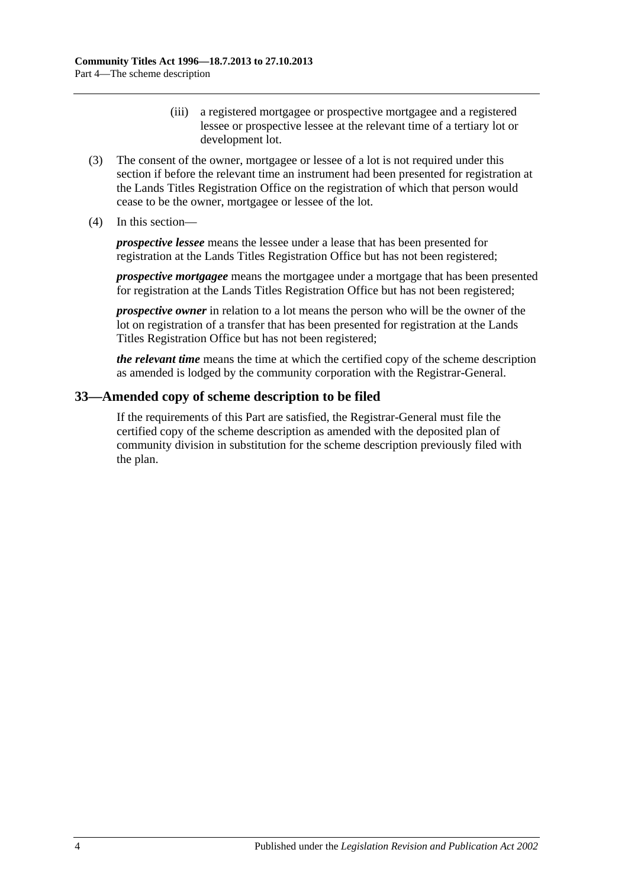- (iii) a registered mortgagee or prospective mortgagee and a registered lessee or prospective lessee at the relevant time of a tertiary lot or development lot.
- (3) The consent of the owner, mortgagee or lessee of a lot is not required under this section if before the relevant time an instrument had been presented for registration at the Lands Titles Registration Office on the registration of which that person would cease to be the owner, mortgagee or lessee of the lot.
- (4) In this section—

*prospective lessee* means the lessee under a lease that has been presented for registration at the Lands Titles Registration Office but has not been registered;

*prospective mortgagee* means the mortgagee under a mortgage that has been presented for registration at the Lands Titles Registration Office but has not been registered;

*prospective owner* in relation to a lot means the person who will be the owner of the lot on registration of a transfer that has been presented for registration at the Lands Titles Registration Office but has not been registered;

*the relevant time* means the time at which the certified copy of the scheme description as amended is lodged by the community corporation with the Registrar-General.

## <span id="page-35-0"></span>**33—Amended copy of scheme description to be filed**

If the requirements of this Part are satisfied, the Registrar-General must file the certified copy of the scheme description as amended with the deposited plan of community division in substitution for the scheme description previously filed with the plan.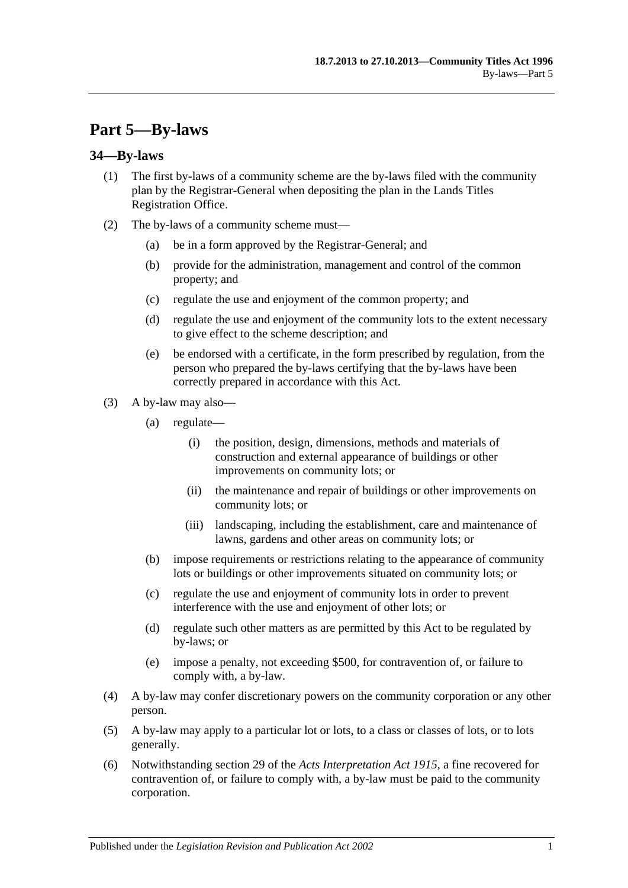# **Part 5—By-laws**

### **34—By-laws**

- (1) The first by-laws of a community scheme are the by-laws filed with the community plan by the Registrar-General when depositing the plan in the Lands Titles Registration Office.
- (2) The by-laws of a community scheme must—
	- (a) be in a form approved by the Registrar-General; and
	- (b) provide for the administration, management and control of the common property; and
	- (c) regulate the use and enjoyment of the common property; and
	- (d) regulate the use and enjoyment of the community lots to the extent necessary to give effect to the scheme description; and
	- (e) be endorsed with a certificate, in the form prescribed by regulation, from the person who prepared the by-laws certifying that the by-laws have been correctly prepared in accordance with this Act.
- (3) A by-law may also—
	- (a) regulate—
		- (i) the position, design, dimensions, methods and materials of construction and external appearance of buildings or other improvements on community lots; or
		- (ii) the maintenance and repair of buildings or other improvements on community lots; or
		- (iii) landscaping, including the establishment, care and maintenance of lawns, gardens and other areas on community lots; or
	- (b) impose requirements or restrictions relating to the appearance of community lots or buildings or other improvements situated on community lots; or
	- (c) regulate the use and enjoyment of community lots in order to prevent interference with the use and enjoyment of other lots; or
	- (d) regulate such other matters as are permitted by this Act to be regulated by by-laws; or
	- (e) impose a penalty, not exceeding \$500, for contravention of, or failure to comply with, a by-law.
- (4) A by-law may confer discretionary powers on the community corporation or any other person.
- (5) A by-law may apply to a particular lot or lots, to a class or classes of lots, or to lots generally.
- (6) Notwithstanding section 29 of the *Acts [Interpretation Act](http://www.legislation.sa.gov.au/index.aspx?action=legref&type=act&legtitle=Acts%20Interpretation%20Act%201915) 1915*, a fine recovered for contravention of, or failure to comply with, a by-law must be paid to the community corporation.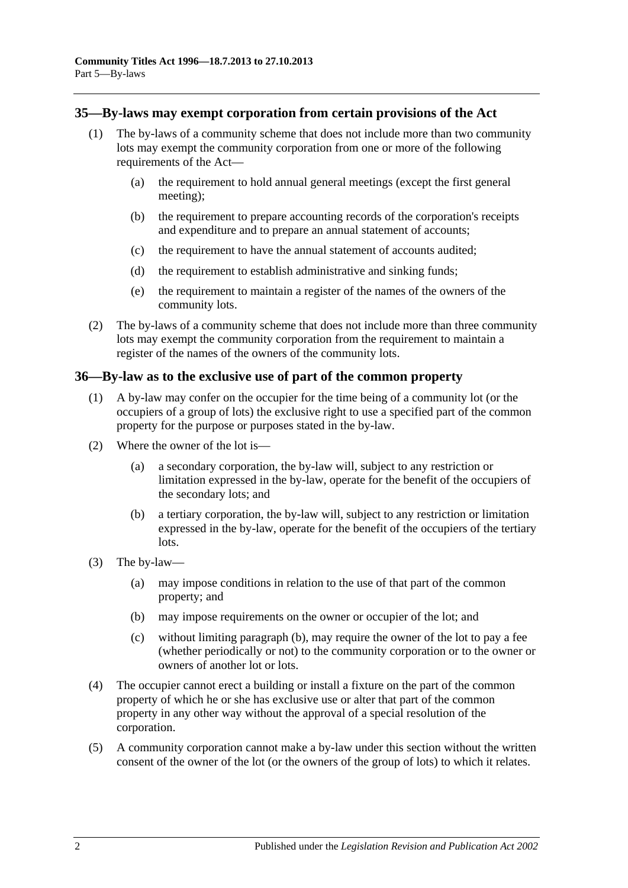### **35—By-laws may exempt corporation from certain provisions of the Act**

- (1) The by-laws of a community scheme that does not include more than two community lots may exempt the community corporation from one or more of the following requirements of the Act—
	- (a) the requirement to hold annual general meetings (except the first general meeting);
	- (b) the requirement to prepare accounting records of the corporation's receipts and expenditure and to prepare an annual statement of accounts;
	- (c) the requirement to have the annual statement of accounts audited;
	- (d) the requirement to establish administrative and sinking funds;
	- (e) the requirement to maintain a register of the names of the owners of the community lots.
- (2) The by-laws of a community scheme that does not include more than three community lots may exempt the community corporation from the requirement to maintain a register of the names of the owners of the community lots.

### **36—By-law as to the exclusive use of part of the common property**

- (1) A by-law may confer on the occupier for the time being of a community lot (or the occupiers of a group of lots) the exclusive right to use a specified part of the common property for the purpose or purposes stated in the by-law.
- (2) Where the owner of the lot is—
	- (a) a secondary corporation, the by-law will, subject to any restriction or limitation expressed in the by-law, operate for the benefit of the occupiers of the secondary lots; and
	- (b) a tertiary corporation, the by-law will, subject to any restriction or limitation expressed in the by-law, operate for the benefit of the occupiers of the tertiary lots.
- <span id="page-37-0"></span>(3) The by-law—
	- (a) may impose conditions in relation to the use of that part of the common property; and
	- (b) may impose requirements on the owner or occupier of the lot; and
	- (c) without limiting [paragraph](#page-37-0) (b), may require the owner of the lot to pay a fee (whether periodically or not) to the community corporation or to the owner or owners of another lot or lots.
- <span id="page-37-1"></span>(4) The occupier cannot erect a building or install a fixture on the part of the common property of which he or she has exclusive use or alter that part of the common property in any other way without the approval of a special resolution of the corporation.
- (5) A community corporation cannot make a by-law under this section without the written consent of the owner of the lot (or the owners of the group of lots) to which it relates.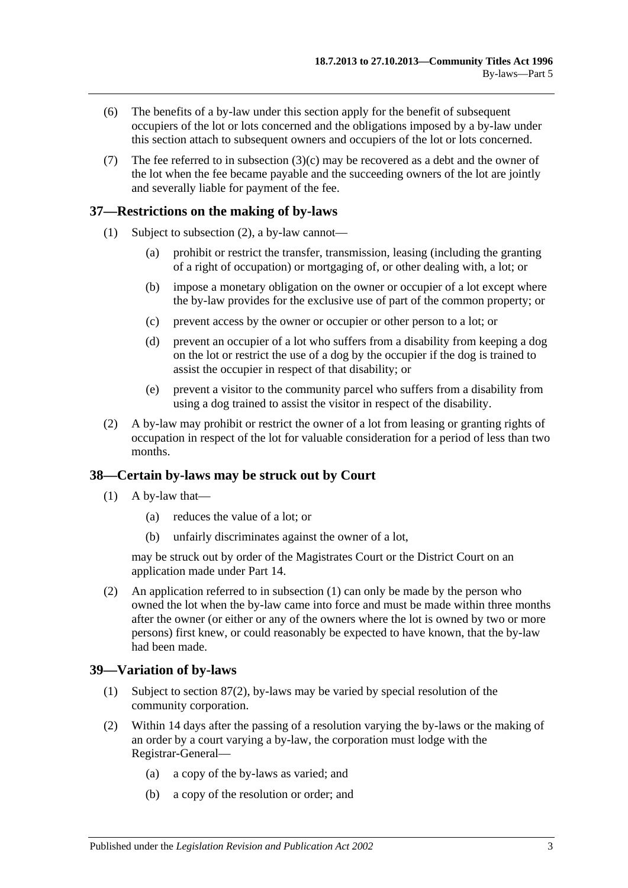- (6) The benefits of a by-law under this section apply for the benefit of subsequent occupiers of the lot or lots concerned and the obligations imposed by a by-law under this section attach to subsequent owners and occupiers of the lot or lots concerned.
- (7) The fee referred to in [subsection](#page-37-1) (3)(c) may be recovered as a debt and the owner of the lot when the fee became payable and the succeeding owners of the lot are jointly and severally liable for payment of the fee.

# **37—Restrictions on the making of by-laws**

- (1) Subject to [subsection](#page-38-0) (2), a by-law cannot—
	- (a) prohibit or restrict the transfer, transmission, leasing (including the granting of a right of occupation) or mortgaging of, or other dealing with, a lot; or
	- (b) impose a monetary obligation on the owner or occupier of a lot except where the by-law provides for the exclusive use of part of the common property; or
	- (c) prevent access by the owner or occupier or other person to a lot; or
	- (d) prevent an occupier of a lot who suffers from a disability from keeping a dog on the lot or restrict the use of a dog by the occupier if the dog is trained to assist the occupier in respect of that disability; or
	- (e) prevent a visitor to the community parcel who suffers from a disability from using a dog trained to assist the visitor in respect of the disability.
- <span id="page-38-0"></span>(2) A by-law may prohibit or restrict the owner of a lot from leasing or granting rights of occupation in respect of the lot for valuable consideration for a period of less than two months.

## <span id="page-38-1"></span>**38—Certain by-laws may be struck out by Court**

- $(1)$  A by-law that—
	- (a) reduces the value of a lot; or
	- (b) unfairly discriminates against the owner of a lot,

may be struck out by order of the Magistrates Court or the District Court on an application made under [Part 14.](#page-100-0)

(2) An application referred to in [subsection](#page-38-1) (1) can only be made by the person who owned the lot when the by-law came into force and must be made within three months after the owner (or either or any of the owners where the lot is owned by two or more persons) first knew, or could reasonably be expected to have known, that the by-law had been made.

## **39—Variation of by-laws**

- (1) Subject to [section](#page-74-0) 87(2), by-laws may be varied by special resolution of the community corporation.
- (2) Within 14 days after the passing of a resolution varying the by-laws or the making of an order by a court varying a by-law, the corporation must lodge with the Registrar-General—
	- (a) a copy of the by-laws as varied; and
	- (b) a copy of the resolution or order; and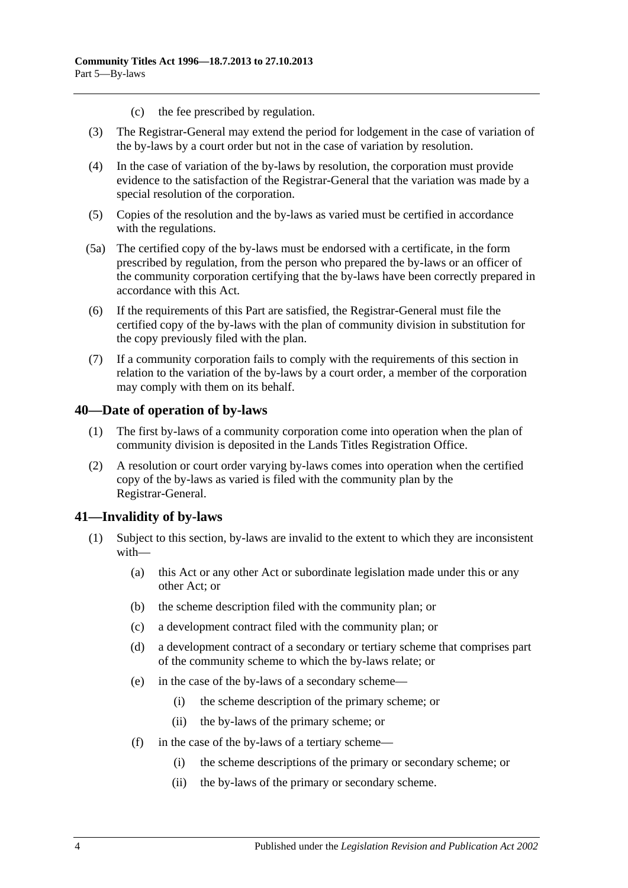- (c) the fee prescribed by regulation.
- (3) The Registrar-General may extend the period for lodgement in the case of variation of the by-laws by a court order but not in the case of variation by resolution.
- (4) In the case of variation of the by-laws by resolution, the corporation must provide evidence to the satisfaction of the Registrar-General that the variation was made by a special resolution of the corporation.
- (5) Copies of the resolution and the by-laws as varied must be certified in accordance with the regulations.
- (5a) The certified copy of the by-laws must be endorsed with a certificate, in the form prescribed by regulation, from the person who prepared the by-laws or an officer of the community corporation certifying that the by-laws have been correctly prepared in accordance with this Act.
- (6) If the requirements of this Part are satisfied, the Registrar-General must file the certified copy of the by-laws with the plan of community division in substitution for the copy previously filed with the plan.
- (7) If a community corporation fails to comply with the requirements of this section in relation to the variation of the by-laws by a court order, a member of the corporation may comply with them on its behalf.

### **40—Date of operation of by-laws**

- (1) The first by-laws of a community corporation come into operation when the plan of community division is deposited in the Lands Titles Registration Office.
- (2) A resolution or court order varying by-laws comes into operation when the certified copy of the by-laws as varied is filed with the community plan by the Registrar-General.

## **41—Invalidity of by-laws**

- (1) Subject to this section, by-laws are invalid to the extent to which they are inconsistent with—
	- (a) this Act or any other Act or subordinate legislation made under this or any other Act; or
	- (b) the scheme description filed with the community plan; or
	- (c) a development contract filed with the community plan; or
	- (d) a development contract of a secondary or tertiary scheme that comprises part of the community scheme to which the by-laws relate; or
	- (e) in the case of the by-laws of a secondary scheme—
		- (i) the scheme description of the primary scheme; or
		- (ii) the by-laws of the primary scheme; or
	- (f) in the case of the by-laws of a tertiary scheme—
		- (i) the scheme descriptions of the primary or secondary scheme; or
		- (ii) the by-laws of the primary or secondary scheme.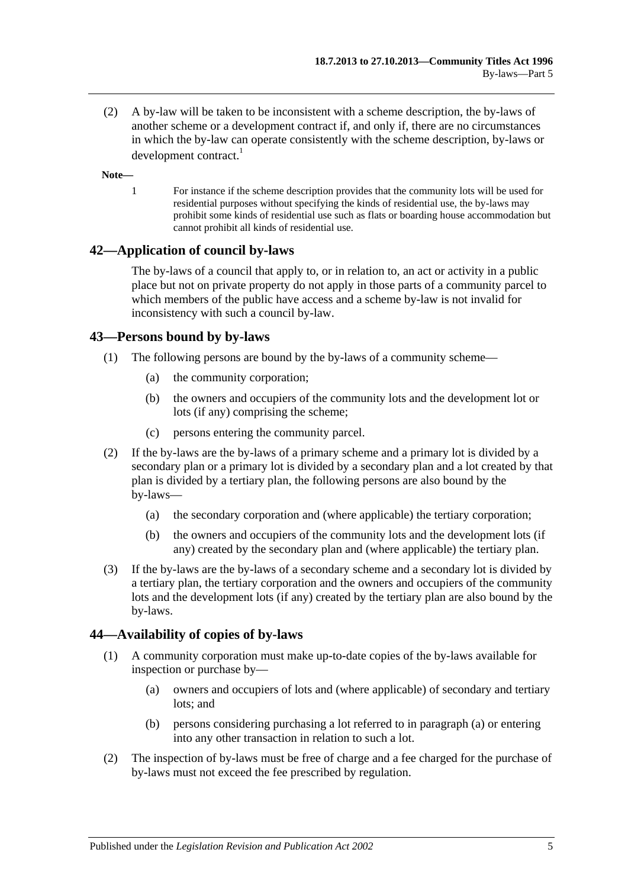(2) A by-law will be taken to be inconsistent with a scheme description, the by-laws of another scheme or a development contract if, and only if, there are no circumstances in which the by-law can operate consistently with the scheme description, by-laws or development contract.<sup>1</sup>

#### **Note—**

1 For instance if the scheme description provides that the community lots will be used for residential purposes without specifying the kinds of residential use, the by-laws may prohibit some kinds of residential use such as flats or boarding house accommodation but cannot prohibit all kinds of residential use.

## **42—Application of council by-laws**

The by-laws of a council that apply to, or in relation to, an act or activity in a public place but not on private property do not apply in those parts of a community parcel to which members of the public have access and a scheme by-law is not invalid for inconsistency with such a council by-law.

### **43—Persons bound by by-laws**

- (1) The following persons are bound by the by-laws of a community scheme—
	- (a) the community corporation;
	- (b) the owners and occupiers of the community lots and the development lot or lots (if any) comprising the scheme;
	- (c) persons entering the community parcel.
- (2) If the by-laws are the by-laws of a primary scheme and a primary lot is divided by a secondary plan or a primary lot is divided by a secondary plan and a lot created by that plan is divided by a tertiary plan, the following persons are also bound by the by-laws—
	- (a) the secondary corporation and (where applicable) the tertiary corporation;
	- (b) the owners and occupiers of the community lots and the development lots (if any) created by the secondary plan and (where applicable) the tertiary plan.
- (3) If the by-laws are the by-laws of a secondary scheme and a secondary lot is divided by a tertiary plan, the tertiary corporation and the owners and occupiers of the community lots and the development lots (if any) created by the tertiary plan are also bound by the by-laws.

## **44—Availability of copies of by-laws**

- <span id="page-40-0"></span>(1) A community corporation must make up-to-date copies of the by-laws available for inspection or purchase by—
	- (a) owners and occupiers of lots and (where applicable) of secondary and tertiary lots; and
	- (b) persons considering purchasing a lot referred to in [paragraph](#page-40-0) (a) or entering into any other transaction in relation to such a lot.
- (2) The inspection of by-laws must be free of charge and a fee charged for the purchase of by-laws must not exceed the fee prescribed by regulation.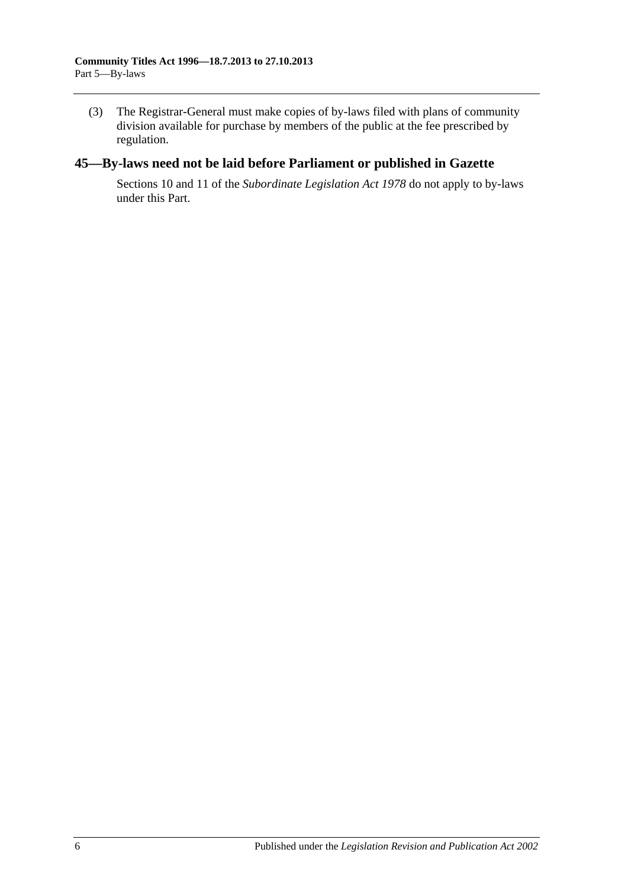(3) The Registrar-General must make copies of by-laws filed with plans of community division available for purchase by members of the public at the fee prescribed by regulation.

# **45—By-laws need not be laid before Parliament or published in Gazette**

Sections 10 and 11 of the *[Subordinate Legislation Act](http://www.legislation.sa.gov.au/index.aspx?action=legref&type=act&legtitle=Subordinate%20Legislation%20Act%201978) 1978* do not apply to by-laws under this Part.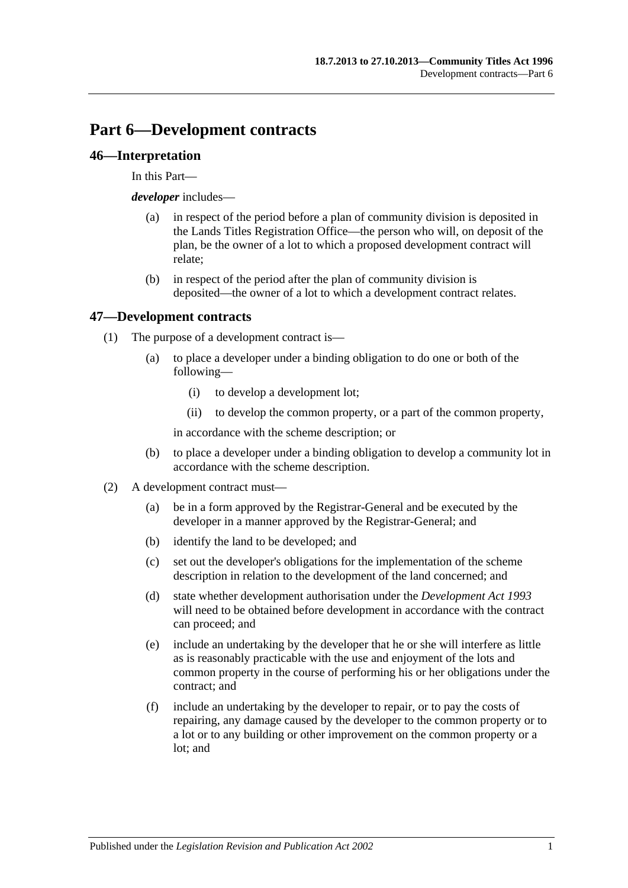# **Part 6—Development contracts**

### **46—Interpretation**

In this Part—

*developer* includes—

- (a) in respect of the period before a plan of community division is deposited in the Lands Titles Registration Office—the person who will, on deposit of the plan, be the owner of a lot to which a proposed development contract will relate;
- (b) in respect of the period after the plan of community division is deposited—the owner of a lot to which a development contract relates.

### **47—Development contracts**

- (1) The purpose of a development contract is—
	- (a) to place a developer under a binding obligation to do one or both of the following—
		- (i) to develop a development lot;
		- (ii) to develop the common property, or a part of the common property,

in accordance with the scheme description; or

- (b) to place a developer under a binding obligation to develop a community lot in accordance with the scheme description.
- (2) A development contract must—
	- (a) be in a form approved by the Registrar-General and be executed by the developer in a manner approved by the Registrar-General; and
	- (b) identify the land to be developed; and
	- (c) set out the developer's obligations for the implementation of the scheme description in relation to the development of the land concerned; and
	- (d) state whether development authorisation under the *[Development Act](http://www.legislation.sa.gov.au/index.aspx?action=legref&type=act&legtitle=Development%20Act%201993) 1993* will need to be obtained before development in accordance with the contract can proceed; and
	- (e) include an undertaking by the developer that he or she will interfere as little as is reasonably practicable with the use and enjoyment of the lots and common property in the course of performing his or her obligations under the contract; and
	- (f) include an undertaking by the developer to repair, or to pay the costs of repairing, any damage caused by the developer to the common property or to a lot or to any building or other improvement on the common property or a lot; and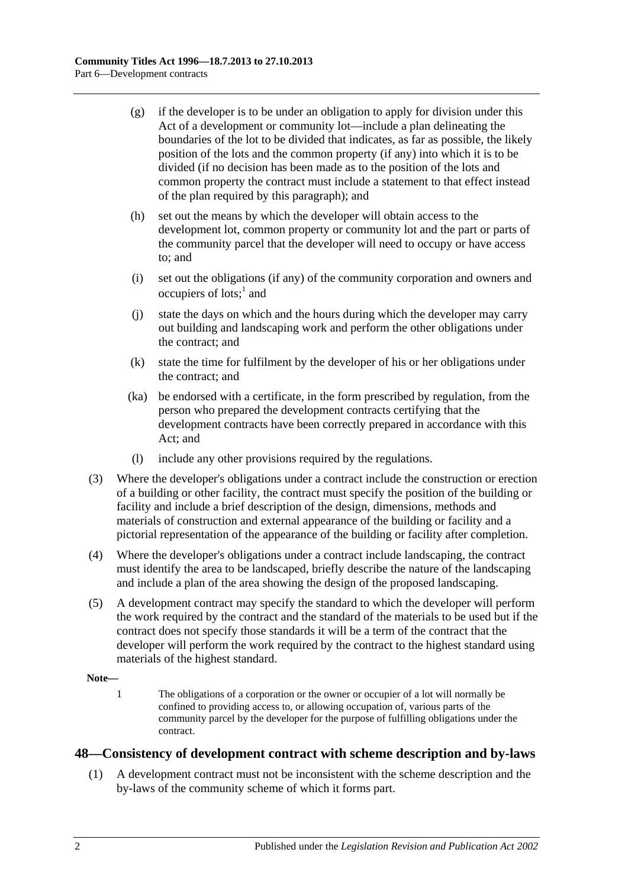- (g) if the developer is to be under an obligation to apply for division under this Act of a development or community lot—include a plan delineating the boundaries of the lot to be divided that indicates, as far as possible, the likely position of the lots and the common property (if any) into which it is to be divided (if no decision has been made as to the position of the lots and common property the contract must include a statement to that effect instead of the plan required by this paragraph); and
- (h) set out the means by which the developer will obtain access to the development lot, common property or community lot and the part or parts of the community parcel that the developer will need to occupy or have access to; and
- (i) set out the obligations (if any) of the community corporation and owners and occupiers of lots; $<sup>1</sup>$  and</sup>
- (j) state the days on which and the hours during which the developer may carry out building and landscaping work and perform the other obligations under the contract; and
- (k) state the time for fulfilment by the developer of his or her obligations under the contract; and
- (ka) be endorsed with a certificate, in the form prescribed by regulation, from the person who prepared the development contracts certifying that the development contracts have been correctly prepared in accordance with this Act; and
- (l) include any other provisions required by the regulations.
- (3) Where the developer's obligations under a contract include the construction or erection of a building or other facility, the contract must specify the position of the building or facility and include a brief description of the design, dimensions, methods and materials of construction and external appearance of the building or facility and a pictorial representation of the appearance of the building or facility after completion.
- (4) Where the developer's obligations under a contract include landscaping, the contract must identify the area to be landscaped, briefly describe the nature of the landscaping and include a plan of the area showing the design of the proposed landscaping.
- (5) A development contract may specify the standard to which the developer will perform the work required by the contract and the standard of the materials to be used but if the contract does not specify those standards it will be a term of the contract that the developer will perform the work required by the contract to the highest standard using materials of the highest standard.

### **Note—**

1 The obligations of a corporation or the owner or occupier of a lot will normally be confined to providing access to, or allowing occupation of, various parts of the community parcel by the developer for the purpose of fulfilling obligations under the contract.

## <span id="page-43-0"></span>**48—Consistency of development contract with scheme description and by-laws**

(1) A development contract must not be inconsistent with the scheme description and the by-laws of the community scheme of which it forms part.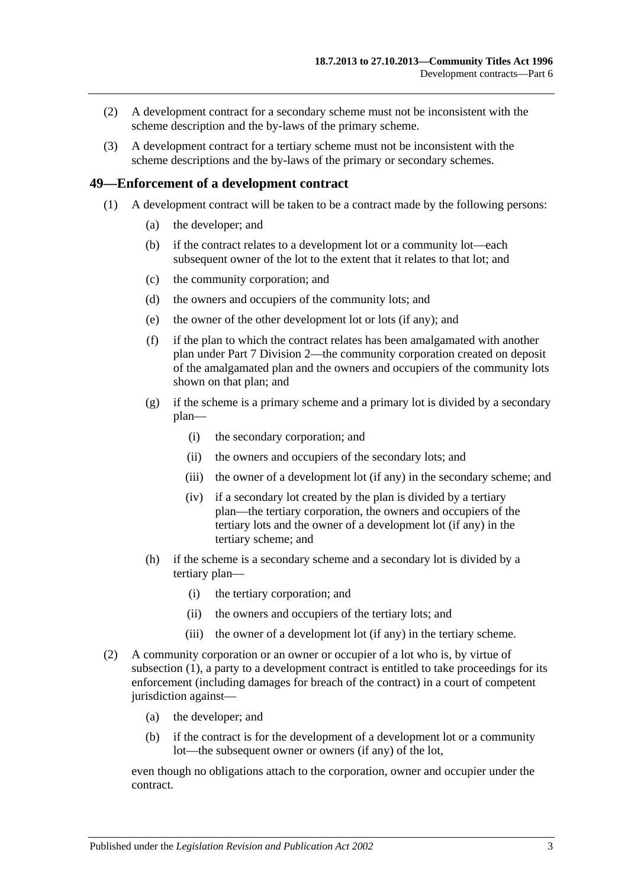- (2) A development contract for a secondary scheme must not be inconsistent with the scheme description and the by-laws of the primary scheme.
- (3) A development contract for a tertiary scheme must not be inconsistent with the scheme descriptions and the by-laws of the primary or secondary schemes.

### <span id="page-44-0"></span>**49—Enforcement of a development contract**

- (1) A development contract will be taken to be a contract made by the following persons:
	- (a) the developer; and
	- (b) if the contract relates to a development lot or a community lot—each subsequent owner of the lot to the extent that it relates to that lot; and
	- (c) the community corporation; and
	- (d) the owners and occupiers of the community lots; and
	- (e) the owner of the other development lot or lots (if any); and
	- (f) if the plan to which the contract relates has been amalgamated with another plan under [Part 7](#page-48-0) [Division 2—](#page-55-0)the community corporation created on deposit of the amalgamated plan and the owners and occupiers of the community lots shown on that plan; and
	- (g) if the scheme is a primary scheme and a primary lot is divided by a secondary plan—
		- (i) the secondary corporation; and
		- (ii) the owners and occupiers of the secondary lots; and
		- (iii) the owner of a development lot (if any) in the secondary scheme; and
		- (iv) if a secondary lot created by the plan is divided by a tertiary plan—the tertiary corporation, the owners and occupiers of the tertiary lots and the owner of a development lot (if any) in the tertiary scheme; and
	- (h) if the scheme is a secondary scheme and a secondary lot is divided by a tertiary plan—
		- (i) the tertiary corporation; and
		- (ii) the owners and occupiers of the tertiary lots; and
		- (iii) the owner of a development lot (if any) in the tertiary scheme.
- (2) A community corporation or an owner or occupier of a lot who is, by virtue of [subsection](#page-44-0) (1), a party to a development contract is entitled to take proceedings for its enforcement (including damages for breach of the contract) in a court of competent jurisdiction against—
	- (a) the developer; and
	- (b) if the contract is for the development of a development lot or a community lot—the subsequent owner or owners (if any) of the lot,

even though no obligations attach to the corporation, owner and occupier under the contract.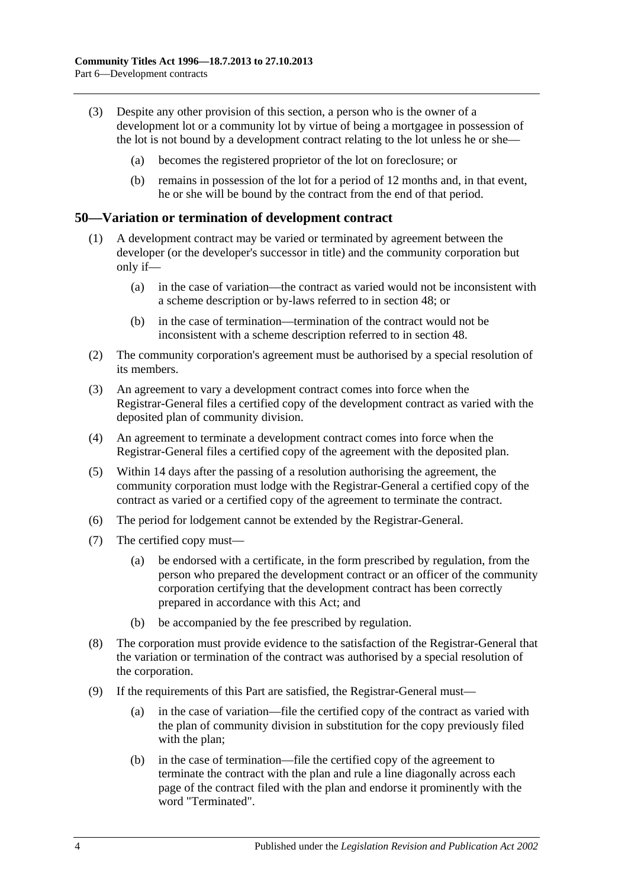- (3) Despite any other provision of this section, a person who is the owner of a development lot or a community lot by virtue of being a mortgagee in possession of the lot is not bound by a development contract relating to the lot unless he or she—
	- (a) becomes the registered proprietor of the lot on foreclosure; or
	- (b) remains in possession of the lot for a period of 12 months and, in that event, he or she will be bound by the contract from the end of that period.

### **50—Variation or termination of development contract**

- (1) A development contract may be varied or terminated by agreement between the developer (or the developer's successor in title) and the community corporation but only if—
	- (a) in the case of variation—the contract as varied would not be inconsistent with a scheme description or by-laws referred to in [section](#page-43-0) 48; or
	- (b) in the case of termination—termination of the contract would not be inconsistent with a scheme description referred to in [section](#page-43-0) 48.
- (2) The community corporation's agreement must be authorised by a special resolution of its members.
- (3) An agreement to vary a development contract comes into force when the Registrar-General files a certified copy of the development contract as varied with the deposited plan of community division.
- (4) An agreement to terminate a development contract comes into force when the Registrar-General files a certified copy of the agreement with the deposited plan.
- (5) Within 14 days after the passing of a resolution authorising the agreement, the community corporation must lodge with the Registrar-General a certified copy of the contract as varied or a certified copy of the agreement to terminate the contract.
- (6) The period for lodgement cannot be extended by the Registrar-General.
- (7) The certified copy must—
	- (a) be endorsed with a certificate, in the form prescribed by regulation, from the person who prepared the development contract or an officer of the community corporation certifying that the development contract has been correctly prepared in accordance with this Act; and
	- (b) be accompanied by the fee prescribed by regulation.
- (8) The corporation must provide evidence to the satisfaction of the Registrar-General that the variation or termination of the contract was authorised by a special resolution of the corporation.
- (9) If the requirements of this Part are satisfied, the Registrar-General must—
	- (a) in the case of variation—file the certified copy of the contract as varied with the plan of community division in substitution for the copy previously filed with the plan;
	- (b) in the case of termination—file the certified copy of the agreement to terminate the contract with the plan and rule a line diagonally across each page of the contract filed with the plan and endorse it prominently with the word "Terminated".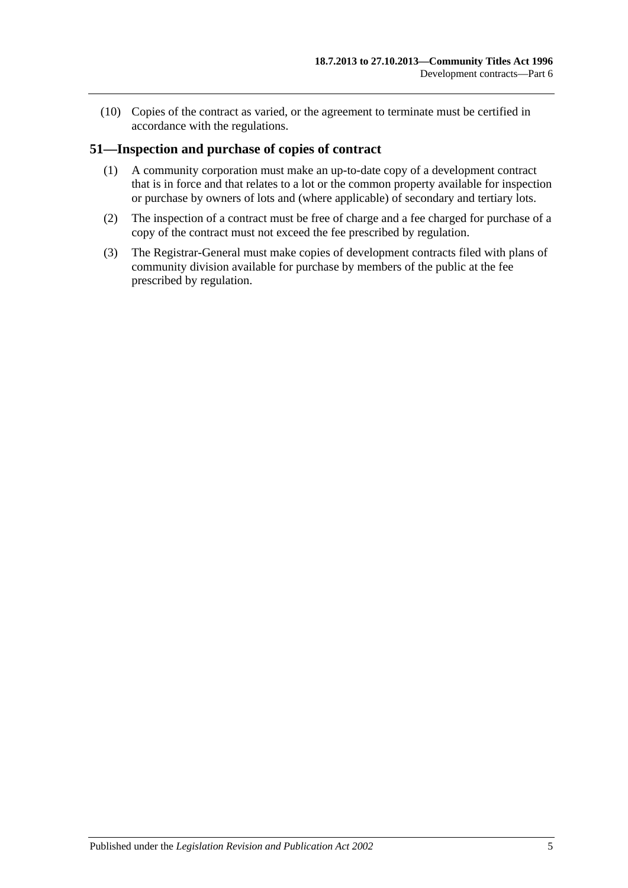(10) Copies of the contract as varied, or the agreement to terminate must be certified in accordance with the regulations.

### **51—Inspection and purchase of copies of contract**

- (1) A community corporation must make an up-to-date copy of a development contract that is in force and that relates to a lot or the common property available for inspection or purchase by owners of lots and (where applicable) of secondary and tertiary lots.
- (2) The inspection of a contract must be free of charge and a fee charged for purchase of a copy of the contract must not exceed the fee prescribed by regulation.
- (3) The Registrar-General must make copies of development contracts filed with plans of community division available for purchase by members of the public at the fee prescribed by regulation.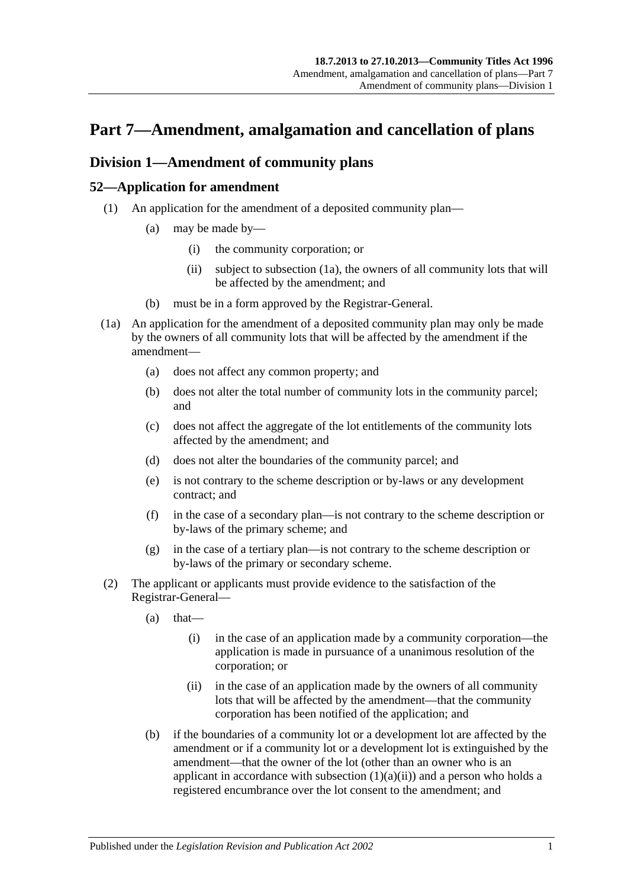# <span id="page-48-0"></span>**Part 7—Amendment, amalgamation and cancellation of plans**

# <span id="page-48-5"></span>**Division 1—Amendment of community plans**

## <span id="page-48-4"></span>**52—Application for amendment**

- <span id="page-48-2"></span>(1) An application for the amendment of a deposited community plan—
	- (a) may be made by—
		- (i) the community corporation; or
		- (ii) subject to [subsection](#page-48-1) (1a), the owners of all community lots that will be affected by the amendment; and
	- (b) must be in a form approved by the Registrar-General.
- <span id="page-48-1"></span>(1a) An application for the amendment of a deposited community plan may only be made by the owners of all community lots that will be affected by the amendment if the amendment—
	- (a) does not affect any common property; and
	- (b) does not alter the total number of community lots in the community parcel; and
	- (c) does not affect the aggregate of the lot entitlements of the community lots affected by the amendment; and
	- (d) does not alter the boundaries of the community parcel; and
	- (e) is not contrary to the scheme description or by-laws or any development contract; and
	- (f) in the case of a secondary plan—is not contrary to the scheme description or by-laws of the primary scheme; and
	- (g) in the case of a tertiary plan—is not contrary to the scheme description or by-laws of the primary or secondary scheme.
- <span id="page-48-3"></span>(2) The applicant or applicants must provide evidence to the satisfaction of the Registrar-General—
	- $(a)$  that—
		- (i) in the case of an application made by a community corporation—the application is made in pursuance of a unanimous resolution of the corporation; or
		- (ii) in the case of an application made by the owners of all community lots that will be affected by the amendment—that the community corporation has been notified of the application; and
	- (b) if the boundaries of a community lot or a development lot are affected by the amendment or if a community lot or a development lot is extinguished by the amendment—that the owner of the lot (other than an owner who is an applicant in accordance with [subsection](#page-48-2)  $(1)(a)(ii)$  and a person who holds a registered encumbrance over the lot consent to the amendment; and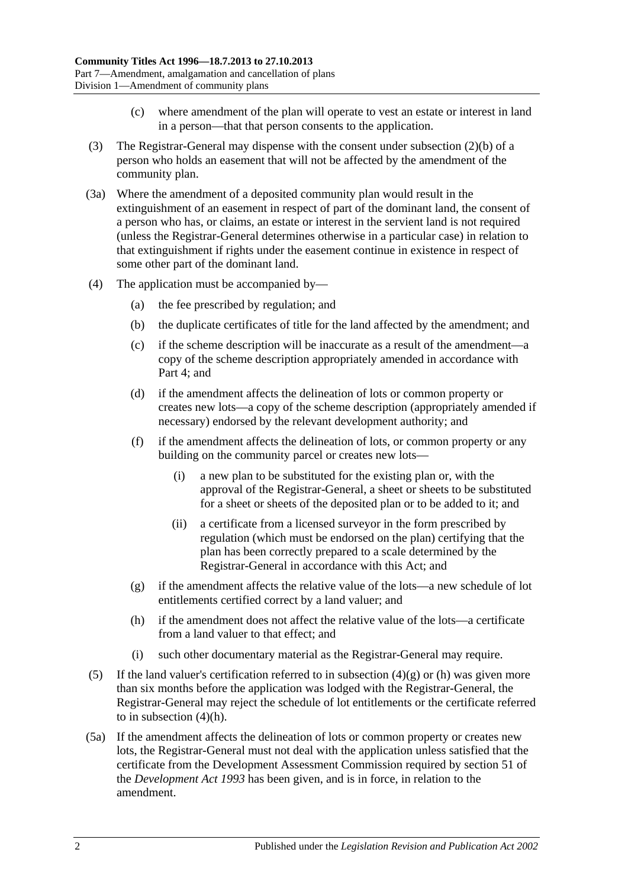- (c) where amendment of the plan will operate to vest an estate or interest in land in a person—that that person consents to the application.
- (3) The Registrar-General may dispense with the consent under [subsection](#page-48-3) (2)(b) of a person who holds an easement that will not be affected by the amendment of the community plan.
- (3a) Where the amendment of a deposited community plan would result in the extinguishment of an easement in respect of part of the dominant land, the consent of a person who has, or claims, an estate or interest in the servient land is not required (unless the Registrar-General determines otherwise in a particular case) in relation to that extinguishment if rights under the easement continue in existence in respect of some other part of the dominant land.
- (4) The application must be accompanied by—
	- (a) the fee prescribed by regulation; and
	- (b) the duplicate certificates of title for the land affected by the amendment; and
	- (c) if the scheme description will be inaccurate as a result of the amendment—a copy of the scheme description appropriately amended in accordance with [Part 4;](#page-32-0) and
	- (d) if the amendment affects the delineation of lots or common property or creates new lots—a copy of the scheme description (appropriately amended if necessary) endorsed by the relevant development authority; and
	- (f) if the amendment affects the delineation of lots, or common property or any building on the community parcel or creates new lots—
		- (i) a new plan to be substituted for the existing plan or, with the approval of the Registrar-General, a sheet or sheets to be substituted for a sheet or sheets of the deposited plan or to be added to it; and
		- (ii) a certificate from a licensed surveyor in the form prescribed by regulation (which must be endorsed on the plan) certifying that the plan has been correctly prepared to a scale determined by the Registrar-General in accordance with this Act; and
	- (g) if the amendment affects the relative value of the lots—a new schedule of lot entitlements certified correct by a land valuer; and
	- (h) if the amendment does not affect the relative value of the lots—a certificate from a land valuer to that effect; and
	- (i) such other documentary material as the Registrar-General may require.
- <span id="page-49-1"></span><span id="page-49-0"></span>(5) If the land valuer's certification referred to in [subsection](#page-49-0)  $(4)(g)$  or [\(h\)](#page-49-1) was given more than six months before the application was lodged with the Registrar-General, the Registrar-General may reject the schedule of lot entitlements or the certificate referred to in [subsection](#page-49-1) (4)(h).
- (5a) If the amendment affects the delineation of lots or common property or creates new lots, the Registrar-General must not deal with the application unless satisfied that the certificate from the Development Assessment Commission required by section 51 of the *[Development Act](http://www.legislation.sa.gov.au/index.aspx?action=legref&type=act&legtitle=Development%20Act%201993) 1993* has been given, and is in force, in relation to the amendment.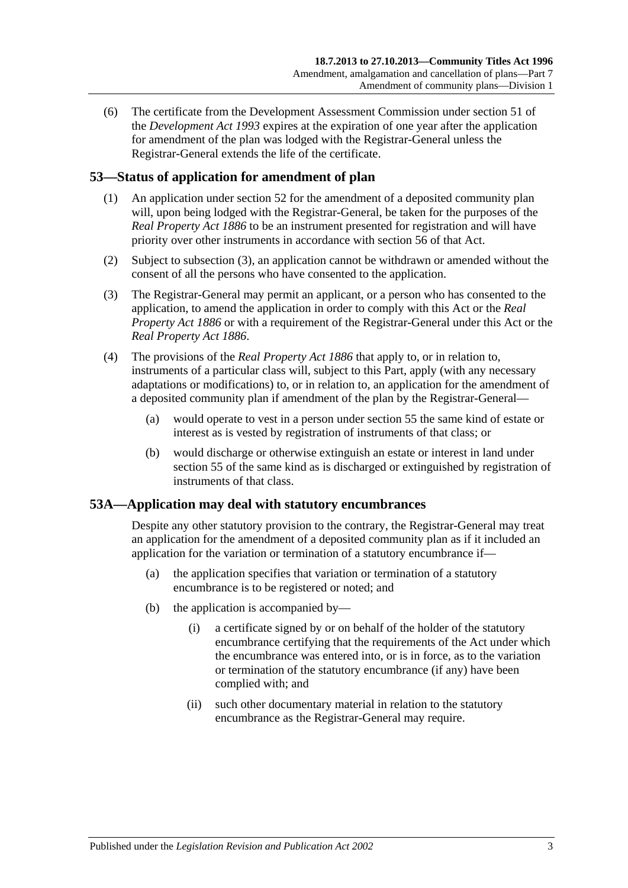(6) The certificate from the Development Assessment Commission under section 51 of the *[Development Act](http://www.legislation.sa.gov.au/index.aspx?action=legref&type=act&legtitle=Development%20Act%201993) 1993* expires at the expiration of one year after the application for amendment of the plan was lodged with the Registrar-General unless the Registrar-General extends the life of the certificate.

# **53—Status of application for amendment of plan**

- (1) An application under [section](#page-48-4) 52 for the amendment of a deposited community plan will, upon being lodged with the Registrar-General, be taken for the purposes of the *[Real Property Act](http://www.legislation.sa.gov.au/index.aspx?action=legref&type=act&legtitle=Real%20Property%20Act%201886) 1886* to be an instrument presented for registration and will have priority over other instruments in accordance with section 56 of that Act.
- (2) Subject to [subsection](#page-50-0) (3), an application cannot be withdrawn or amended without the consent of all the persons who have consented to the application.
- <span id="page-50-0"></span>(3) The Registrar-General may permit an applicant, or a person who has consented to the application, to amend the application in order to comply with this Act or the *[Real](http://www.legislation.sa.gov.au/index.aspx?action=legref&type=act&legtitle=Real%20Property%20Act%201886)  [Property Act](http://www.legislation.sa.gov.au/index.aspx?action=legref&type=act&legtitle=Real%20Property%20Act%201886) 1886* or with a requirement of the Registrar-General under this Act or the *[Real Property Act](http://www.legislation.sa.gov.au/index.aspx?action=legref&type=act&legtitle=Real%20Property%20Act%201886) 1886*.
- (4) The provisions of the *[Real Property Act](http://www.legislation.sa.gov.au/index.aspx?action=legref&type=act&legtitle=Real%20Property%20Act%201886) 1886* that apply to, or in relation to, instruments of a particular class will, subject to this Part, apply (with any necessary adaptations or modifications) to, or in relation to, an application for the amendment of a deposited community plan if amendment of the plan by the Registrar-General—
	- (a) would operate to vest in a person under [section](#page-51-0) 55 the same kind of estate or interest as is vested by registration of instruments of that class; or
	- (b) would discharge or otherwise extinguish an estate or interest in land under [section](#page-51-0) 55 of the same kind as is discharged or extinguished by registration of instruments of that class.

## **53A—Application may deal with statutory encumbrances**

Despite any other statutory provision to the contrary, the Registrar-General may treat an application for the amendment of a deposited community plan as if it included an application for the variation or termination of a statutory encumbrance if—

- (a) the application specifies that variation or termination of a statutory encumbrance is to be registered or noted; and
- (b) the application is accompanied by—
	- (i) a certificate signed by or on behalf of the holder of the statutory encumbrance certifying that the requirements of the Act under which the encumbrance was entered into, or is in force, as to the variation or termination of the statutory encumbrance (if any) have been complied with; and
	- (ii) such other documentary material in relation to the statutory encumbrance as the Registrar-General may require.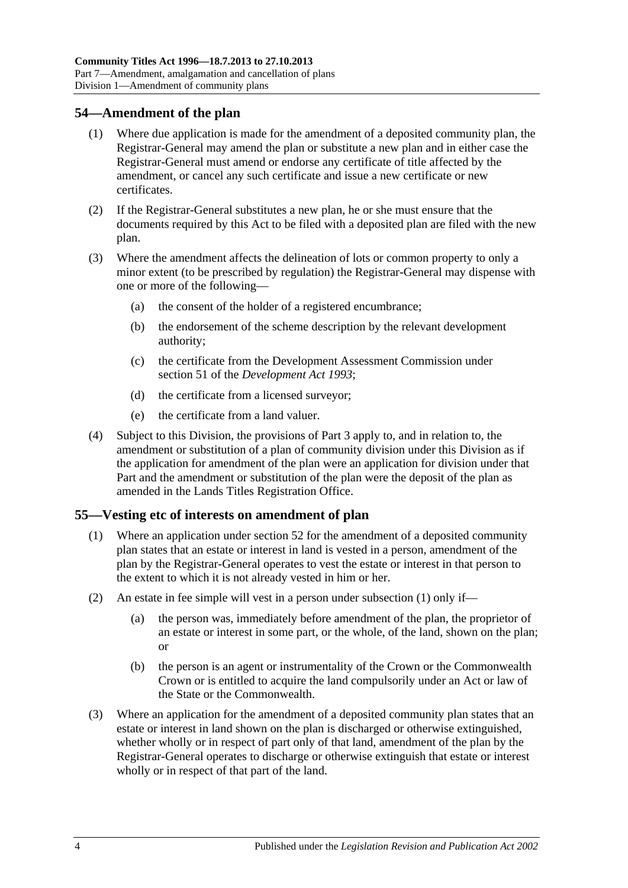### **54—Amendment of the plan**

- (1) Where due application is made for the amendment of a deposited community plan, the Registrar-General may amend the plan or substitute a new plan and in either case the Registrar-General must amend or endorse any certificate of title affected by the amendment, or cancel any such certificate and issue a new certificate or new certificates.
- (2) If the Registrar-General substitutes a new plan, he or she must ensure that the documents required by this Act to be filed with a deposited plan are filed with the new plan.
- (3) Where the amendment affects the delineation of lots or common property to only a minor extent (to be prescribed by regulation) the Registrar-General may dispense with one or more of the following—
	- (a) the consent of the holder of a registered encumbrance;
	- (b) the endorsement of the scheme description by the relevant development authority;
	- (c) the certificate from the Development Assessment Commission under section 51 of the *[Development Act](http://www.legislation.sa.gov.au/index.aspx?action=legref&type=act&legtitle=Development%20Act%201993) 1993*;
	- (d) the certificate from a licensed surveyor;
	- (e) the certificate from a land valuer.
- (4) Subject to this Division, the provisions of [Part 3](#page-18-0) apply to, and in relation to, the amendment or substitution of a plan of community division under this Division as if the application for amendment of the plan were an application for division under that Part and the amendment or substitution of the plan were the deposit of the plan as amended in the Lands Titles Registration Office.

### <span id="page-51-1"></span><span id="page-51-0"></span>**55—Vesting etc of interests on amendment of plan**

- (1) Where an application under [section](#page-48-4) 52 for the amendment of a deposited community plan states that an estate or interest in land is vested in a person, amendment of the plan by the Registrar-General operates to vest the estate or interest in that person to the extent to which it is not already vested in him or her.
- (2) An estate in fee simple will vest in a person under [subsection](#page-51-1) (1) only if—
	- (a) the person was, immediately before amendment of the plan, the proprietor of an estate or interest in some part, or the whole, of the land, shown on the plan; or
	- (b) the person is an agent or instrumentality of the Crown or the Commonwealth Crown or is entitled to acquire the land compulsorily under an Act or law of the State or the Commonwealth.
- (3) Where an application for the amendment of a deposited community plan states that an estate or interest in land shown on the plan is discharged or otherwise extinguished, whether wholly or in respect of part only of that land, amendment of the plan by the Registrar-General operates to discharge or otherwise extinguish that estate or interest wholly or in respect of that part of the land.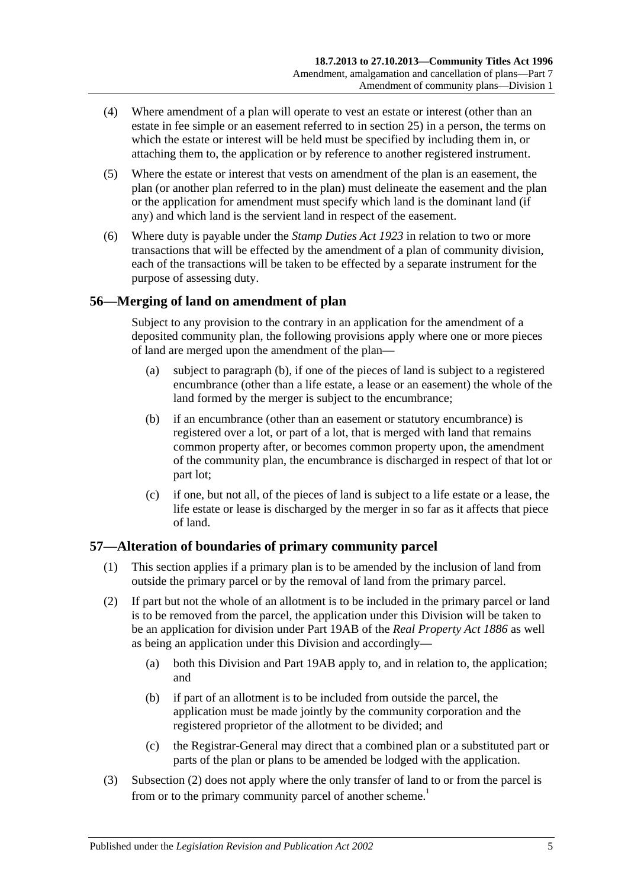- (4) Where amendment of a plan will operate to vest an estate or interest (other than an estate in fee simple or an easement referred to in [section](#page-27-0) 25) in a person, the terms on which the estate or interest will be held must be specified by including them in, or attaching them to, the application or by reference to another registered instrument.
- (5) Where the estate or interest that vests on amendment of the plan is an easement, the plan (or another plan referred to in the plan) must delineate the easement and the plan or the application for amendment must specify which land is the dominant land (if any) and which land is the servient land in respect of the easement.
- (6) Where duty is payable under the *[Stamp Duties Act](http://www.legislation.sa.gov.au/index.aspx?action=legref&type=act&legtitle=Stamp%20Duties%20Act%201923) 1923* in relation to two or more transactions that will be effected by the amendment of a plan of community division, each of the transactions will be taken to be effected by a separate instrument for the purpose of assessing duty.

# **56—Merging of land on amendment of plan**

Subject to any provision to the contrary in an application for the amendment of a deposited community plan, the following provisions apply where one or more pieces of land are merged upon the amendment of the plan—

- (a) subject to [paragraph](#page-52-0) (b), if one of the pieces of land is subject to a registered encumbrance (other than a life estate, a lease or an easement) the whole of the land formed by the merger is subject to the encumbrance;
- <span id="page-52-0"></span>(b) if an encumbrance (other than an easement or statutory encumbrance) is registered over a lot, or part of a lot, that is merged with land that remains common property after, or becomes common property upon, the amendment of the community plan, the encumbrance is discharged in respect of that lot or part lot;
- (c) if one, but not all, of the pieces of land is subject to a life estate or a lease, the life estate or lease is discharged by the merger in so far as it affects that piece of land.

## **57—Alteration of boundaries of primary community parcel**

- (1) This section applies if a primary plan is to be amended by the inclusion of land from outside the primary parcel or by the removal of land from the primary parcel.
- <span id="page-52-1"></span>(2) If part but not the whole of an allotment is to be included in the primary parcel or land is to be removed from the parcel, the application under this Division will be taken to be an application for division under Part 19AB of the *[Real Property Act](http://www.legislation.sa.gov.au/index.aspx?action=legref&type=act&legtitle=Real%20Property%20Act%201886) 1886* as well as being an application under this Division and accordingly—
	- (a) both this Division and Part 19AB apply to, and in relation to, the application; and
	- (b) if part of an allotment is to be included from outside the parcel, the application must be made jointly by the community corporation and the registered proprietor of the allotment to be divided; and
	- (c) the Registrar-General may direct that a combined plan or a substituted part or parts of the plan or plans to be amended be lodged with the application.
- (3) [Subsection](#page-52-1) (2) does not apply where the only transfer of land to or from the parcel is from or to the primary community parcel of another scheme.<sup>1</sup>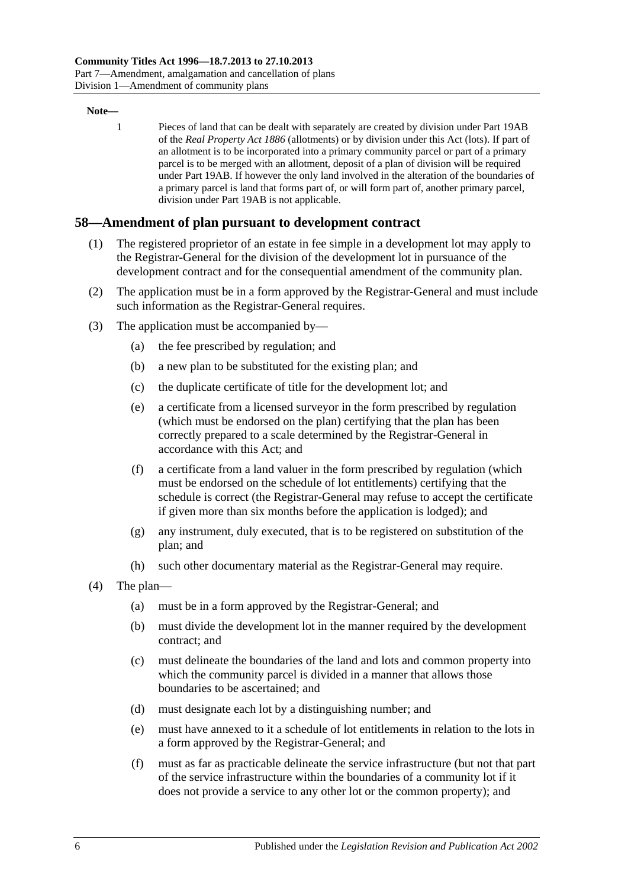#### **Note—**

1 Pieces of land that can be dealt with separately are created by division under Part 19AB of the *[Real Property Act](http://www.legislation.sa.gov.au/index.aspx?action=legref&type=act&legtitle=Real%20Property%20Act%201886) 1886* (allotments) or by division under this Act (lots). If part of an allotment is to be incorporated into a primary community parcel or part of a primary parcel is to be merged with an allotment, deposit of a plan of division will be required under Part 19AB. If however the only land involved in the alteration of the boundaries of a primary parcel is land that forms part of, or will form part of, another primary parcel, division under Part 19AB is not applicable.

### **58—Amendment of plan pursuant to development contract**

- (1) The registered proprietor of an estate in fee simple in a development lot may apply to the Registrar-General for the division of the development lot in pursuance of the development contract and for the consequential amendment of the community plan.
- (2) The application must be in a form approved by the Registrar-General and must include such information as the Registrar-General requires.
- (3) The application must be accompanied by—
	- (a) the fee prescribed by regulation; and
	- (b) a new plan to be substituted for the existing plan; and
	- (c) the duplicate certificate of title for the development lot; and
	- (e) a certificate from a licensed surveyor in the form prescribed by regulation (which must be endorsed on the plan) certifying that the plan has been correctly prepared to a scale determined by the Registrar-General in accordance with this Act; and
	- (f) a certificate from a land valuer in the form prescribed by regulation (which must be endorsed on the schedule of lot entitlements) certifying that the schedule is correct (the Registrar-General may refuse to accept the certificate if given more than six months before the application is lodged); and
	- (g) any instrument, duly executed, that is to be registered on substitution of the plan; and
	- (h) such other documentary material as the Registrar-General may require.
- (4) The plan—
	- (a) must be in a form approved by the Registrar-General; and
	- (b) must divide the development lot in the manner required by the development contract; and
	- (c) must delineate the boundaries of the land and lots and common property into which the community parcel is divided in a manner that allows those boundaries to be ascertained; and
	- (d) must designate each lot by a distinguishing number; and
	- (e) must have annexed to it a schedule of lot entitlements in relation to the lots in a form approved by the Registrar-General; and
	- (f) must as far as practicable delineate the service infrastructure (but not that part of the service infrastructure within the boundaries of a community lot if it does not provide a service to any other lot or the common property); and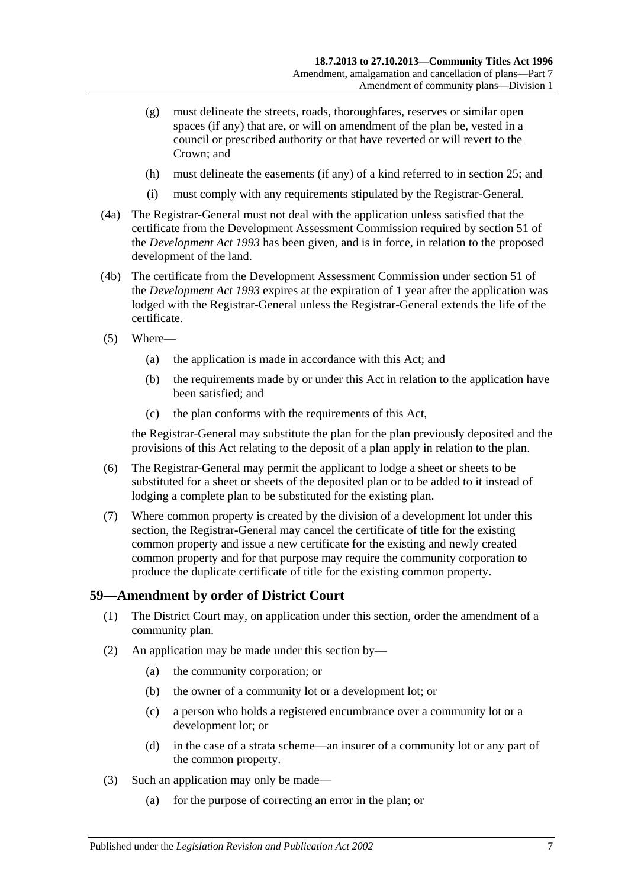- (g) must delineate the streets, roads, thoroughfares, reserves or similar open spaces (if any) that are, or will on amendment of the plan be, vested in a council or prescribed authority or that have reverted or will revert to the Crown; and
- (h) must delineate the easements (if any) of a kind referred to in [section](#page-27-0) 25; and
- (i) must comply with any requirements stipulated by the Registrar-General.
- (4a) The Registrar-General must not deal with the application unless satisfied that the certificate from the Development Assessment Commission required by section 51 of the *[Development Act](http://www.legislation.sa.gov.au/index.aspx?action=legref&type=act&legtitle=Development%20Act%201993) 1993* has been given, and is in force, in relation to the proposed development of the land.
- (4b) The certificate from the Development Assessment Commission under section 51 of the *[Development Act](http://www.legislation.sa.gov.au/index.aspx?action=legref&type=act&legtitle=Development%20Act%201993) 1993* expires at the expiration of 1 year after the application was lodged with the Registrar-General unless the Registrar-General extends the life of the certificate.
- (5) Where—
	- (a) the application is made in accordance with this Act; and
	- (b) the requirements made by or under this Act in relation to the application have been satisfied; and
	- (c) the plan conforms with the requirements of this Act,

the Registrar-General may substitute the plan for the plan previously deposited and the provisions of this Act relating to the deposit of a plan apply in relation to the plan.

- (6) The Registrar-General may permit the applicant to lodge a sheet or sheets to be substituted for a sheet or sheets of the deposited plan or to be added to it instead of lodging a complete plan to be substituted for the existing plan.
- (7) Where common property is created by the division of a development lot under this section, the Registrar-General may cancel the certificate of title for the existing common property and issue a new certificate for the existing and newly created common property and for that purpose may require the community corporation to produce the duplicate certificate of title for the existing common property.

## **59—Amendment by order of District Court**

- (1) The District Court may, on application under this section, order the amendment of a community plan.
- (2) An application may be made under this section by—
	- (a) the community corporation; or
	- (b) the owner of a community lot or a development lot; or
	- (c) a person who holds a registered encumbrance over a community lot or a development lot; or
	- (d) in the case of a strata scheme—an insurer of a community lot or any part of the common property.
- (3) Such an application may only be made—
	- (a) for the purpose of correcting an error in the plan; or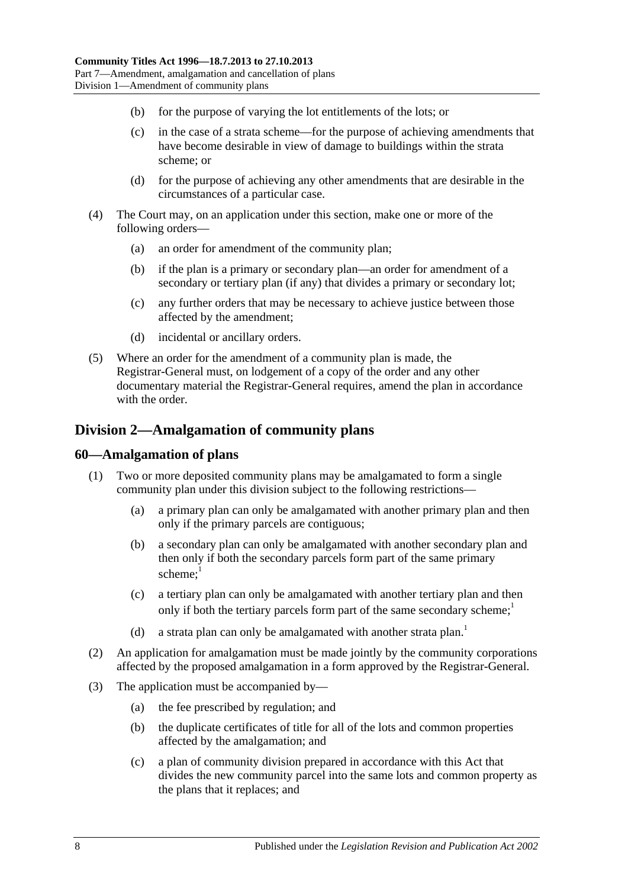- (b) for the purpose of varying the lot entitlements of the lots; or
- (c) in the case of a strata scheme—for the purpose of achieving amendments that have become desirable in view of damage to buildings within the strata scheme; or
- (d) for the purpose of achieving any other amendments that are desirable in the circumstances of a particular case.
- (4) The Court may, on an application under this section, make one or more of the following orders—
	- (a) an order for amendment of the community plan;
	- (b) if the plan is a primary or secondary plan—an order for amendment of a secondary or tertiary plan (if any) that divides a primary or secondary lot;
	- (c) any further orders that may be necessary to achieve justice between those affected by the amendment;
	- (d) incidental or ancillary orders.
- (5) Where an order for the amendment of a community plan is made, the Registrar-General must, on lodgement of a copy of the order and any other documentary material the Registrar-General requires, amend the plan in accordance with the order.

# <span id="page-55-0"></span>**Division 2—Amalgamation of community plans**

### **60—Amalgamation of plans**

- (1) Two or more deposited community plans may be amalgamated to form a single community plan under this division subject to the following restrictions—
	- (a) a primary plan can only be amalgamated with another primary plan and then only if the primary parcels are contiguous;
	- (b) a secondary plan can only be amalgamated with another secondary plan and then only if both the secondary parcels form part of the same primary scheme: $1$
	- (c) a tertiary plan can only be amalgamated with another tertiary plan and then only if both the tertiary parcels form part of the same secondary scheme; $\frac{1}{1}$
	- (d) a strata plan can only be amalgamated with another strata plan.<sup>1</sup>
- (2) An application for amalgamation must be made jointly by the community corporations affected by the proposed amalgamation in a form approved by the Registrar-General.
- (3) The application must be accompanied by—
	- (a) the fee prescribed by regulation; and
	- (b) the duplicate certificates of title for all of the lots and common properties affected by the amalgamation; and
	- (c) a plan of community division prepared in accordance with this Act that divides the new community parcel into the same lots and common property as the plans that it replaces; and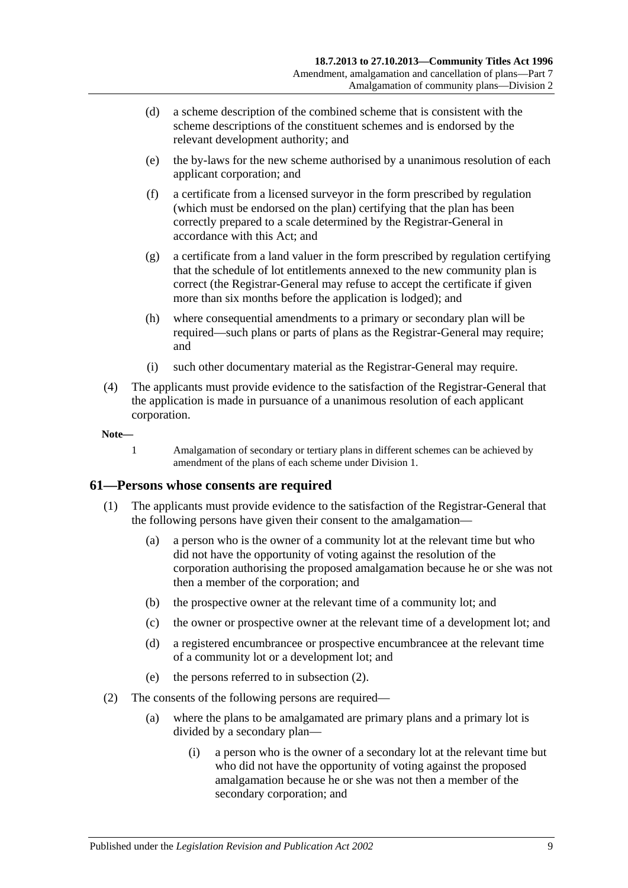- (d) a scheme description of the combined scheme that is consistent with the scheme descriptions of the constituent schemes and is endorsed by the relevant development authority; and
- (e) the by-laws for the new scheme authorised by a unanimous resolution of each applicant corporation; and
- (f) a certificate from a licensed surveyor in the form prescribed by regulation (which must be endorsed on the plan) certifying that the plan has been correctly prepared to a scale determined by the Registrar-General in accordance with this Act; and
- (g) a certificate from a land valuer in the form prescribed by regulation certifying that the schedule of lot entitlements annexed to the new community plan is correct (the Registrar-General may refuse to accept the certificate if given more than six months before the application is lodged); and
- (h) where consequential amendments to a primary or secondary plan will be required—such plans or parts of plans as the Registrar-General may require; and
- (i) such other documentary material as the Registrar-General may require.
- (4) The applicants must provide evidence to the satisfaction of the Registrar-General that the application is made in pursuance of a unanimous resolution of each applicant corporation.

#### **Note—**

1 Amalgamation of secondary or tertiary plans in different schemes can be achieved by amendment of the plans of each scheme under [Division 1.](#page-48-5)

### **61—Persons whose consents are required**

- (1) The applicants must provide evidence to the satisfaction of the Registrar-General that the following persons have given their consent to the amalgamation—
	- (a) a person who is the owner of a community lot at the relevant time but who did not have the opportunity of voting against the resolution of the corporation authorising the proposed amalgamation because he or she was not then a member of the corporation; and
	- (b) the prospective owner at the relevant time of a community lot; and
	- (c) the owner or prospective owner at the relevant time of a development lot; and
	- (d) a registered encumbrancee or prospective encumbrancee at the relevant time of a community lot or a development lot; and
	- (e) the persons referred to in [subsection](#page-56-0) (2).
- <span id="page-56-0"></span>(2) The consents of the following persons are required—
	- (a) where the plans to be amalgamated are primary plans and a primary lot is divided by a secondary plan—
		- (i) a person who is the owner of a secondary lot at the relevant time but who did not have the opportunity of voting against the proposed amalgamation because he or she was not then a member of the secondary corporation; and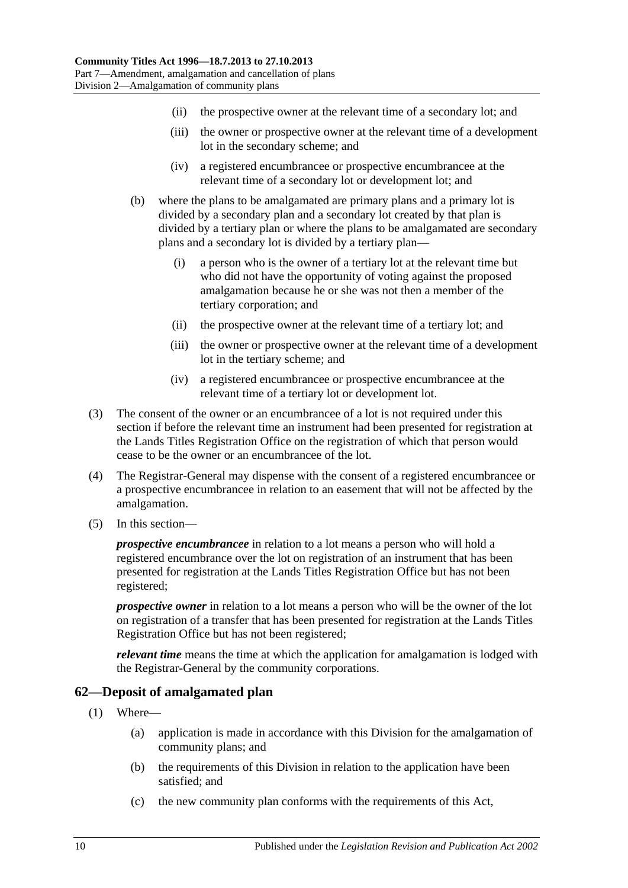- (ii) the prospective owner at the relevant time of a secondary lot; and
- (iii) the owner or prospective owner at the relevant time of a development lot in the secondary scheme; and
- (iv) a registered encumbrancee or prospective encumbrancee at the relevant time of a secondary lot or development lot; and
- (b) where the plans to be amalgamated are primary plans and a primary lot is divided by a secondary plan and a secondary lot created by that plan is divided by a tertiary plan or where the plans to be amalgamated are secondary plans and a secondary lot is divided by a tertiary plan—
	- (i) a person who is the owner of a tertiary lot at the relevant time but who did not have the opportunity of voting against the proposed amalgamation because he or she was not then a member of the tertiary corporation; and
	- (ii) the prospective owner at the relevant time of a tertiary lot; and
	- (iii) the owner or prospective owner at the relevant time of a development lot in the tertiary scheme; and
	- (iv) a registered encumbrancee or prospective encumbrancee at the relevant time of a tertiary lot or development lot.
- (3) The consent of the owner or an encumbrancee of a lot is not required under this section if before the relevant time an instrument had been presented for registration at the Lands Titles Registration Office on the registration of which that person would cease to be the owner or an encumbrancee of the lot.
- (4) The Registrar-General may dispense with the consent of a registered encumbrancee or a prospective encumbrancee in relation to an easement that will not be affected by the amalgamation.
- (5) In this section—

*prospective encumbrancee* in relation to a lot means a person who will hold a registered encumbrance over the lot on registration of an instrument that has been presented for registration at the Lands Titles Registration Office but has not been registered;

*prospective owner* in relation to a lot means a person who will be the owner of the lot on registration of a transfer that has been presented for registration at the Lands Titles Registration Office but has not been registered;

*relevant time* means the time at which the application for amalgamation is lodged with the Registrar-General by the community corporations.

## **62—Deposit of amalgamated plan**

- (1) Where—
	- (a) application is made in accordance with this Division for the amalgamation of community plans; and
	- (b) the requirements of this Division in relation to the application have been satisfied; and
	- (c) the new community plan conforms with the requirements of this Act,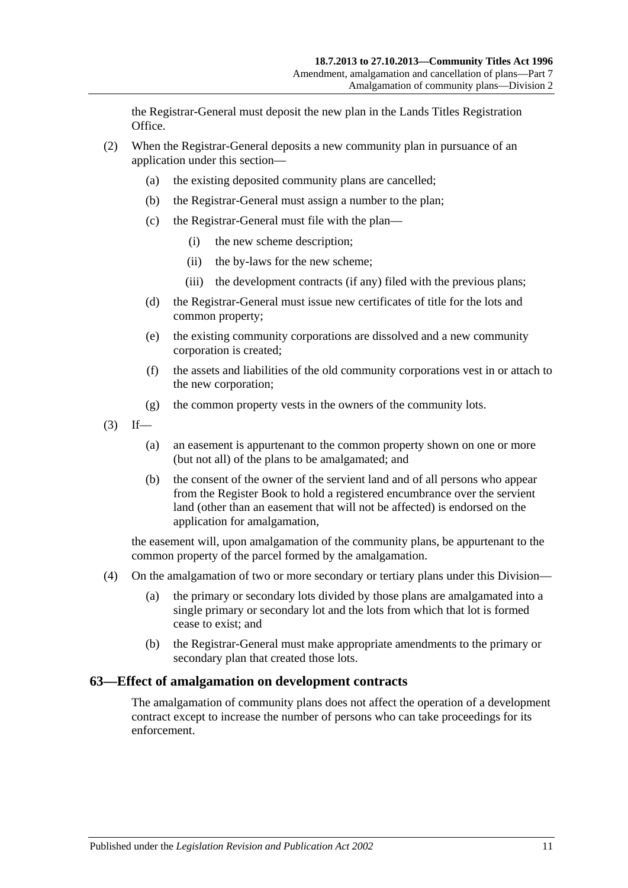the Registrar-General must deposit the new plan in the Lands Titles Registration Office.

- (2) When the Registrar-General deposits a new community plan in pursuance of an application under this section—
	- (a) the existing deposited community plans are cancelled;
	- (b) the Registrar-General must assign a number to the plan;
	- (c) the Registrar-General must file with the plan—
		- (i) the new scheme description;
		- (ii) the by-laws for the new scheme;
		- (iii) the development contracts (if any) filed with the previous plans;
	- (d) the Registrar-General must issue new certificates of title for the lots and common property;
	- (e) the existing community corporations are dissolved and a new community corporation is created;
	- (f) the assets and liabilities of the old community corporations vest in or attach to the new corporation;
	- (g) the common property vests in the owners of the community lots.
- $(3)$  If—
	- (a) an easement is appurtenant to the common property shown on one or more (but not all) of the plans to be amalgamated; and
	- (b) the consent of the owner of the servient land and of all persons who appear from the Register Book to hold a registered encumbrance over the servient land (other than an easement that will not be affected) is endorsed on the application for amalgamation,

the easement will, upon amalgamation of the community plans, be appurtenant to the common property of the parcel formed by the amalgamation.

- (4) On the amalgamation of two or more secondary or tertiary plans under this Division—
	- (a) the primary or secondary lots divided by those plans are amalgamated into a single primary or secondary lot and the lots from which that lot is formed cease to exist; and
	- (b) the Registrar-General must make appropriate amendments to the primary or secondary plan that created those lots.

### **63—Effect of amalgamation on development contracts**

The amalgamation of community plans does not affect the operation of a development contract except to increase the number of persons who can take proceedings for its enforcement.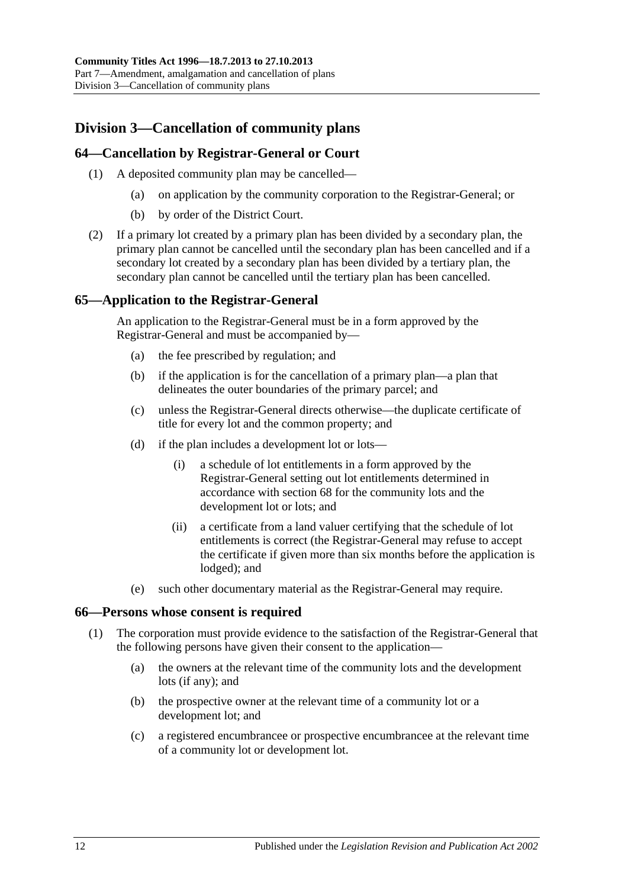# <span id="page-59-1"></span>**Division 3—Cancellation of community plans**

# **64—Cancellation by Registrar-General or Court**

- (1) A deposited community plan may be cancelled—
	- (a) on application by the community corporation to the Registrar-General; or
	- (b) by order of the District Court.
- (2) If a primary lot created by a primary plan has been divided by a secondary plan, the primary plan cannot be cancelled until the secondary plan has been cancelled and if a secondary lot created by a secondary plan has been divided by a tertiary plan, the secondary plan cannot be cancelled until the tertiary plan has been cancelled.

# **65—Application to the Registrar-General**

An application to the Registrar-General must be in a form approved by the Registrar-General and must be accompanied by—

- (a) the fee prescribed by regulation; and
- (b) if the application is for the cancellation of a primary plan—a plan that delineates the outer boundaries of the primary parcel; and
- (c) unless the Registrar-General directs otherwise—the duplicate certificate of title for every lot and the common property; and
- <span id="page-59-0"></span>(d) if the plan includes a development lot or lots—
	- (i) a schedule of lot entitlements in a form approved by the Registrar-General setting out lot entitlements determined in accordance with [section](#page-61-0) 68 for the community lots and the development lot or lots; and
	- (ii) a certificate from a land valuer certifying that the schedule of lot entitlements is correct (the Registrar-General may refuse to accept the certificate if given more than six months before the application is lodged); and
- (e) such other documentary material as the Registrar-General may require.

### **66—Persons whose consent is required**

- (1) The corporation must provide evidence to the satisfaction of the Registrar-General that the following persons have given their consent to the application—
	- (a) the owners at the relevant time of the community lots and the development lots (if any); and
	- (b) the prospective owner at the relevant time of a community lot or a development lot; and
	- (c) a registered encumbrancee or prospective encumbrancee at the relevant time of a community lot or development lot.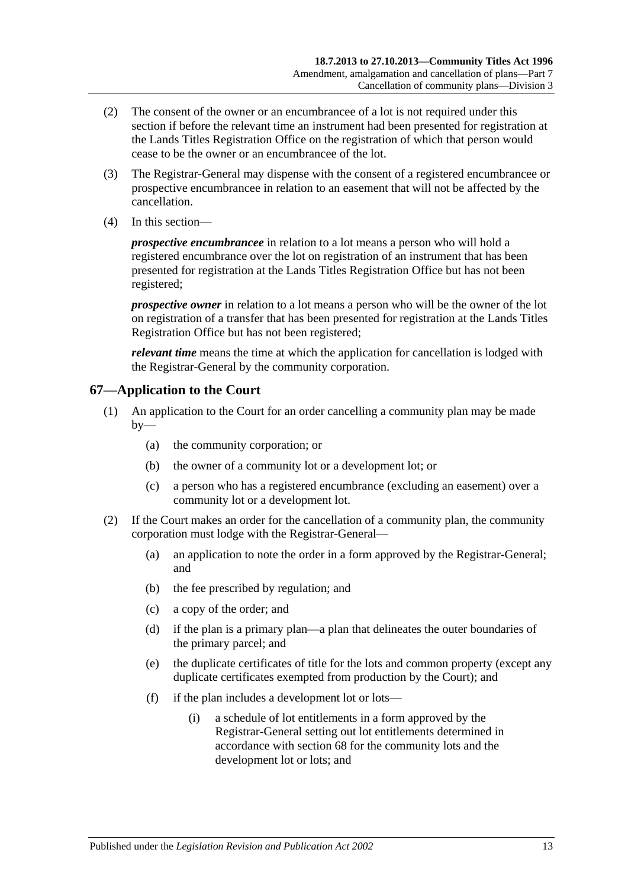- (2) The consent of the owner or an encumbrancee of a lot is not required under this section if before the relevant time an instrument had been presented for registration at the Lands Titles Registration Office on the registration of which that person would cease to be the owner or an encumbrancee of the lot.
- (3) The Registrar-General may dispense with the consent of a registered encumbrancee or prospective encumbrancee in relation to an easement that will not be affected by the cancellation.
- (4) In this section—

*prospective encumbrancee* in relation to a lot means a person who will hold a registered encumbrance over the lot on registration of an instrument that has been presented for registration at the Lands Titles Registration Office but has not been registered;

*prospective owner* in relation to a lot means a person who will be the owner of the lot on registration of a transfer that has been presented for registration at the Lands Titles Registration Office but has not been registered;

*relevant time* means the time at which the application for cancellation is lodged with the Registrar-General by the community corporation.

## **67—Application to the Court**

- (1) An application to the Court for an order cancelling a community plan may be made  $by-$ 
	- (a) the community corporation; or
	- (b) the owner of a community lot or a development lot; or
	- (c) a person who has a registered encumbrance (excluding an easement) over a community lot or a development lot.
- <span id="page-60-0"></span>(2) If the Court makes an order for the cancellation of a community plan, the community corporation must lodge with the Registrar-General—
	- (a) an application to note the order in a form approved by the Registrar-General; and
	- (b) the fee prescribed by regulation; and
	- (c) a copy of the order; and
	- (d) if the plan is a primary plan—a plan that delineates the outer boundaries of the primary parcel; and
	- (e) the duplicate certificates of title for the lots and common property (except any duplicate certificates exempted from production by the Court); and
	- (f) if the plan includes a development lot or lots—
		- (i) a schedule of lot entitlements in a form approved by the Registrar-General setting out lot entitlements determined in accordance with [section](#page-61-0) 68 for the community lots and the development lot or lots; and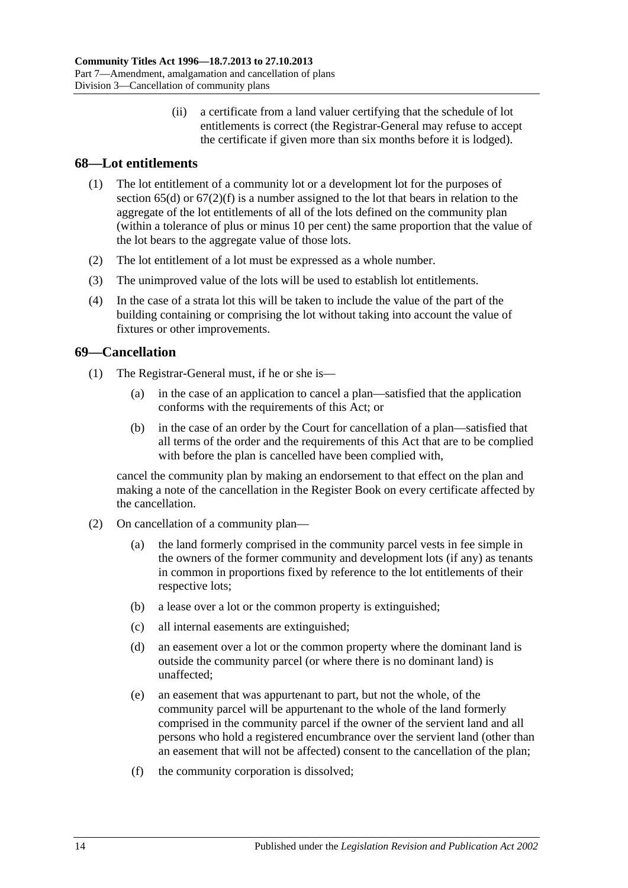(ii) a certificate from a land valuer certifying that the schedule of lot entitlements is correct (the Registrar-General may refuse to accept the certificate if given more than six months before it is lodged).

# <span id="page-61-0"></span>**68—Lot entitlements**

- (1) The lot entitlement of a community lot or a development lot for the purposes of [section](#page-59-0)  $65(d)$  or  $67(2)(f)$  is a number assigned to the lot that bears in relation to the aggregate of the lot entitlements of all of the lots defined on the community plan (within a tolerance of plus or minus 10 per cent) the same proportion that the value of the lot bears to the aggregate value of those lots.
- (2) The lot entitlement of a lot must be expressed as a whole number.
- (3) The unimproved value of the lots will be used to establish lot entitlements.
- (4) In the case of a strata lot this will be taken to include the value of the part of the building containing or comprising the lot without taking into account the value of fixtures or other improvements.

# **69—Cancellation**

- (1) The Registrar-General must, if he or she is—
	- (a) in the case of an application to cancel a plan—satisfied that the application conforms with the requirements of this Act; or
	- (b) in the case of an order by the Court for cancellation of a plan—satisfied that all terms of the order and the requirements of this Act that are to be complied with before the plan is cancelled have been complied with,

cancel the community plan by making an endorsement to that effect on the plan and making a note of the cancellation in the Register Book on every certificate affected by the cancellation.

- <span id="page-61-2"></span><span id="page-61-1"></span>(2) On cancellation of a community plan—
	- (a) the land formerly comprised in the community parcel vests in fee simple in the owners of the former community and development lots (if any) as tenants in common in proportions fixed by reference to the lot entitlements of their respective lots;
	- (b) a lease over a lot or the common property is extinguished;
	- (c) all internal easements are extinguished;
	- (d) an easement over a lot or the common property where the dominant land is outside the community parcel (or where there is no dominant land) is unaffected;
	- (e) an easement that was appurtenant to part, but not the whole, of the community parcel will be appurtenant to the whole of the land formerly comprised in the community parcel if the owner of the servient land and all persons who hold a registered encumbrance over the servient land (other than an easement that will not be affected) consent to the cancellation of the plan;
	- (f) the community corporation is dissolved;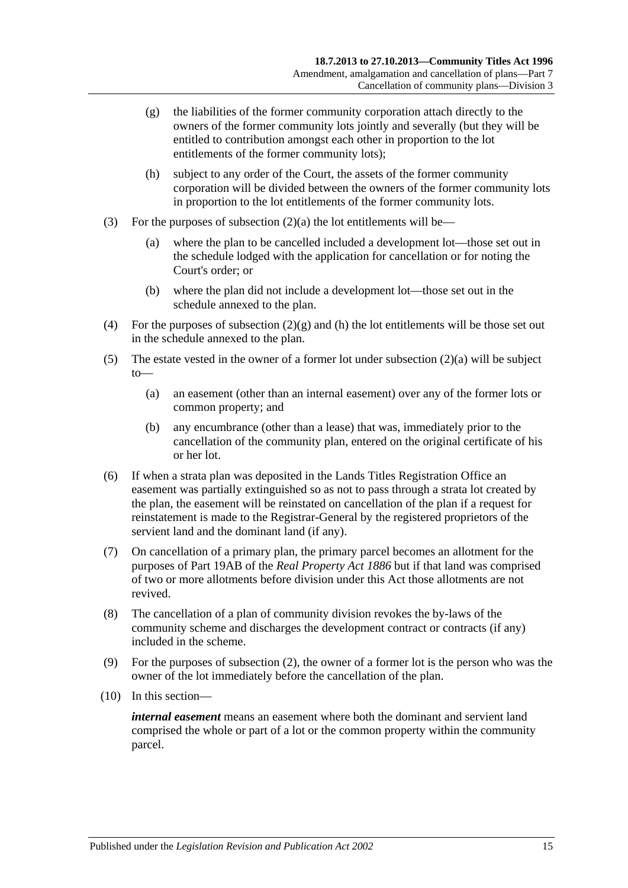- <span id="page-62-0"></span>(g) the liabilities of the former community corporation attach directly to the owners of the former community lots jointly and severally (but they will be entitled to contribution amongst each other in proportion to the lot entitlements of the former community lots);
- <span id="page-62-1"></span>(h) subject to any order of the Court, the assets of the former community corporation will be divided between the owners of the former community lots in proportion to the lot entitlements of the former community lots.
- (3) For the purposes of [subsection](#page-61-1)  $(2)(a)$  the lot entitlements will be—
	- (a) where the plan to be cancelled included a development lot—those set out in the schedule lodged with the application for cancellation or for noting the Court's order; or
	- (b) where the plan did not include a development lot—those set out in the schedule annexed to the plan.
- (4) For the purposes of [subsection](#page-62-0)  $(2)(g)$  and [\(h\)](#page-62-1) the lot entitlements will be those set out in the schedule annexed to the plan.
- (5) The estate vested in the owner of a former lot under [subsection](#page-61-1) (2)(a) will be subject to—
	- (a) an easement (other than an internal easement) over any of the former lots or common property; and
	- (b) any encumbrance (other than a lease) that was, immediately prior to the cancellation of the community plan, entered on the original certificate of his or her lot.
- (6) If when a strata plan was deposited in the Lands Titles Registration Office an easement was partially extinguished so as not to pass through a strata lot created by the plan, the easement will be reinstated on cancellation of the plan if a request for reinstatement is made to the Registrar-General by the registered proprietors of the servient land and the dominant land (if any).
- (7) On cancellation of a primary plan, the primary parcel becomes an allotment for the purposes of Part 19AB of the *[Real Property Act](http://www.legislation.sa.gov.au/index.aspx?action=legref&type=act&legtitle=Real%20Property%20Act%201886) 1886* but if that land was comprised of two or more allotments before division under this Act those allotments are not revived.
- (8) The cancellation of a plan of community division revokes the by-laws of the community scheme and discharges the development contract or contracts (if any) included in the scheme.
- (9) For the purposes of [subsection](#page-61-2) (2), the owner of a former lot is the person who was the owner of the lot immediately before the cancellation of the plan.
- (10) In this section—

*internal easement* means an easement where both the dominant and servient land comprised the whole or part of a lot or the common property within the community parcel.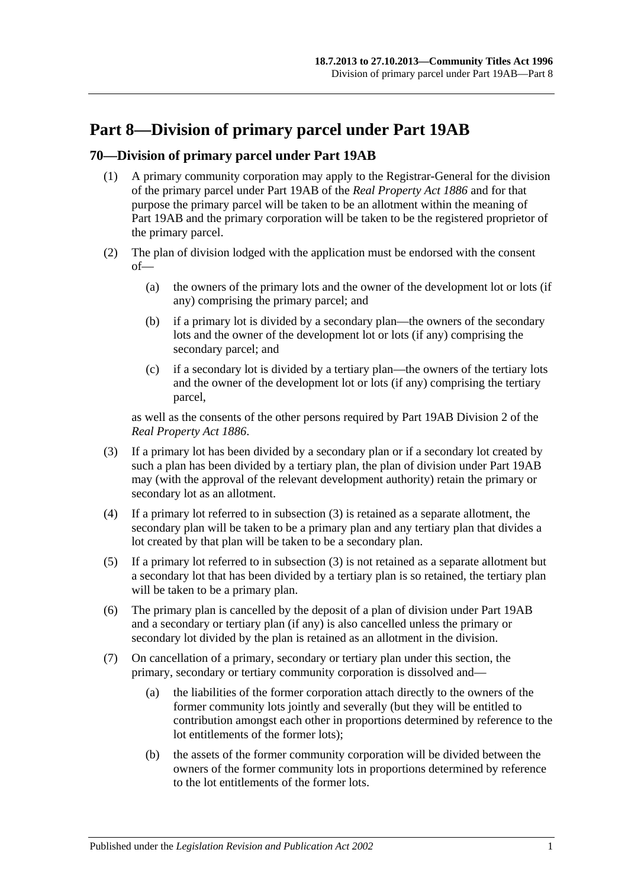# **Part 8—Division of primary parcel under Part 19AB**

# **70—Division of primary parcel under Part 19AB**

- (1) A primary community corporation may apply to the Registrar-General for the division of the primary parcel under Part 19AB of the *[Real Property Act](http://www.legislation.sa.gov.au/index.aspx?action=legref&type=act&legtitle=Real%20Property%20Act%201886) 1886* and for that purpose the primary parcel will be taken to be an allotment within the meaning of Part 19AB and the primary corporation will be taken to be the registered proprietor of the primary parcel.
- (2) The plan of division lodged with the application must be endorsed with the consent of—
	- (a) the owners of the primary lots and the owner of the development lot or lots (if any) comprising the primary parcel; and
	- (b) if a primary lot is divided by a secondary plan—the owners of the secondary lots and the owner of the development lot or lots (if any) comprising the secondary parcel; and
	- (c) if a secondary lot is divided by a tertiary plan—the owners of the tertiary lots and the owner of the development lot or lots (if any) comprising the tertiary parcel,

as well as the consents of the other persons required by Part 19AB Division 2 of the *[Real Property Act](http://www.legislation.sa.gov.au/index.aspx?action=legref&type=act&legtitle=Real%20Property%20Act%201886) 1886*.

- <span id="page-64-0"></span>(3) If a primary lot has been divided by a secondary plan or if a secondary lot created by such a plan has been divided by a tertiary plan, the plan of division under Part 19AB may (with the approval of the relevant development authority) retain the primary or secondary lot as an allotment.
- (4) If a primary lot referred to in [subsection](#page-64-0) (3) is retained as a separate allotment, the secondary plan will be taken to be a primary plan and any tertiary plan that divides a lot created by that plan will be taken to be a secondary plan.
- (5) If a primary lot referred to in [subsection](#page-64-0) (3) is not retained as a separate allotment but a secondary lot that has been divided by a tertiary plan is so retained, the tertiary plan will be taken to be a primary plan.
- (6) The primary plan is cancelled by the deposit of a plan of division under Part 19AB and a secondary or tertiary plan (if any) is also cancelled unless the primary or secondary lot divided by the plan is retained as an allotment in the division.
- (7) On cancellation of a primary, secondary or tertiary plan under this section, the primary, secondary or tertiary community corporation is dissolved and—
	- (a) the liabilities of the former corporation attach directly to the owners of the former community lots jointly and severally (but they will be entitled to contribution amongst each other in proportions determined by reference to the lot entitlements of the former lots);
	- (b) the assets of the former community corporation will be divided between the owners of the former community lots in proportions determined by reference to the lot entitlements of the former lots.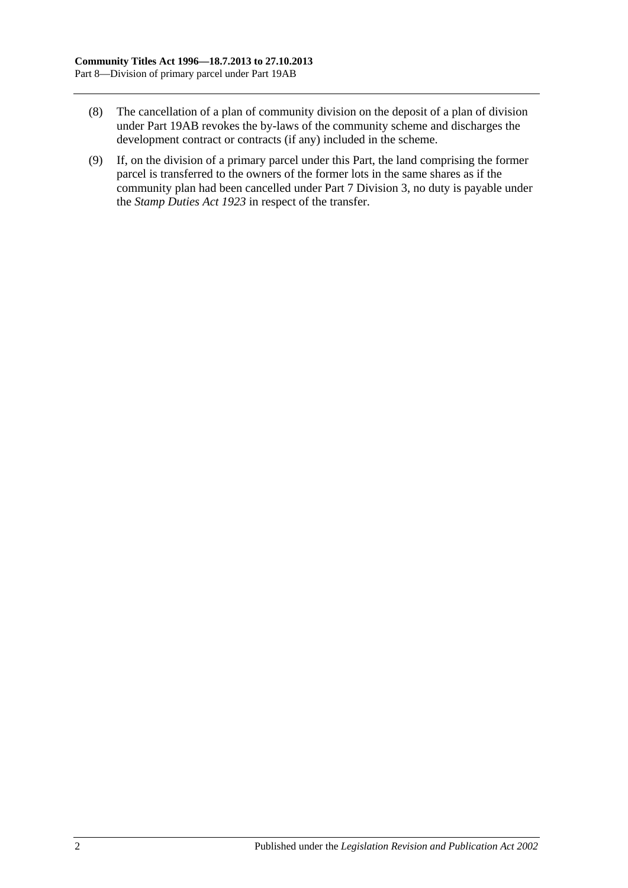- (8) The cancellation of a plan of community division on the deposit of a plan of division under Part 19AB revokes the by-laws of the community scheme and discharges the development contract or contracts (if any) included in the scheme.
- (9) If, on the division of a primary parcel under this Part, the land comprising the former parcel is transferred to the owners of the former lots in the same shares as if the community plan had been cancelled under [Part 7 Division 3,](#page-59-1) no duty is payable under the *[Stamp Duties Act](http://www.legislation.sa.gov.au/index.aspx?action=legref&type=act&legtitle=Stamp%20Duties%20Act%201923) 1923* in respect of the transfer.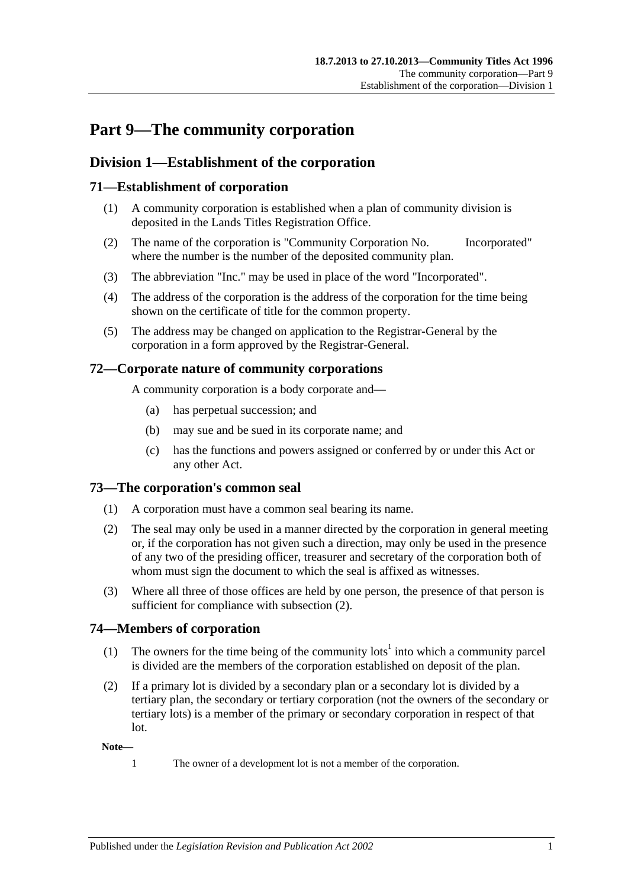# **Part 9—The community corporation**

# **Division 1—Establishment of the corporation**

# **71—Establishment of corporation**

- (1) A community corporation is established when a plan of community division is deposited in the Lands Titles Registration Office.
- (2) The name of the corporation is "Community Corporation No. Incorporated" where the number is the number of the deposited community plan.
- (3) The abbreviation "Inc." may be used in place of the word "Incorporated".
- (4) The address of the corporation is the address of the corporation for the time being shown on the certificate of title for the common property.
- (5) The address may be changed on application to the Registrar-General by the corporation in a form approved by the Registrar-General.

## **72—Corporate nature of community corporations**

A community corporation is a body corporate and—

- (a) has perpetual succession; and
- (b) may sue and be sued in its corporate name; and
- (c) has the functions and powers assigned or conferred by or under this Act or any other Act.

## **73—The corporation's common seal**

- (1) A corporation must have a common seal bearing its name.
- <span id="page-66-0"></span>(2) The seal may only be used in a manner directed by the corporation in general meeting or, if the corporation has not given such a direction, may only be used in the presence of any two of the presiding officer, treasurer and secretary of the corporation both of whom must sign the document to which the seal is affixed as witnesses.
- (3) Where all three of those offices are held by one person, the presence of that person is sufficient for compliance with [subsection](#page-66-0)  $(2)$ .

## **74—Members of corporation**

- (1) The owners for the time being of the community lots<sup>1</sup> into which a community parcel is divided are the members of the corporation established on deposit of the plan.
- (2) If a primary lot is divided by a secondary plan or a secondary lot is divided by a tertiary plan, the secondary or tertiary corporation (not the owners of the secondary or tertiary lots) is a member of the primary or secondary corporation in respect of that lot.

#### **Note—**

- 
- 1 The owner of a development lot is not a member of the corporation.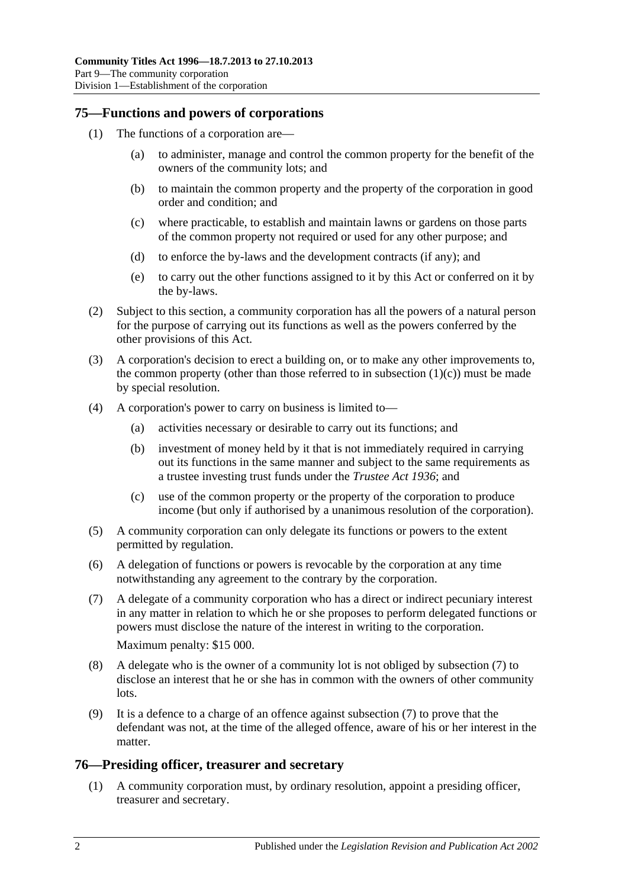### **75—Functions and powers of corporations**

- <span id="page-67-0"></span>(1) The functions of a corporation are—
	- (a) to administer, manage and control the common property for the benefit of the owners of the community lots; and
	- (b) to maintain the common property and the property of the corporation in good order and condition; and
	- (c) where practicable, to establish and maintain lawns or gardens on those parts of the common property not required or used for any other purpose; and
	- (d) to enforce the by-laws and the development contracts (if any); and
	- (e) to carry out the other functions assigned to it by this Act or conferred on it by the by-laws.
- (2) Subject to this section, a community corporation has all the powers of a natural person for the purpose of carrying out its functions as well as the powers conferred by the other provisions of this Act.
- (3) A corporation's decision to erect a building on, or to make any other improvements to, the common property (other than those referred to in [subsection](#page-67-0)  $(1)(c)$ ) must be made by special resolution.
- (4) A corporation's power to carry on business is limited to—
	- (a) activities necessary or desirable to carry out its functions; and
	- (b) investment of money held by it that is not immediately required in carrying out its functions in the same manner and subject to the same requirements as a trustee investing trust funds under the *[Trustee Act](http://www.legislation.sa.gov.au/index.aspx?action=legref&type=act&legtitle=Trustee%20Act%201936) 1936*; and
	- (c) use of the common property or the property of the corporation to produce income (but only if authorised by a unanimous resolution of the corporation).
- (5) A community corporation can only delegate its functions or powers to the extent permitted by regulation.
- (6) A delegation of functions or powers is revocable by the corporation at any time notwithstanding any agreement to the contrary by the corporation.
- <span id="page-67-1"></span>(7) A delegate of a community corporation who has a direct or indirect pecuniary interest in any matter in relation to which he or she proposes to perform delegated functions or powers must disclose the nature of the interest in writing to the corporation. Maximum penalty: \$15 000.
- (8) A delegate who is the owner of a community lot is not obliged by [subsection](#page-67-1) (7) to disclose an interest that he or she has in common with the owners of other community lots.
- (9) It is a defence to a charge of an offence against [subsection](#page-67-1) (7) to prove that the defendant was not, at the time of the alleged offence, aware of his or her interest in the matter.

## **76—Presiding officer, treasurer and secretary**

(1) A community corporation must, by ordinary resolution, appoint a presiding officer, treasurer and secretary.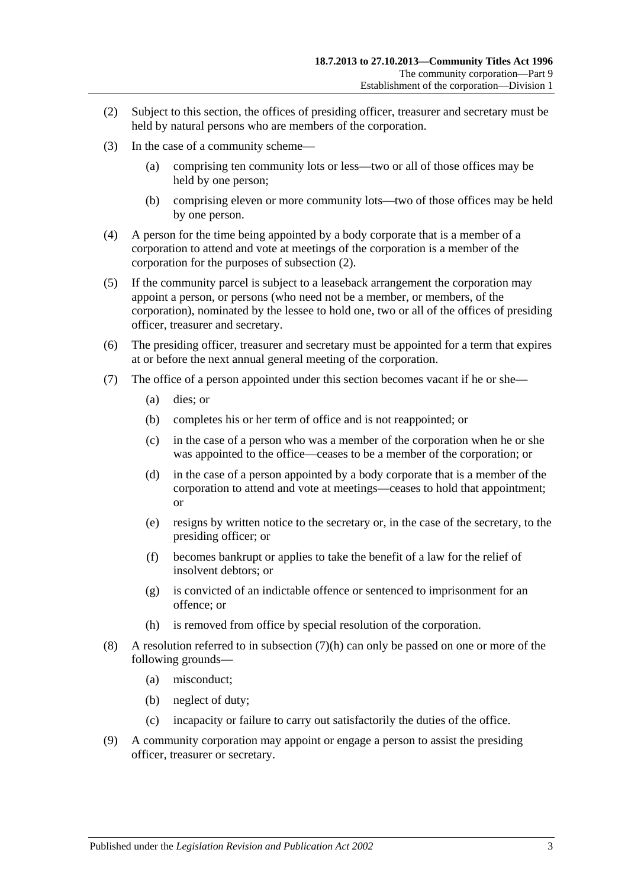- <span id="page-68-0"></span>(2) Subject to this section, the offices of presiding officer, treasurer and secretary must be held by natural persons who are members of the corporation.
- (3) In the case of a community scheme—
	- (a) comprising ten community lots or less—two or all of those offices may be held by one person;
	- (b) comprising eleven or more community lots—two of those offices may be held by one person.
- (4) A person for the time being appointed by a body corporate that is a member of a corporation to attend and vote at meetings of the corporation is a member of the corporation for the purposes of [subsection](#page-68-0) (2).
- (5) If the community parcel is subject to a leaseback arrangement the corporation may appoint a person, or persons (who need not be a member, or members, of the corporation), nominated by the lessee to hold one, two or all of the offices of presiding officer, treasurer and secretary.
- (6) The presiding officer, treasurer and secretary must be appointed for a term that expires at or before the next annual general meeting of the corporation.
- (7) The office of a person appointed under this section becomes vacant if he or she—
	- (a) dies; or
	- (b) completes his or her term of office and is not reappointed; or
	- (c) in the case of a person who was a member of the corporation when he or she was appointed to the office—ceases to be a member of the corporation; or
	- (d) in the case of a person appointed by a body corporate that is a member of the corporation to attend and vote at meetings—ceases to hold that appointment; or
	- (e) resigns by written notice to the secretary or, in the case of the secretary, to the presiding officer; or
	- (f) becomes bankrupt or applies to take the benefit of a law for the relief of insolvent debtors; or
	- (g) is convicted of an indictable offence or sentenced to imprisonment for an offence; or
	- (h) is removed from office by special resolution of the corporation.
- <span id="page-68-1"></span>(8) A resolution referred to in [subsection](#page-68-1) (7)(h) can only be passed on one or more of the following grounds—
	- (a) misconduct;
	- (b) neglect of duty;
	- (c) incapacity or failure to carry out satisfactorily the duties of the office.
- (9) A community corporation may appoint or engage a person to assist the presiding officer, treasurer or secretary.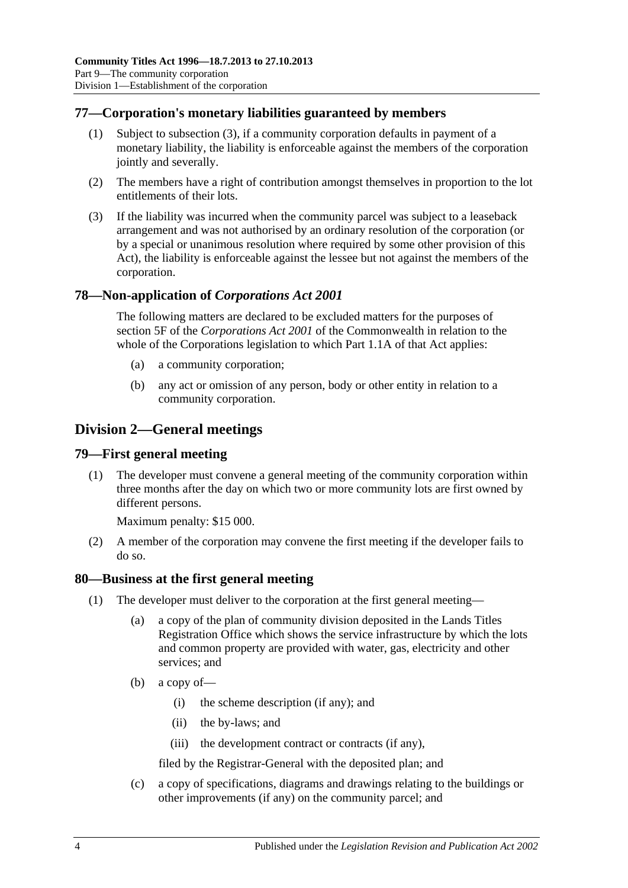# **77—Corporation's monetary liabilities guaranteed by members**

- (1) Subject to [subsection](#page-69-0) (3), if a community corporation defaults in payment of a monetary liability, the liability is enforceable against the members of the corporation jointly and severally.
- (2) The members have a right of contribution amongst themselves in proportion to the lot entitlements of their lots.
- <span id="page-69-0"></span>(3) If the liability was incurred when the community parcel was subject to a leaseback arrangement and was not authorised by an ordinary resolution of the corporation (or by a special or unanimous resolution where required by some other provision of this Act), the liability is enforceable against the lessee but not against the members of the corporation.

## **78—Non-application of** *Corporations Act 2001*

The following matters are declared to be excluded matters for the purposes of section 5F of the *Corporations Act 2001* of the Commonwealth in relation to the whole of the Corporations legislation to which Part 1.1A of that Act applies:

- (a) a community corporation;
- (b) any act or omission of any person, body or other entity in relation to a community corporation.

# **Division 2—General meetings**

## **79—First general meeting**

(1) The developer must convene a general meeting of the community corporation within three months after the day on which two or more community lots are first owned by different persons.

Maximum penalty: \$15 000.

(2) A member of the corporation may convene the first meeting if the developer fails to do so.

## <span id="page-69-1"></span>**80—Business at the first general meeting**

- (1) The developer must deliver to the corporation at the first general meeting—
	- (a) a copy of the plan of community division deposited in the Lands Titles Registration Office which shows the service infrastructure by which the lots and common property are provided with water, gas, electricity and other services; and
	- (b) a copy of—
		- (i) the scheme description (if any); and
		- (ii) the by-laws; and
		- (iii) the development contract or contracts (if any),

filed by the Registrar-General with the deposited plan; and

(c) a copy of specifications, diagrams and drawings relating to the buildings or other improvements (if any) on the community parcel; and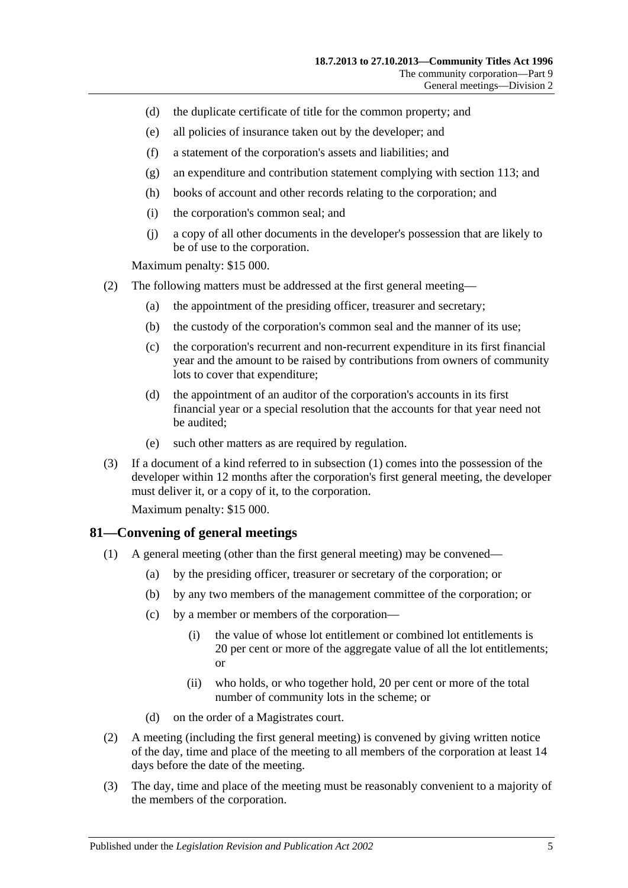- (d) the duplicate certificate of title for the common property; and
- (e) all policies of insurance taken out by the developer; and
- (f) a statement of the corporation's assets and liabilities; and
- (g) an expenditure and contribution statement complying with [section](#page-86-0) 113; and
- (h) books of account and other records relating to the corporation; and
- (i) the corporation's common seal; and
- (j) a copy of all other documents in the developer's possession that are likely to be of use to the corporation.

Maximum penalty: \$15 000.

- <span id="page-70-0"></span>(2) The following matters must be addressed at the first general meeting—
	- (a) the appointment of the presiding officer, treasurer and secretary;
	- (b) the custody of the corporation's common seal and the manner of its use;
	- (c) the corporation's recurrent and non-recurrent expenditure in its first financial year and the amount to be raised by contributions from owners of community lots to cover that expenditure;
	- (d) the appointment of an auditor of the corporation's accounts in its first financial year or a special resolution that the accounts for that year need not be audited;
	- (e) such other matters as are required by regulation.
- (3) If a document of a kind referred to in [subsection](#page-69-1) (1) comes into the possession of the developer within 12 months after the corporation's first general meeting, the developer must deliver it, or a copy of it, to the corporation.

Maximum penalty: \$15 000.

### **81—Convening of general meetings**

- (1) A general meeting (other than the first general meeting) may be convened—
	- (a) by the presiding officer, treasurer or secretary of the corporation; or
	- (b) by any two members of the management committee of the corporation; or
	- (c) by a member or members of the corporation—
		- (i) the value of whose lot entitlement or combined lot entitlements is 20 per cent or more of the aggregate value of all the lot entitlements; or
		- (ii) who holds, or who together hold, 20 per cent or more of the total number of community lots in the scheme; or
	- (d) on the order of a Magistrates court.
- (2) A meeting (including the first general meeting) is convened by giving written notice of the day, time and place of the meeting to all members of the corporation at least 14 days before the date of the meeting.
- (3) The day, time and place of the meeting must be reasonably convenient to a majority of the members of the corporation.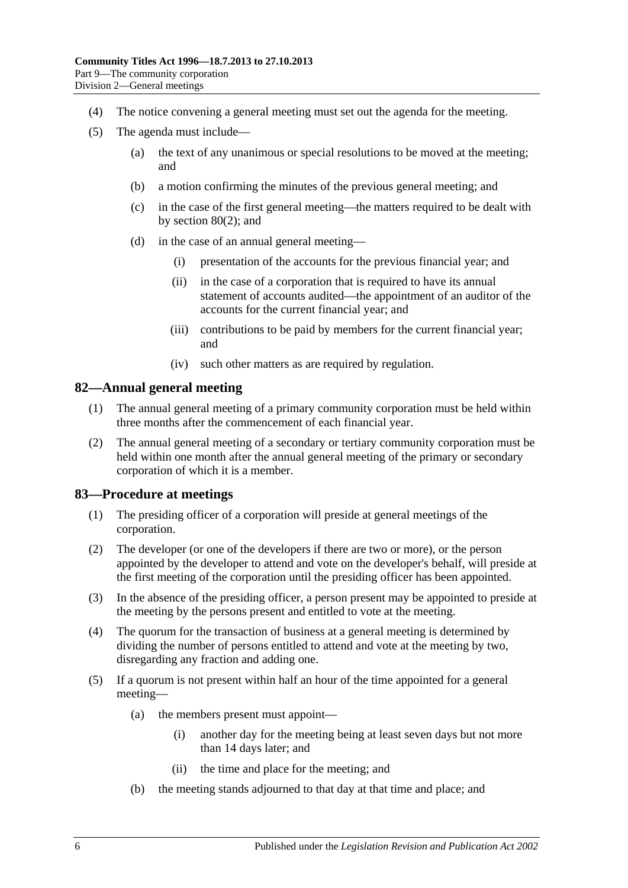- (4) The notice convening a general meeting must set out the agenda for the meeting.
- (5) The agenda must include—
	- (a) the text of any unanimous or special resolutions to be moved at the meeting; and
	- (b) a motion confirming the minutes of the previous general meeting; and
	- (c) in the case of the first general meeting—the matters required to be dealt with by [section](#page-70-0) 80(2); and
	- (d) in the case of an annual general meeting—
		- (i) presentation of the accounts for the previous financial year; and
		- (ii) in the case of a corporation that is required to have its annual statement of accounts audited—the appointment of an auditor of the accounts for the current financial year; and
		- (iii) contributions to be paid by members for the current financial year; and
		- (iv) such other matters as are required by regulation.

### **82—Annual general meeting**

- (1) The annual general meeting of a primary community corporation must be held within three months after the commencement of each financial year.
- (2) The annual general meeting of a secondary or tertiary community corporation must be held within one month after the annual general meeting of the primary or secondary corporation of which it is a member.

### **83—Procedure at meetings**

- (1) The presiding officer of a corporation will preside at general meetings of the corporation.
- (2) The developer (or one of the developers if there are two or more), or the person appointed by the developer to attend and vote on the developer's behalf, will preside at the first meeting of the corporation until the presiding officer has been appointed.
- (3) In the absence of the presiding officer, a person present may be appointed to preside at the meeting by the persons present and entitled to vote at the meeting.
- (4) The quorum for the transaction of business at a general meeting is determined by dividing the number of persons entitled to attend and vote at the meeting by two, disregarding any fraction and adding one.
- (5) If a quorum is not present within half an hour of the time appointed for a general meeting—
	- (a) the members present must appoint—
		- (i) another day for the meeting being at least seven days but not more than 14 days later; and
		- (ii) the time and place for the meeting; and
	- (b) the meeting stands adjourned to that day at that time and place; and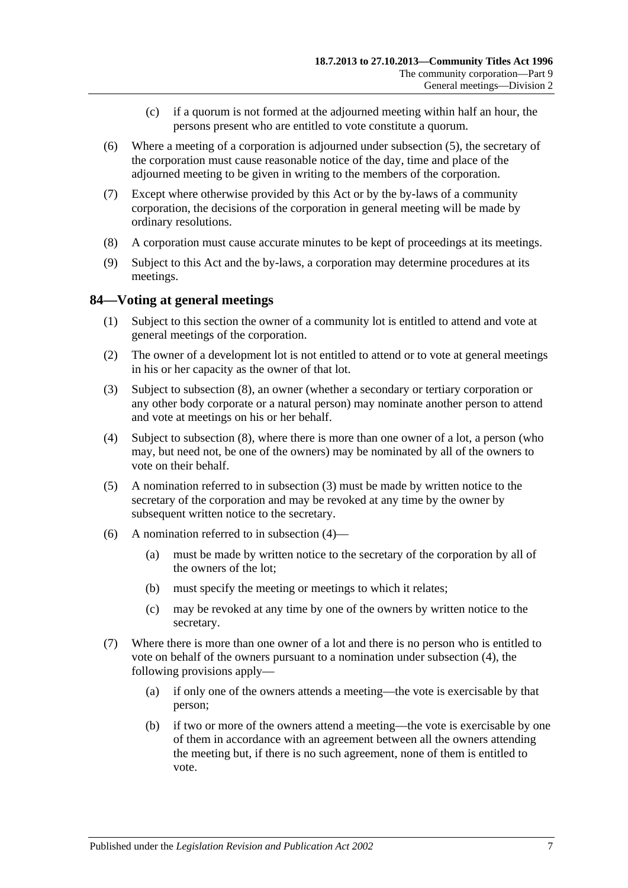- (c) if a quorum is not formed at the adjourned meeting within half an hour, the persons present who are entitled to vote constitute a quorum.
- (6) Where a meeting of a corporation is adjourned under [subsection](#page-71-0) (5), the secretary of the corporation must cause reasonable notice of the day, time and place of the adjourned meeting to be given in writing to the members of the corporation.
- (7) Except where otherwise provided by this Act or by the by-laws of a community corporation, the decisions of the corporation in general meeting will be made by ordinary resolutions.
- (8) A corporation must cause accurate minutes to be kept of proceedings at its meetings.
- (9) Subject to this Act and the by-laws, a corporation may determine procedures at its meetings.

# **84—Voting at general meetings**

- (1) Subject to this section the owner of a community lot is entitled to attend and vote at general meetings of the corporation.
- (2) The owner of a development lot is not entitled to attend or to vote at general meetings in his or her capacity as the owner of that lot.
- <span id="page-72-0"></span>(3) Subject to [subsection](#page-73-0) (8), an owner (whether a secondary or tertiary corporation or any other body corporate or a natural person) may nominate another person to attend and vote at meetings on his or her behalf.
- <span id="page-72-1"></span>(4) Subject to [subsection](#page-73-0) (8), where there is more than one owner of a lot, a person (who may, but need not, be one of the owners) may be nominated by all of the owners to vote on their behalf.
- (5) A nomination referred to in [subsection](#page-72-0) (3) must be made by written notice to the secretary of the corporation and may be revoked at any time by the owner by subsequent written notice to the secretary.
- (6) A nomination referred to in [subsection](#page-72-1)  $(4)$ 
	- (a) must be made by written notice to the secretary of the corporation by all of the owners of the lot;
	- (b) must specify the meeting or meetings to which it relates;
	- (c) may be revoked at any time by one of the owners by written notice to the secretary.
- (7) Where there is more than one owner of a lot and there is no person who is entitled to vote on behalf of the owners pursuant to a nomination under [subsection](#page-72-1) (4), the following provisions apply—
	- (a) if only one of the owners attends a meeting—the vote is exercisable by that person;
	- (b) if two or more of the owners attend a meeting—the vote is exercisable by one of them in accordance with an agreement between all the owners attending the meeting but, if there is no such agreement, none of them is entitled to vote.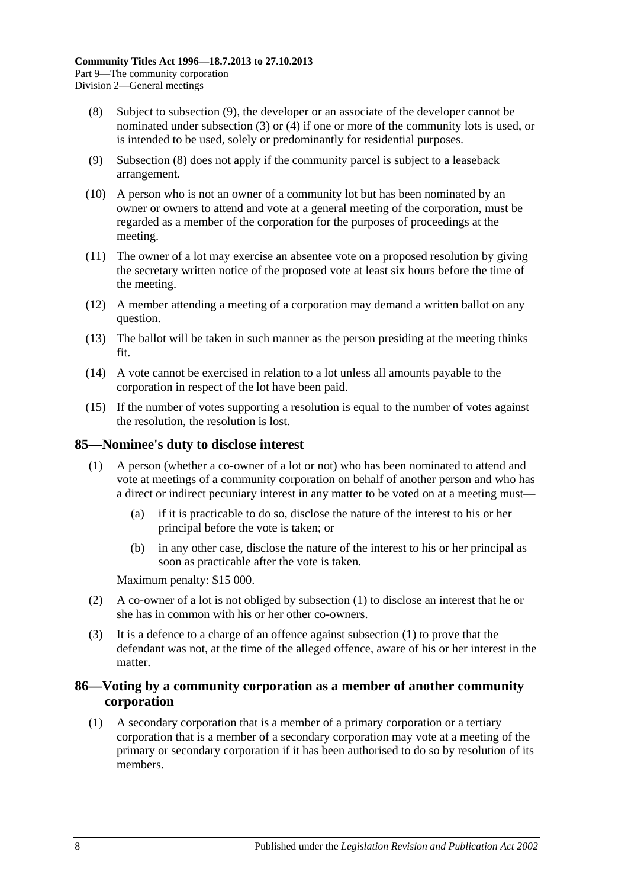- <span id="page-73-0"></span>(8) Subject to [subsection](#page-73-1) (9), the developer or an associate of the developer cannot be nominated under [subsection](#page-72-0) (3) or [\(4\)](#page-72-1) if one or more of the community lots is used, or is intended to be used, solely or predominantly for residential purposes.
- <span id="page-73-1"></span>(9) [Subsection](#page-73-0) (8) does not apply if the community parcel is subject to a leaseback arrangement.
- (10) A person who is not an owner of a community lot but has been nominated by an owner or owners to attend and vote at a general meeting of the corporation, must be regarded as a member of the corporation for the purposes of proceedings at the meeting.
- (11) The owner of a lot may exercise an absentee vote on a proposed resolution by giving the secretary written notice of the proposed vote at least six hours before the time of the meeting.
- (12) A member attending a meeting of a corporation may demand a written ballot on any question.
- (13) The ballot will be taken in such manner as the person presiding at the meeting thinks fit.
- (14) A vote cannot be exercised in relation to a lot unless all amounts payable to the corporation in respect of the lot have been paid.
- (15) If the number of votes supporting a resolution is equal to the number of votes against the resolution, the resolution is lost.

#### <span id="page-73-2"></span>**85—Nominee's duty to disclose interest**

- (1) A person (whether a co-owner of a lot or not) who has been nominated to attend and vote at meetings of a community corporation on behalf of another person and who has a direct or indirect pecuniary interest in any matter to be voted on at a meeting must—
	- (a) if it is practicable to do so, disclose the nature of the interest to his or her principal before the vote is taken; or
	- (b) in any other case, disclose the nature of the interest to his or her principal as soon as practicable after the vote is taken.

Maximum penalty: \$15 000.

- (2) A co-owner of a lot is not obliged by [subsection](#page-73-2) (1) to disclose an interest that he or she has in common with his or her other co-owners.
- (3) It is a defence to a charge of an offence against [subsection](#page-73-2) (1) to prove that the defendant was not, at the time of the alleged offence, aware of his or her interest in the matter.

### **86—Voting by a community corporation as a member of another community corporation**

(1) A secondary corporation that is a member of a primary corporation or a tertiary corporation that is a member of a secondary corporation may vote at a meeting of the primary or secondary corporation if it has been authorised to do so by resolution of its members.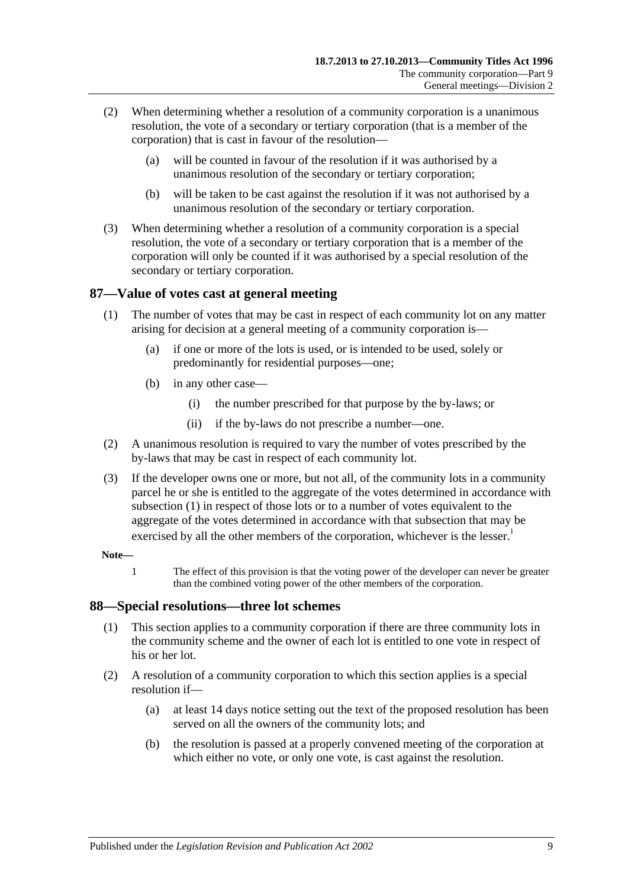- (2) When determining whether a resolution of a community corporation is a unanimous resolution, the vote of a secondary or tertiary corporation (that is a member of the corporation) that is cast in favour of the resolution—
	- (a) will be counted in favour of the resolution if it was authorised by a unanimous resolution of the secondary or tertiary corporation;
	- (b) will be taken to be cast against the resolution if it was not authorised by a unanimous resolution of the secondary or tertiary corporation.
- (3) When determining whether a resolution of a community corporation is a special resolution, the vote of a secondary or tertiary corporation that is a member of the corporation will only be counted if it was authorised by a special resolution of the secondary or tertiary corporation.

### <span id="page-74-0"></span>**87—Value of votes cast at general meeting**

- (1) The number of votes that may be cast in respect of each community lot on any matter arising for decision at a general meeting of a community corporation is—
	- (a) if one or more of the lots is used, or is intended to be used, solely or predominantly for residential purposes—one;
	- (b) in any other case—
		- (i) the number prescribed for that purpose by the by-laws; or
		- (ii) if the by-laws do not prescribe a number—one.
- (2) A unanimous resolution is required to vary the number of votes prescribed by the by-laws that may be cast in respect of each community lot.
- (3) If the developer owns one or more, but not all, of the community lots in a community parcel he or she is entitled to the aggregate of the votes determined in accordance with [subsection](#page-74-0) (1) in respect of those lots or to a number of votes equivalent to the aggregate of the votes determined in accordance with that subsection that may be exercised by all the other members of the corporation, whichever is the lesser.<sup>1</sup>

#### **Note—**

1 The effect of this provision is that the voting power of the developer can never be greater than the combined voting power of the other members of the corporation.

#### **88—Special resolutions—three lot schemes**

- (1) This section applies to a community corporation if there are three community lots in the community scheme and the owner of each lot is entitled to one vote in respect of his or her lot.
- (2) A resolution of a community corporation to which this section applies is a special resolution if—
	- (a) at least 14 days notice setting out the text of the proposed resolution has been served on all the owners of the community lots; and
	- (b) the resolution is passed at a properly convened meeting of the corporation at which either no vote, or only one vote, is cast against the resolution.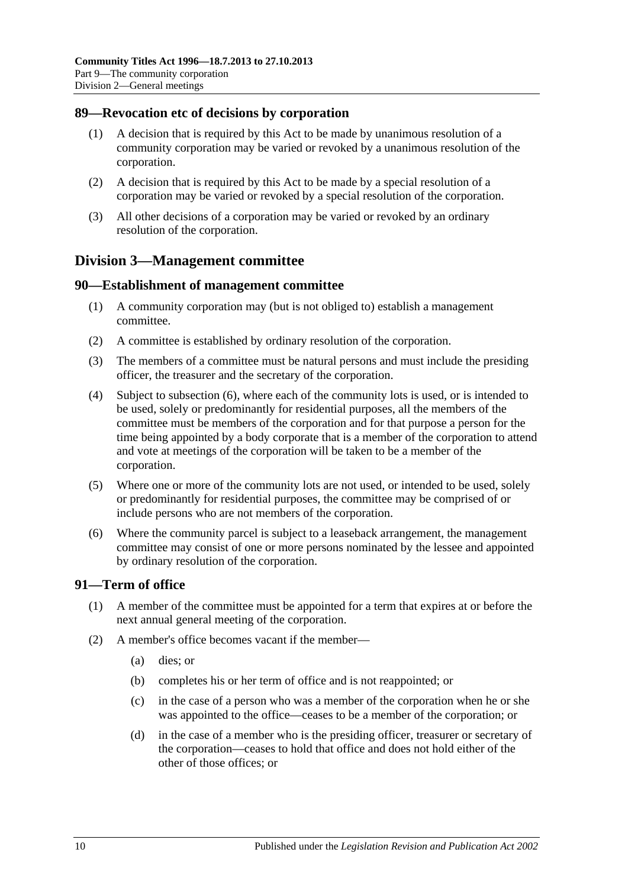### **89—Revocation etc of decisions by corporation**

- (1) A decision that is required by this Act to be made by unanimous resolution of a community corporation may be varied or revoked by a unanimous resolution of the corporation.
- (2) A decision that is required by this Act to be made by a special resolution of a corporation may be varied or revoked by a special resolution of the corporation.
- (3) All other decisions of a corporation may be varied or revoked by an ordinary resolution of the corporation.

# **Division 3—Management committee**

### **90—Establishment of management committee**

- (1) A community corporation may (but is not obliged to) establish a management committee.
- (2) A committee is established by ordinary resolution of the corporation.
- (3) The members of a committee must be natural persons and must include the presiding officer, the treasurer and the secretary of the corporation.
- (4) Subject to [subsection](#page-75-0) (6), where each of the community lots is used, or is intended to be used, solely or predominantly for residential purposes, all the members of the committee must be members of the corporation and for that purpose a person for the time being appointed by a body corporate that is a member of the corporation to attend and vote at meetings of the corporation will be taken to be a member of the corporation.
- (5) Where one or more of the community lots are not used, or intended to be used, solely or predominantly for residential purposes, the committee may be comprised of or include persons who are not members of the corporation.
- <span id="page-75-0"></span>(6) Where the community parcel is subject to a leaseback arrangement, the management committee may consist of one or more persons nominated by the lessee and appointed by ordinary resolution of the corporation.

# **91—Term of office**

- (1) A member of the committee must be appointed for a term that expires at or before the next annual general meeting of the corporation.
- (2) A member's office becomes vacant if the member—
	- (a) dies; or
	- (b) completes his or her term of office and is not reappointed; or
	- (c) in the case of a person who was a member of the corporation when he or she was appointed to the office—ceases to be a member of the corporation; or
	- (d) in the case of a member who is the presiding officer, treasurer or secretary of the corporation—ceases to hold that office and does not hold either of the other of those offices; or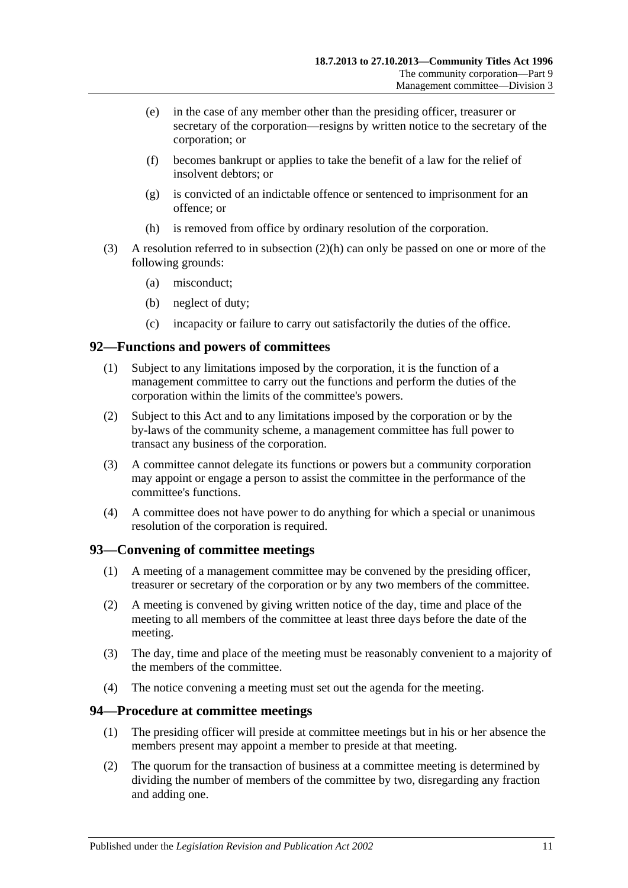- (e) in the case of any member other than the presiding officer, treasurer or secretary of the corporation—resigns by written notice to the secretary of the corporation; or
- (f) becomes bankrupt or applies to take the benefit of a law for the relief of insolvent debtors; or
- (g) is convicted of an indictable offence or sentenced to imprisonment for an offence; or
- (h) is removed from office by ordinary resolution of the corporation.
- <span id="page-76-0"></span>(3) A resolution referred to in [subsection](#page-76-0) (2)(h) can only be passed on one or more of the following grounds:
	- (a) misconduct;
	- (b) neglect of duty;
	- (c) incapacity or failure to carry out satisfactorily the duties of the office.

# **92—Functions and powers of committees**

- (1) Subject to any limitations imposed by the corporation, it is the function of a management committee to carry out the functions and perform the duties of the corporation within the limits of the committee's powers.
- (2) Subject to this Act and to any limitations imposed by the corporation or by the by-laws of the community scheme, a management committee has full power to transact any business of the corporation.
- (3) A committee cannot delegate its functions or powers but a community corporation may appoint or engage a person to assist the committee in the performance of the committee's functions.
- (4) A committee does not have power to do anything for which a special or unanimous resolution of the corporation is required.

# **93—Convening of committee meetings**

- (1) A meeting of a management committee may be convened by the presiding officer, treasurer or secretary of the corporation or by any two members of the committee.
- (2) A meeting is convened by giving written notice of the day, time and place of the meeting to all members of the committee at least three days before the date of the meeting.
- (3) The day, time and place of the meeting must be reasonably convenient to a majority of the members of the committee.
- (4) The notice convening a meeting must set out the agenda for the meeting.

# **94—Procedure at committee meetings**

- (1) The presiding officer will preside at committee meetings but in his or her absence the members present may appoint a member to preside at that meeting.
- (2) The quorum for the transaction of business at a committee meeting is determined by dividing the number of members of the committee by two, disregarding any fraction and adding one.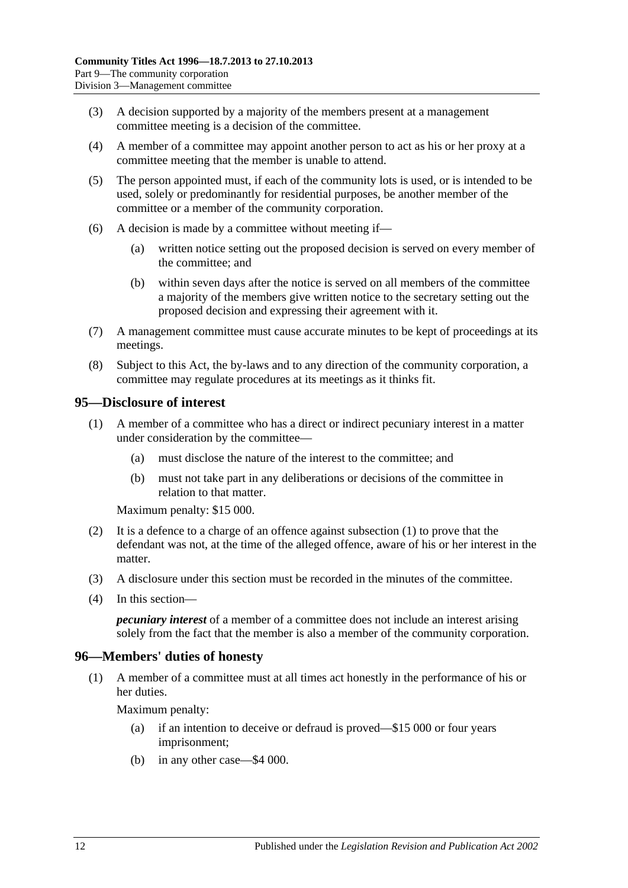- (3) A decision supported by a majority of the members present at a management committee meeting is a decision of the committee.
- (4) A member of a committee may appoint another person to act as his or her proxy at a committee meeting that the member is unable to attend.
- (5) The person appointed must, if each of the community lots is used, or is intended to be used, solely or predominantly for residential purposes, be another member of the committee or a member of the community corporation.
- (6) A decision is made by a committee without meeting if—
	- (a) written notice setting out the proposed decision is served on every member of the committee; and
	- (b) within seven days after the notice is served on all members of the committee a majority of the members give written notice to the secretary setting out the proposed decision and expressing their agreement with it.
- (7) A management committee must cause accurate minutes to be kept of proceedings at its meetings.
- (8) Subject to this Act, the by-laws and to any direction of the community corporation, a committee may regulate procedures at its meetings as it thinks fit.

### <span id="page-77-0"></span>**95—Disclosure of interest**

- (1) A member of a committee who has a direct or indirect pecuniary interest in a matter under consideration by the committee—
	- (a) must disclose the nature of the interest to the committee; and
	- (b) must not take part in any deliberations or decisions of the committee in relation to that matter.

Maximum penalty: \$15 000.

- (2) It is a defence to a charge of an offence against [subsection](#page-77-0) (1) to prove that the defendant was not, at the time of the alleged offence, aware of his or her interest in the matter.
- (3) A disclosure under this section must be recorded in the minutes of the committee.
- (4) In this section—

*pecuniary interest* of a member of a committee does not include an interest arising solely from the fact that the member is also a member of the community corporation.

# **96—Members' duties of honesty**

(1) A member of a committee must at all times act honestly in the performance of his or her duties.

Maximum penalty:

- (a) if an intention to deceive or defraud is proved—\$15 000 or four years imprisonment;
- (b) in any other case—\$4 000.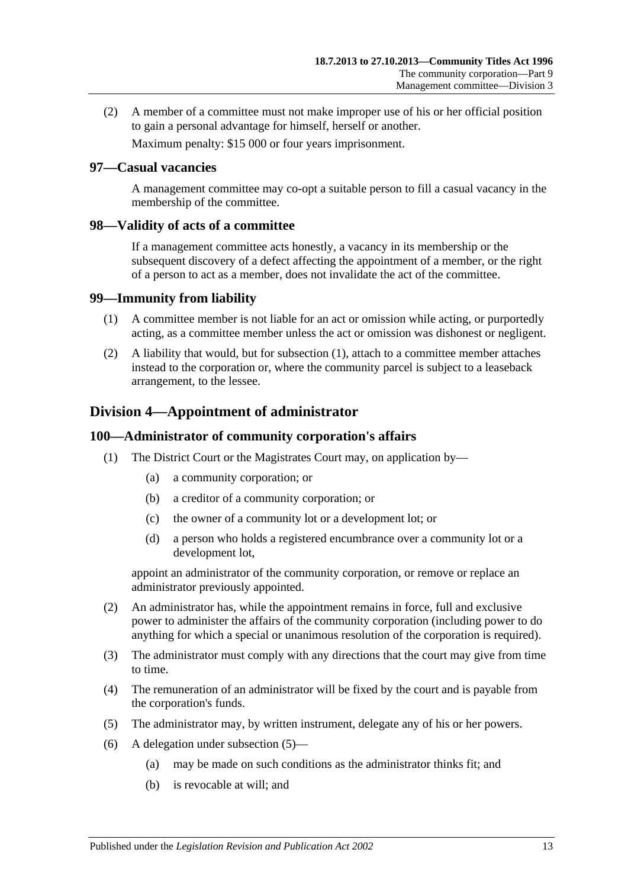(2) A member of a committee must not make improper use of his or her official position to gain a personal advantage for himself, herself or another.

Maximum penalty: \$15 000 or four years imprisonment.

#### **97—Casual vacancies**

A management committee may co-opt a suitable person to fill a casual vacancy in the membership of the committee.

#### **98—Validity of acts of a committee**

If a management committee acts honestly, a vacancy in its membership or the subsequent discovery of a defect affecting the appointment of a member, or the right of a person to act as a member, does not invalidate the act of the committee.

#### <span id="page-78-0"></span>**99—Immunity from liability**

- (1) A committee member is not liable for an act or omission while acting, or purportedly acting, as a committee member unless the act or omission was dishonest or negligent.
- (2) A liability that would, but for [subsection](#page-78-0) (1), attach to a committee member attaches instead to the corporation or, where the community parcel is subject to a leaseback arrangement, to the lessee.

# **Division 4—Appointment of administrator**

#### **100—Administrator of community corporation's affairs**

- (1) The District Court or the Magistrates Court may, on application by—
	- (a) a community corporation; or
	- (b) a creditor of a community corporation; or
	- (c) the owner of a community lot or a development lot; or
	- (d) a person who holds a registered encumbrance over a community lot or a development lot,

appoint an administrator of the community corporation, or remove or replace an administrator previously appointed.

- (2) An administrator has, while the appointment remains in force, full and exclusive power to administer the affairs of the community corporation (including power to do anything for which a special or unanimous resolution of the corporation is required).
- (3) The administrator must comply with any directions that the court may give from time to time.
- (4) The remuneration of an administrator will be fixed by the court and is payable from the corporation's funds.
- <span id="page-78-1"></span>(5) The administrator may, by written instrument, delegate any of his or her powers.
- (6) A delegation under [subsection](#page-78-1) (5)—
	- (a) may be made on such conditions as the administrator thinks fit; and
	- (b) is revocable at will; and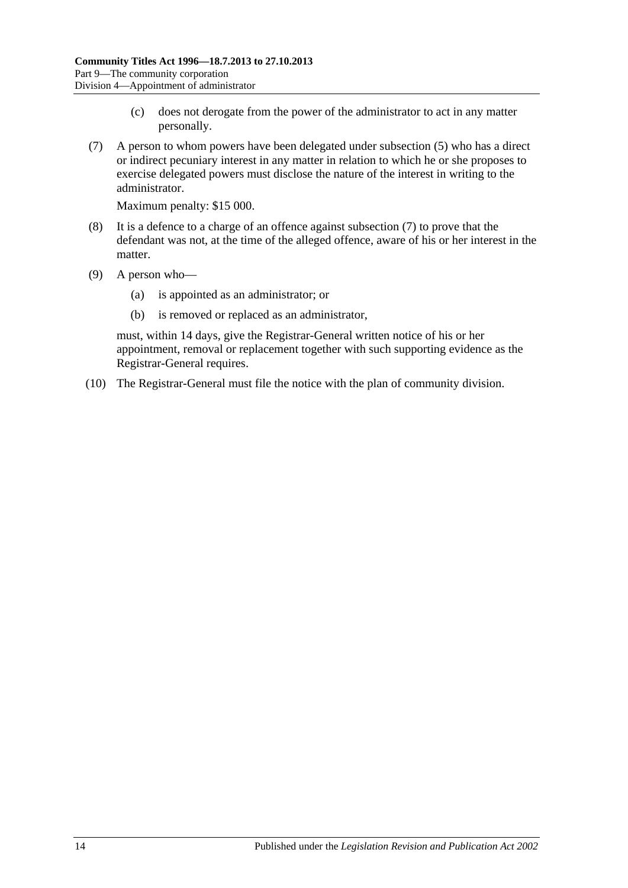- (c) does not derogate from the power of the administrator to act in any matter personally.
- <span id="page-79-0"></span>(7) A person to whom powers have been delegated under [subsection](#page-78-1) (5) who has a direct or indirect pecuniary interest in any matter in relation to which he or she proposes to exercise delegated powers must disclose the nature of the interest in writing to the administrator.

Maximum penalty: \$15 000.

- (8) It is a defence to a charge of an offence against [subsection](#page-79-0) (7) to prove that the defendant was not, at the time of the alleged offence, aware of his or her interest in the matter.
- (9) A person who—
	- (a) is appointed as an administrator; or
	- (b) is removed or replaced as an administrator,

must, within 14 days, give the Registrar-General written notice of his or her appointment, removal or replacement together with such supporting evidence as the Registrar-General requires.

(10) The Registrar-General must file the notice with the plan of community division.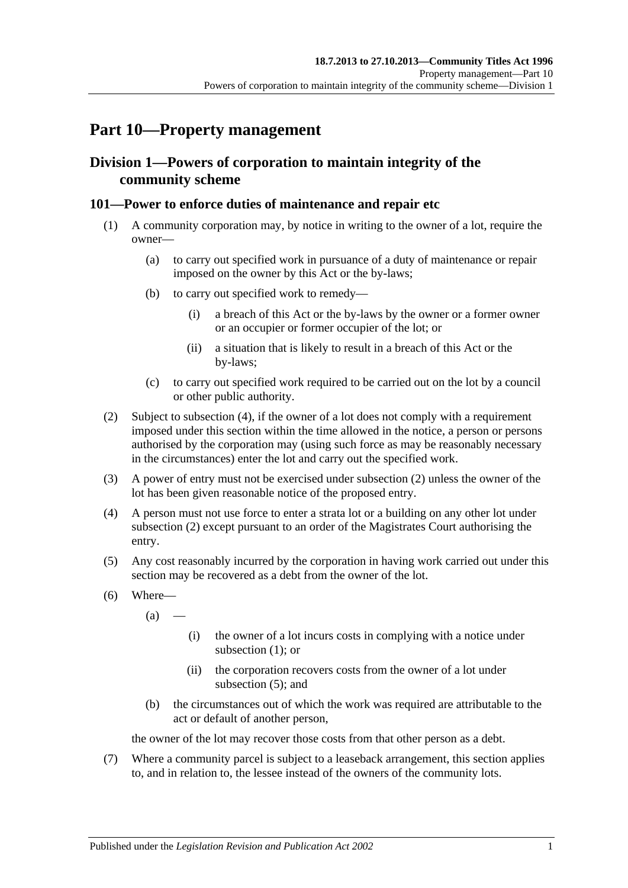# **Part 10—Property management**

# **Division 1—Powers of corporation to maintain integrity of the community scheme**

# <span id="page-80-2"></span>**101—Power to enforce duties of maintenance and repair etc**

- (1) A community corporation may, by notice in writing to the owner of a lot, require the owner—
	- (a) to carry out specified work in pursuance of a duty of maintenance or repair imposed on the owner by this Act or the by-laws;
	- (b) to carry out specified work to remedy—
		- (i) a breach of this Act or the by-laws by the owner or a former owner or an occupier or former occupier of the lot; or
		- (ii) a situation that is likely to result in a breach of this Act or the by-laws;
	- (c) to carry out specified work required to be carried out on the lot by a council or other public authority.
- <span id="page-80-1"></span>(2) Subject to [subsection](#page-80-0) (4), if the owner of a lot does not comply with a requirement imposed under this section within the time allowed in the notice, a person or persons authorised by the corporation may (using such force as may be reasonably necessary in the circumstances) enter the lot and carry out the specified work.
- (3) A power of entry must not be exercised under [subsection](#page-80-1) (2) unless the owner of the lot has been given reasonable notice of the proposed entry.
- <span id="page-80-0"></span>(4) A person must not use force to enter a strata lot or a building on any other lot under [subsection](#page-80-1) (2) except pursuant to an order of the Magistrates Court authorising the entry.
- <span id="page-80-3"></span>(5) Any cost reasonably incurred by the corporation in having work carried out under this section may be recovered as a debt from the owner of the lot.
- (6) Where—
	- $(a)$ 
		- (i) the owner of a lot incurs costs in complying with a notice under [subsection](#page-80-2) (1); or
		- (ii) the corporation recovers costs from the owner of a lot under [subsection](#page-80-3) (5); and
	- (b) the circumstances out of which the work was required are attributable to the act or default of another person,

the owner of the lot may recover those costs from that other person as a debt.

(7) Where a community parcel is subject to a leaseback arrangement, this section applies to, and in relation to, the lessee instead of the owners of the community lots.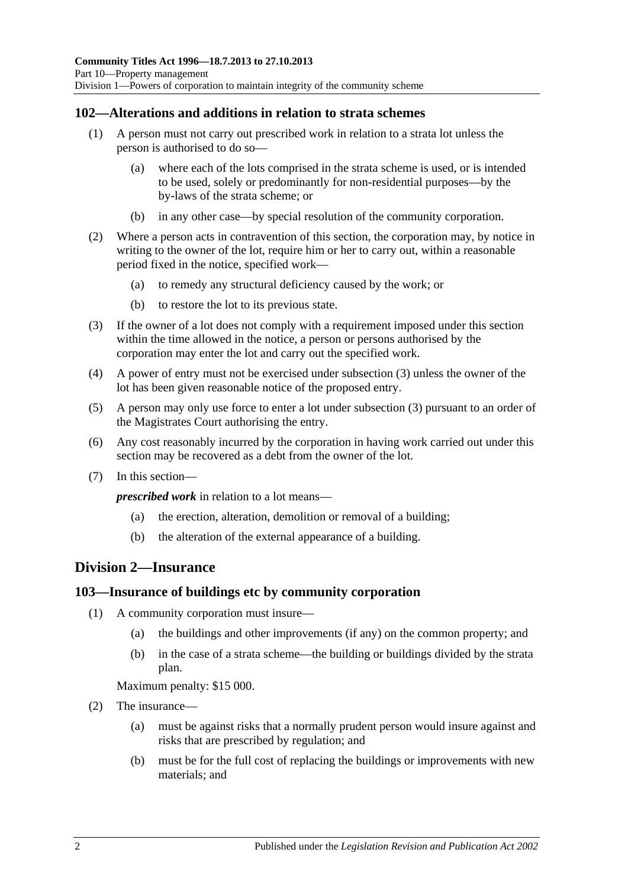# **102—Alterations and additions in relation to strata schemes**

- (1) A person must not carry out prescribed work in relation to a strata lot unless the person is authorised to do so—
	- (a) where each of the lots comprised in the strata scheme is used, or is intended to be used, solely or predominantly for non-residential purposes—by the by-laws of the strata scheme; or
	- (b) in any other case—by special resolution of the community corporation.
- (2) Where a person acts in contravention of this section, the corporation may, by notice in writing to the owner of the lot, require him or her to carry out, within a reasonable period fixed in the notice, specified work—
	- (a) to remedy any structural deficiency caused by the work; or
	- (b) to restore the lot to its previous state.
- <span id="page-81-0"></span>(3) If the owner of a lot does not comply with a requirement imposed under this section within the time allowed in the notice, a person or persons authorised by the corporation may enter the lot and carry out the specified work.
- (4) A power of entry must not be exercised under [subsection](#page-81-0) (3) unless the owner of the lot has been given reasonable notice of the proposed entry.
- (5) A person may only use force to enter a lot under [subsection](#page-81-0) (3) pursuant to an order of the Magistrates Court authorising the entry.
- (6) Any cost reasonably incurred by the corporation in having work carried out under this section may be recovered as a debt from the owner of the lot.
- (7) In this section—

*prescribed work* in relation to a lot means—

- (a) the erection, alteration, demolition or removal of a building;
- (b) the alteration of the external appearance of a building.

# **Division 2—Insurance**

#### **103—Insurance of buildings etc by community corporation**

- (1) A community corporation must insure—
	- (a) the buildings and other improvements (if any) on the common property; and
	- (b) in the case of a strata scheme—the building or buildings divided by the strata plan.

Maximum penalty: \$15 000.

- (2) The insurance—
	- (a) must be against risks that a normally prudent person would insure against and risks that are prescribed by regulation; and
	- (b) must be for the full cost of replacing the buildings or improvements with new materials; and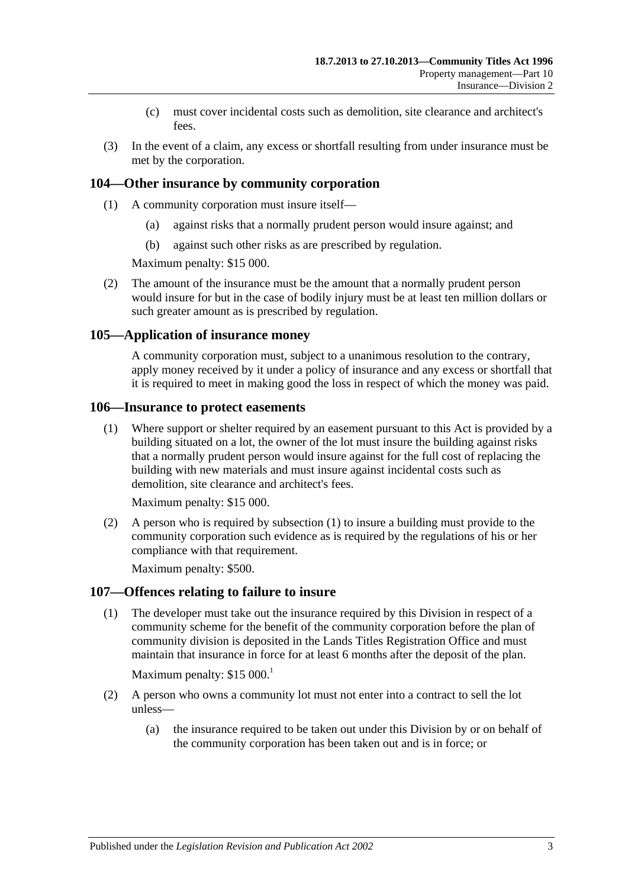- (c) must cover incidental costs such as demolition, site clearance and architect's fees.
- (3) In the event of a claim, any excess or shortfall resulting from under insurance must be met by the corporation.

### **104—Other insurance by community corporation**

- (1) A community corporation must insure itself—
	- (a) against risks that a normally prudent person would insure against; and
	- (b) against such other risks as are prescribed by regulation.

Maximum penalty: \$15 000.

(2) The amount of the insurance must be the amount that a normally prudent person would insure for but in the case of bodily injury must be at least ten million dollars or such greater amount as is prescribed by regulation.

#### **105—Application of insurance money**

A community corporation must, subject to a unanimous resolution to the contrary, apply money received by it under a policy of insurance and any excess or shortfall that it is required to meet in making good the loss in respect of which the money was paid.

#### <span id="page-82-0"></span>**106—Insurance to protect easements**

(1) Where support or shelter required by an easement pursuant to this Act is provided by a building situated on a lot, the owner of the lot must insure the building against risks that a normally prudent person would insure against for the full cost of replacing the building with new materials and must insure against incidental costs such as demolition, site clearance and architect's fees.

Maximum penalty: \$15 000.

(2) A person who is required by [subsection](#page-82-0) (1) to insure a building must provide to the community corporation such evidence as is required by the regulations of his or her compliance with that requirement.

Maximum penalty: \$500.

#### **107—Offences relating to failure to insure**

(1) The developer must take out the insurance required by this Division in respect of a community scheme for the benefit of the community corporation before the plan of community division is deposited in the Lands Titles Registration Office and must maintain that insurance in force for at least 6 months after the deposit of the plan.

Maximum penalty:  $$15\,000$ .<sup>1</sup>

- (2) A person who owns a community lot must not enter into a contract to sell the lot unless—
	- (a) the insurance required to be taken out under this Division by or on behalf of the community corporation has been taken out and is in force; or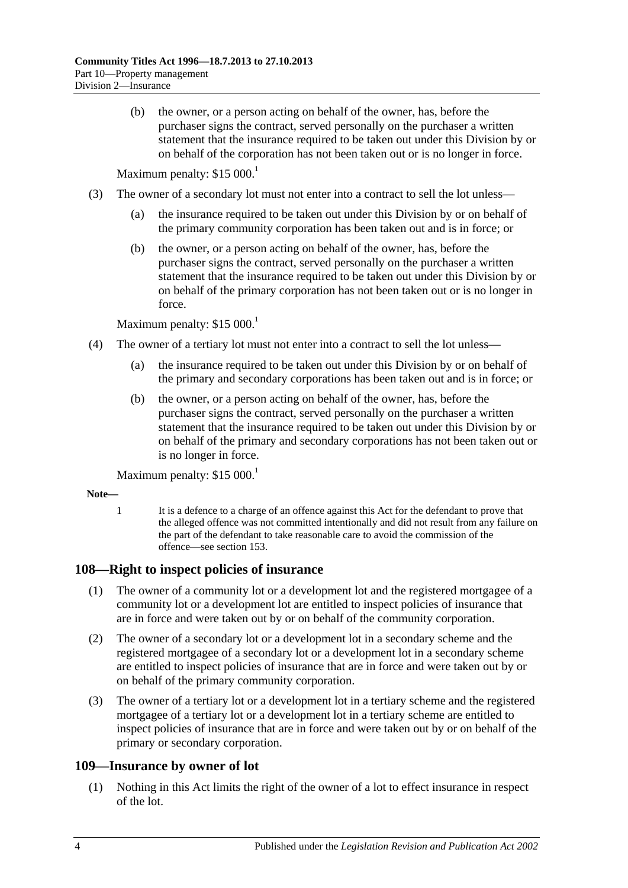(b) the owner, or a person acting on behalf of the owner, has, before the purchaser signs the contract, served personally on the purchaser a written statement that the insurance required to be taken out under this Division by or on behalf of the corporation has not been taken out or is no longer in force.

Maximum penalty: \$15 000.<sup>1</sup>

- (3) The owner of a secondary lot must not enter into a contract to sell the lot unless—
	- (a) the insurance required to be taken out under this Division by or on behalf of the primary community corporation has been taken out and is in force; or
	- (b) the owner, or a person acting on behalf of the owner, has, before the purchaser signs the contract, served personally on the purchaser a written statement that the insurance required to be taken out under this Division by or on behalf of the primary corporation has not been taken out or is no longer in force.

Maximum penalty: \$15 000.<sup>1</sup>

- (4) The owner of a tertiary lot must not enter into a contract to sell the lot unless—
	- (a) the insurance required to be taken out under this Division by or on behalf of the primary and secondary corporations has been taken out and is in force; or
	- (b) the owner, or a person acting on behalf of the owner, has, before the purchaser signs the contract, served personally on the purchaser a written statement that the insurance required to be taken out under this Division by or on behalf of the primary and secondary corporations has not been taken out or is no longer in force.

Maximum penalty:  $$15\,000$ .<sup>1</sup>

- **Note—**
	- 1 It is a defence to a charge of an offence against this Act for the defendant to prove that the alleged offence was not committed intentionally and did not result from any failure on the part of the defendant to take reasonable care to avoid the commission of the offence—se[e section](#page-107-0) 153.

# **108—Right to inspect policies of insurance**

- (1) The owner of a community lot or a development lot and the registered mortgagee of a community lot or a development lot are entitled to inspect policies of insurance that are in force and were taken out by or on behalf of the community corporation.
- (2) The owner of a secondary lot or a development lot in a secondary scheme and the registered mortgagee of a secondary lot or a development lot in a secondary scheme are entitled to inspect policies of insurance that are in force and were taken out by or on behalf of the primary community corporation.
- (3) The owner of a tertiary lot or a development lot in a tertiary scheme and the registered mortgagee of a tertiary lot or a development lot in a tertiary scheme are entitled to inspect policies of insurance that are in force and were taken out by or on behalf of the primary or secondary corporation.

# **109—Insurance by owner of lot**

(1) Nothing in this Act limits the right of the owner of a lot to effect insurance in respect of the lot.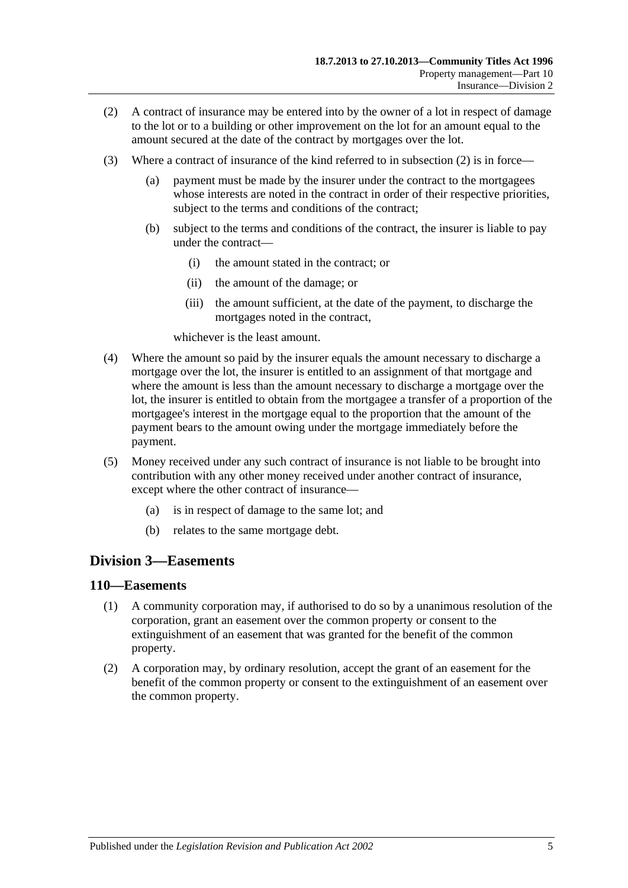- <span id="page-84-0"></span>(2) A contract of insurance may be entered into by the owner of a lot in respect of damage to the lot or to a building or other improvement on the lot for an amount equal to the amount secured at the date of the contract by mortgages over the lot.
- (3) Where a contract of insurance of the kind referred to in [subsection](#page-84-0) (2) is in force
	- payment must be made by the insurer under the contract to the mortgagees whose interests are noted in the contract in order of their respective priorities, subject to the terms and conditions of the contract;
	- (b) subject to the terms and conditions of the contract, the insurer is liable to pay under the contract—
		- (i) the amount stated in the contract; or
		- (ii) the amount of the damage; or
		- (iii) the amount sufficient, at the date of the payment, to discharge the mortgages noted in the contract,

whichever is the least amount.

- (4) Where the amount so paid by the insurer equals the amount necessary to discharge a mortgage over the lot, the insurer is entitled to an assignment of that mortgage and where the amount is less than the amount necessary to discharge a mortgage over the lot, the insurer is entitled to obtain from the mortgagee a transfer of a proportion of the mortgagee's interest in the mortgage equal to the proportion that the amount of the payment bears to the amount owing under the mortgage immediately before the payment.
- (5) Money received under any such contract of insurance is not liable to be brought into contribution with any other money received under another contract of insurance, except where the other contract of insurance—
	- (a) is in respect of damage to the same lot; and
	- (b) relates to the same mortgage debt.

# **Division 3—Easements**

#### **110—Easements**

- (1) A community corporation may, if authorised to do so by a unanimous resolution of the corporation, grant an easement over the common property or consent to the extinguishment of an easement that was granted for the benefit of the common property.
- (2) A corporation may, by ordinary resolution, accept the grant of an easement for the benefit of the common property or consent to the extinguishment of an easement over the common property.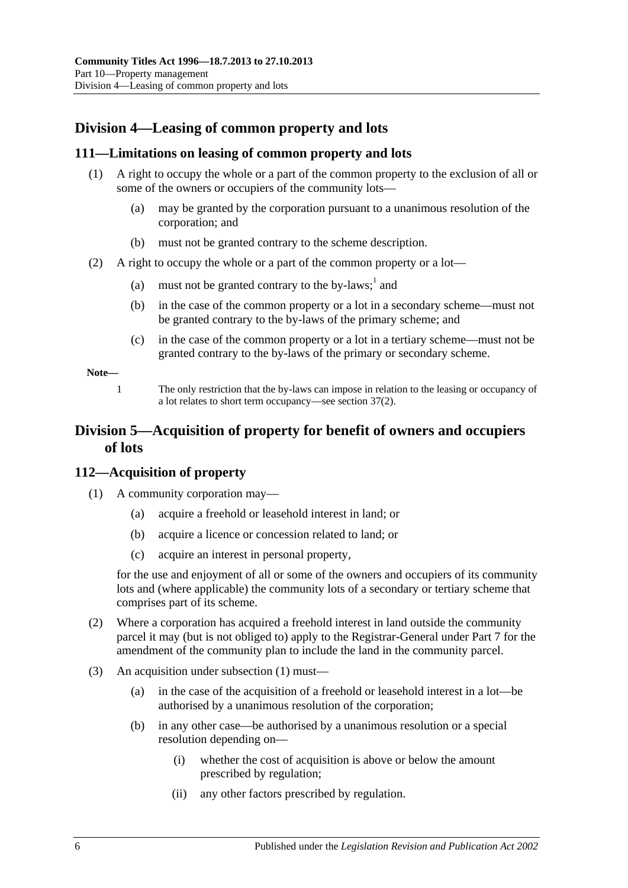# **Division 4—Leasing of common property and lots**

# **111—Limitations on leasing of common property and lots**

- (1) A right to occupy the whole or a part of the common property to the exclusion of all or some of the owners or occupiers of the community lots—
	- (a) may be granted by the corporation pursuant to a unanimous resolution of the corporation; and
	- (b) must not be granted contrary to the scheme description.
- (2) A right to occupy the whole or a part of the common property or a lot—
	- (a) must not be granted contrary to the by-laws;  $\frac{1}{2}$  and
	- (b) in the case of the common property or a lot in a secondary scheme—must not be granted contrary to the by-laws of the primary scheme; and
	- (c) in the case of the common property or a lot in a tertiary scheme—must not be granted contrary to the by-laws of the primary or secondary scheme.

**Note—**

1 The only restriction that the by-laws can impose in relation to the leasing or occupancy of a lot relates to short term occupancy—se[e section](#page-38-0) 37(2).

# **Division 5—Acquisition of property for benefit of owners and occupiers of lots**

# <span id="page-85-0"></span>**112—Acquisition of property**

- (1) A community corporation may—
	- (a) acquire a freehold or leasehold interest in land; or
	- (b) acquire a licence or concession related to land; or
	- (c) acquire an interest in personal property,

for the use and enjoyment of all or some of the owners and occupiers of its community lots and (where applicable) the community lots of a secondary or tertiary scheme that comprises part of its scheme.

- <span id="page-85-1"></span>(2) Where a corporation has acquired a freehold interest in land outside the community parcel it may (but is not obliged to) apply to the Registrar-General under [Part 7](#page-48-0) for the amendment of the community plan to include the land in the community parcel.
- (3) An acquisition under [subsection](#page-85-0) (1) must—
	- (a) in the case of the acquisition of a freehold or leasehold interest in a lot—be authorised by a unanimous resolution of the corporation;
	- (b) in any other case—be authorised by a unanimous resolution or a special resolution depending on—
		- (i) whether the cost of acquisition is above or below the amount prescribed by regulation;
		- (ii) any other factors prescribed by regulation.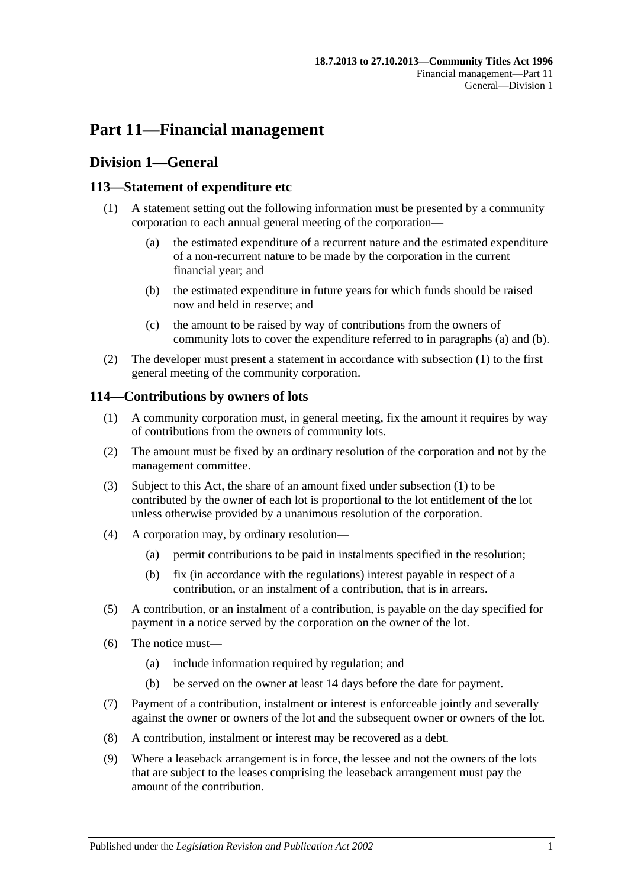# **Part 11—Financial management**

# **Division 1—General**

# <span id="page-86-2"></span>**113—Statement of expenditure etc**

- <span id="page-86-1"></span><span id="page-86-0"></span>(1) A statement setting out the following information must be presented by a community corporation to each annual general meeting of the corporation—
	- (a) the estimated expenditure of a recurrent nature and the estimated expenditure of a non-recurrent nature to be made by the corporation in the current financial year; and
	- (b) the estimated expenditure in future years for which funds should be raised now and held in reserve; and
	- (c) the amount to be raised by way of contributions from the owners of community lots to cover the expenditure referred to in [paragraphs](#page-86-0) (a) and [\(b\).](#page-86-1)
- (2) The developer must present a statement in accordance with [subsection](#page-86-2) (1) to the first general meeting of the community corporation.

# <span id="page-86-3"></span>**114—Contributions by owners of lots**

- (1) A community corporation must, in general meeting, fix the amount it requires by way of contributions from the owners of community lots.
- (2) The amount must be fixed by an ordinary resolution of the corporation and not by the management committee.
- (3) Subject to this Act, the share of an amount fixed under [subsection](#page-86-3) (1) to be contributed by the owner of each lot is proportional to the lot entitlement of the lot unless otherwise provided by a unanimous resolution of the corporation.
- (4) A corporation may, by ordinary resolution—
	- (a) permit contributions to be paid in instalments specified in the resolution;
	- (b) fix (in accordance with the regulations) interest payable in respect of a contribution, or an instalment of a contribution, that is in arrears.
- (5) A contribution, or an instalment of a contribution, is payable on the day specified for payment in a notice served by the corporation on the owner of the lot.
- (6) The notice must—
	- (a) include information required by regulation; and
	- (b) be served on the owner at least 14 days before the date for payment.
- (7) Payment of a contribution, instalment or interest is enforceable jointly and severally against the owner or owners of the lot and the subsequent owner or owners of the lot.
- (8) A contribution, instalment or interest may be recovered as a debt.
- (9) Where a leaseback arrangement is in force, the lessee and not the owners of the lots that are subject to the leases comprising the leaseback arrangement must pay the amount of the contribution.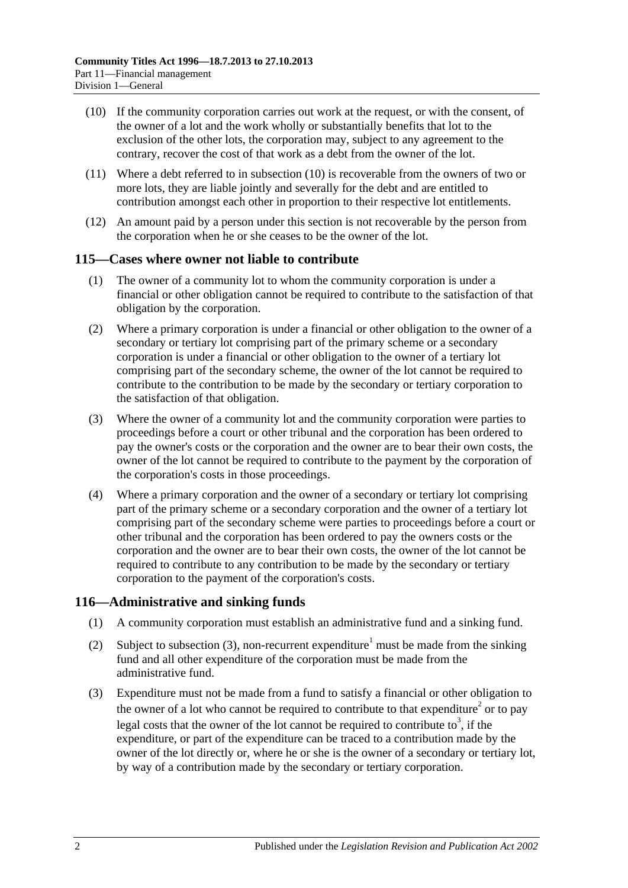- <span id="page-87-0"></span>(10) If the community corporation carries out work at the request, or with the consent, of the owner of a lot and the work wholly or substantially benefits that lot to the exclusion of the other lots, the corporation may, subject to any agreement to the contrary, recover the cost of that work as a debt from the owner of the lot.
- (11) Where a debt referred to in [subsection](#page-87-0) (10) is recoverable from the owners of two or more lots, they are liable jointly and severally for the debt and are entitled to contribution amongst each other in proportion to their respective lot entitlements.
- (12) An amount paid by a person under this section is not recoverable by the person from the corporation when he or she ceases to be the owner of the lot.

# <span id="page-87-2"></span>**115—Cases where owner not liable to contribute**

- (1) The owner of a community lot to whom the community corporation is under a financial or other obligation cannot be required to contribute to the satisfaction of that obligation by the corporation.
- (2) Where a primary corporation is under a financial or other obligation to the owner of a secondary or tertiary lot comprising part of the primary scheme or a secondary corporation is under a financial or other obligation to the owner of a tertiary lot comprising part of the secondary scheme, the owner of the lot cannot be required to contribute to the contribution to be made by the secondary or tertiary corporation to the satisfaction of that obligation.
- <span id="page-87-3"></span>(3) Where the owner of a community lot and the community corporation were parties to proceedings before a court or other tribunal and the corporation has been ordered to pay the owner's costs or the corporation and the owner are to bear their own costs, the owner of the lot cannot be required to contribute to the payment by the corporation of the corporation's costs in those proceedings.
- (4) Where a primary corporation and the owner of a secondary or tertiary lot comprising part of the primary scheme or a secondary corporation and the owner of a tertiary lot comprising part of the secondary scheme were parties to proceedings before a court or other tribunal and the corporation has been ordered to pay the owners costs or the corporation and the owner are to bear their own costs, the owner of the lot cannot be required to contribute to any contribution to be made by the secondary or tertiary corporation to the payment of the corporation's costs.

# **116—Administrative and sinking funds**

- (1) A community corporation must establish an administrative fund and a sinking fund.
- (2) Subject to [subsection](#page-87-1) (3), non-recurrent expenditure<sup>1</sup> must be made from the sinking fund and all other expenditure of the corporation must be made from the administrative fund.
- <span id="page-87-1"></span>(3) Expenditure must not be made from a fund to satisfy a financial or other obligation to the owner of a lot who cannot be required to contribute to that expenditure<sup>2</sup> or to pay legal costs that the owner of the lot cannot be required to contribute to<sup>3</sup>, if the expenditure, or part of the expenditure can be traced to a contribution made by the owner of the lot directly or, where he or she is the owner of a secondary or tertiary lot, by way of a contribution made by the secondary or tertiary corporation.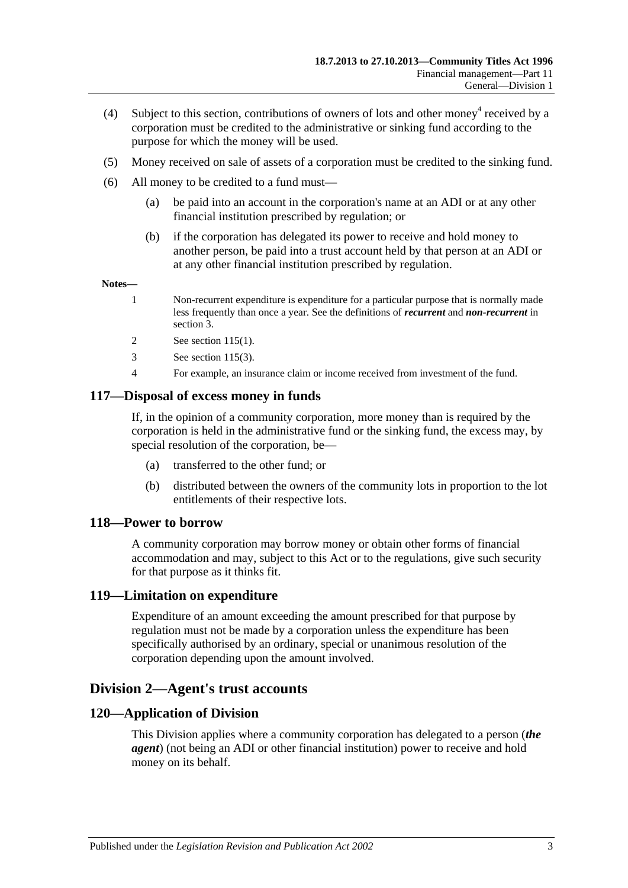- (4) Subject to this section, contributions of owners of lots and other money received by a corporation must be credited to the administrative or sinking fund according to the purpose for which the money will be used.
- (5) Money received on sale of assets of a corporation must be credited to the sinking fund.
- (6) All money to be credited to a fund must—
	- (a) be paid into an account in the corporation's name at an ADI or at any other financial institution prescribed by regulation; or
	- (b) if the corporation has delegated its power to receive and hold money to another person, be paid into a trust account held by that person at an ADI or at any other financial institution prescribed by regulation.

#### **Notes—**

- 1 Non-recurrent expenditure is expenditure for a particular purpose that is normally made less frequently than once a year. See the definitions of *recurrent* and *non-recurrent* in [section](#page-6-0) 3.
- 2 See [section](#page-87-2) 115(1).
- 3 See [section](#page-87-3) 115(3).
- 4 For example, an insurance claim or income received from investment of the fund.

#### **117—Disposal of excess money in funds**

If, in the opinion of a community corporation, more money than is required by the corporation is held in the administrative fund or the sinking fund, the excess may, by special resolution of the corporation, be—

- (a) transferred to the other fund; or
- (b) distributed between the owners of the community lots in proportion to the lot entitlements of their respective lots.

#### **118—Power to borrow**

A community corporation may borrow money or obtain other forms of financial accommodation and may, subject to this Act or to the regulations, give such security for that purpose as it thinks fit.

#### **119—Limitation on expenditure**

Expenditure of an amount exceeding the amount prescribed for that purpose by regulation must not be made by a corporation unless the expenditure has been specifically authorised by an ordinary, special or unanimous resolution of the corporation depending upon the amount involved.

# **Division 2—Agent's trust accounts**

#### **120—Application of Division**

This Division applies where a community corporation has delegated to a person (*the agent*) (not being an ADI or other financial institution) power to receive and hold money on its behalf.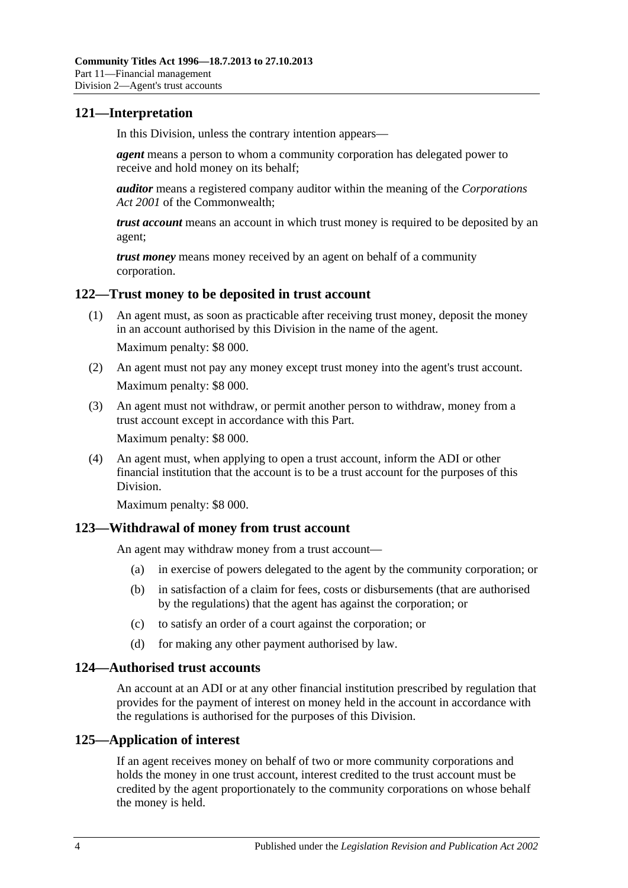# **121—Interpretation**

In this Division, unless the contrary intention appears—

*agent* means a person to whom a community corporation has delegated power to receive and hold money on its behalf;

*auditor* means a registered company auditor within the meaning of the *Corporations Act 2001* of the Commonwealth;

*trust account* means an account in which trust money is required to be deposited by an agent;

*trust money* means money received by an agent on behalf of a community corporation.

### **122—Trust money to be deposited in trust account**

- (1) An agent must, as soon as practicable after receiving trust money, deposit the money in an account authorised by this Division in the name of the agent. Maximum penalty: \$8 000.
- (2) An agent must not pay any money except trust money into the agent's trust account. Maximum penalty: \$8 000.
- (3) An agent must not withdraw, or permit another person to withdraw, money from a trust account except in accordance with this Part. Maximum penalty: \$8 000.
- (4) An agent must, when applying to open a trust account, inform the ADI or other financial institution that the account is to be a trust account for the purposes of this Division.

Maximum penalty: \$8 000.

# **123—Withdrawal of money from trust account**

An agent may withdraw money from a trust account—

- (a) in exercise of powers delegated to the agent by the community corporation; or
- (b) in satisfaction of a claim for fees, costs or disbursements (that are authorised by the regulations) that the agent has against the corporation; or
- (c) to satisfy an order of a court against the corporation; or
- (d) for making any other payment authorised by law.

#### **124—Authorised trust accounts**

An account at an ADI or at any other financial institution prescribed by regulation that provides for the payment of interest on money held in the account in accordance with the regulations is authorised for the purposes of this Division.

# **125—Application of interest**

If an agent receives money on behalf of two or more community corporations and holds the money in one trust account, interest credited to the trust account must be credited by the agent proportionately to the community corporations on whose behalf the money is held.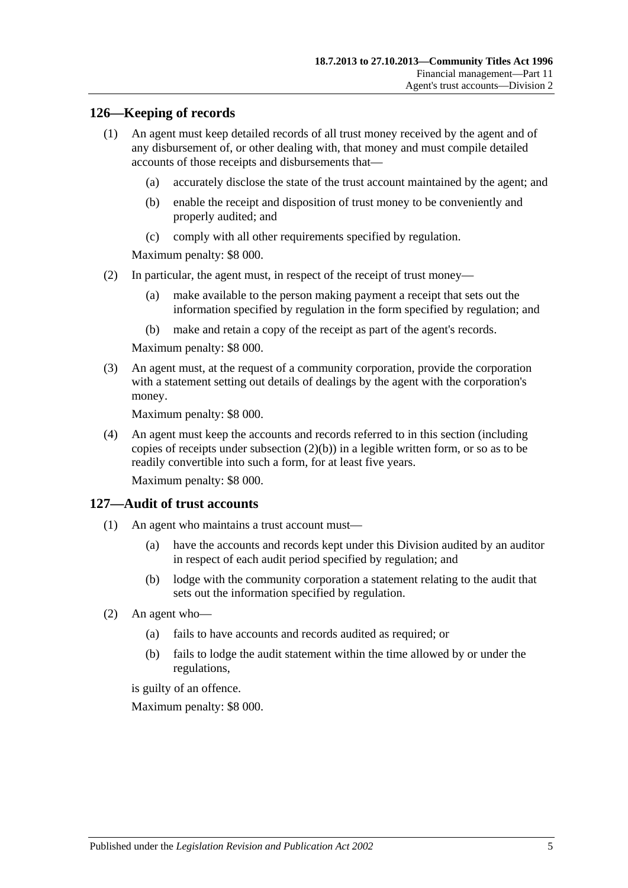### **126—Keeping of records**

- (1) An agent must keep detailed records of all trust money received by the agent and of any disbursement of, or other dealing with, that money and must compile detailed accounts of those receipts and disbursements that—
	- (a) accurately disclose the state of the trust account maintained by the agent; and
	- (b) enable the receipt and disposition of trust money to be conveniently and properly audited; and
	- (c) comply with all other requirements specified by regulation.

Maximum penalty: \$8 000.

- (2) In particular, the agent must, in respect of the receipt of trust money—
	- (a) make available to the person making payment a receipt that sets out the information specified by regulation in the form specified by regulation; and
	- (b) make and retain a copy of the receipt as part of the agent's records.

Maximum penalty: \$8 000.

<span id="page-90-0"></span>(3) An agent must, at the request of a community corporation, provide the corporation with a statement setting out details of dealings by the agent with the corporation's money.

Maximum penalty: \$8 000.

(4) An agent must keep the accounts and records referred to in this section (including copies of receipts under [subsection](#page-90-0) (2)(b)) in a legible written form, or so as to be readily convertible into such a form, for at least five years.

Maximum penalty: \$8 000.

#### **127—Audit of trust accounts**

- (1) An agent who maintains a trust account must—
	- (a) have the accounts and records kept under this Division audited by an auditor in respect of each audit period specified by regulation; and
	- (b) lodge with the community corporation a statement relating to the audit that sets out the information specified by regulation.
- (2) An agent who—
	- (a) fails to have accounts and records audited as required; or
	- (b) fails to lodge the audit statement within the time allowed by or under the regulations,

is guilty of an offence.

Maximum penalty: \$8 000.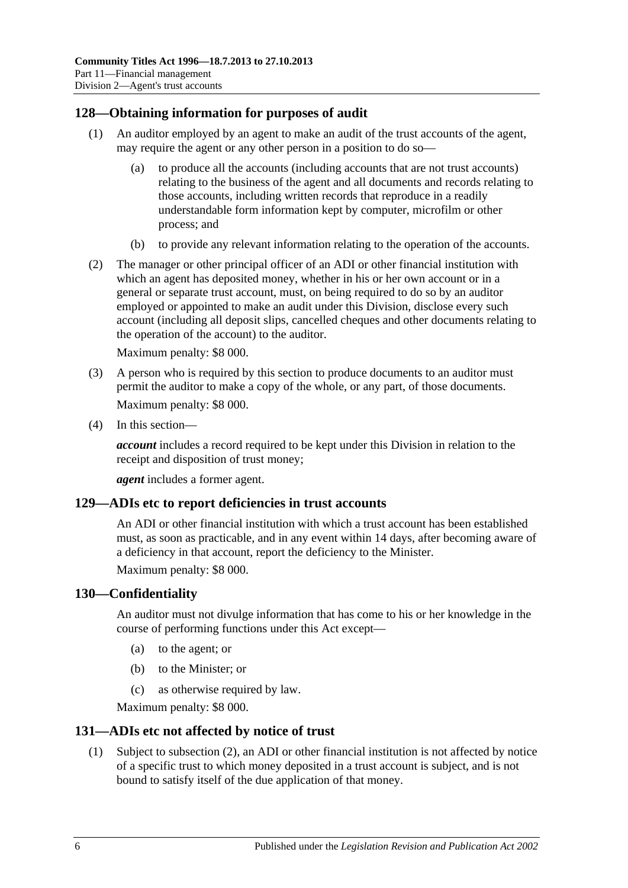# **128—Obtaining information for purposes of audit**

- (1) An auditor employed by an agent to make an audit of the trust accounts of the agent, may require the agent or any other person in a position to do so—
	- (a) to produce all the accounts (including accounts that are not trust accounts) relating to the business of the agent and all documents and records relating to those accounts, including written records that reproduce in a readily understandable form information kept by computer, microfilm or other process; and
	- (b) to provide any relevant information relating to the operation of the accounts.
- (2) The manager or other principal officer of an ADI or other financial institution with which an agent has deposited money, whether in his or her own account or in a general or separate trust account, must, on being required to do so by an auditor employed or appointed to make an audit under this Division, disclose every such account (including all deposit slips, cancelled cheques and other documents relating to the operation of the account) to the auditor.

Maximum penalty: \$8 000.

- (3) A person who is required by this section to produce documents to an auditor must permit the auditor to make a copy of the whole, or any part, of those documents. Maximum penalty: \$8 000.
- (4) In this section—

*account* includes a record required to be kept under this Division in relation to the receipt and disposition of trust money;

*agent* includes a former agent.

#### **129—ADIs etc to report deficiencies in trust accounts**

An ADI or other financial institution with which a trust account has been established must, as soon as practicable, and in any event within 14 days, after becoming aware of a deficiency in that account, report the deficiency to the Minister.

Maximum penalty: \$8 000.

#### **130—Confidentiality**

An auditor must not divulge information that has come to his or her knowledge in the course of performing functions under this Act except—

- (a) to the agent; or
- (b) to the Minister; or
- (c) as otherwise required by law.

Maximum penalty: \$8 000.

#### **131—ADIs etc not affected by notice of trust**

(1) Subject to [subsection](#page-92-0) (2), an ADI or other financial institution is not affected by notice of a specific trust to which money deposited in a trust account is subject, and is not bound to satisfy itself of the due application of that money.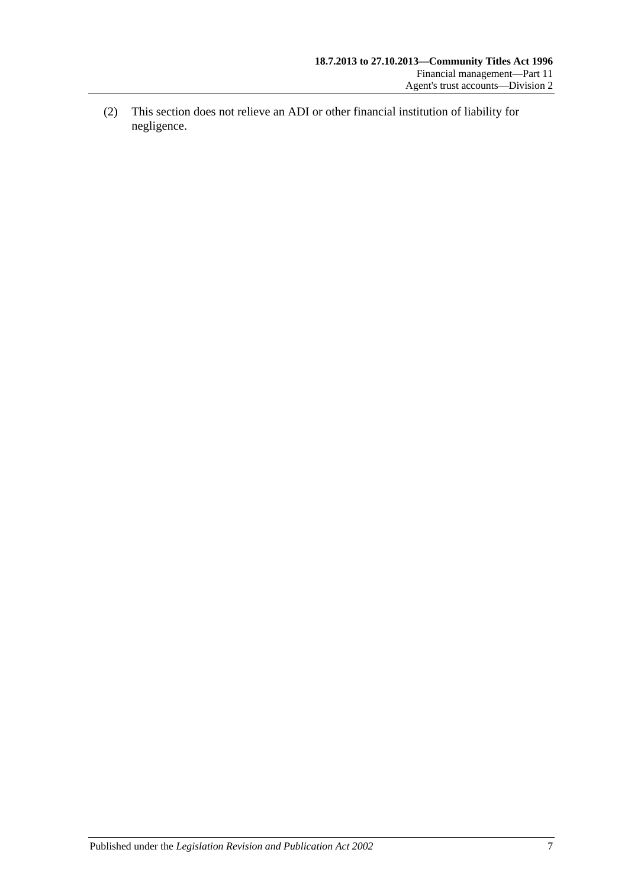<span id="page-92-0"></span>(2) This section does not relieve an ADI or other financial institution of liability for negligence.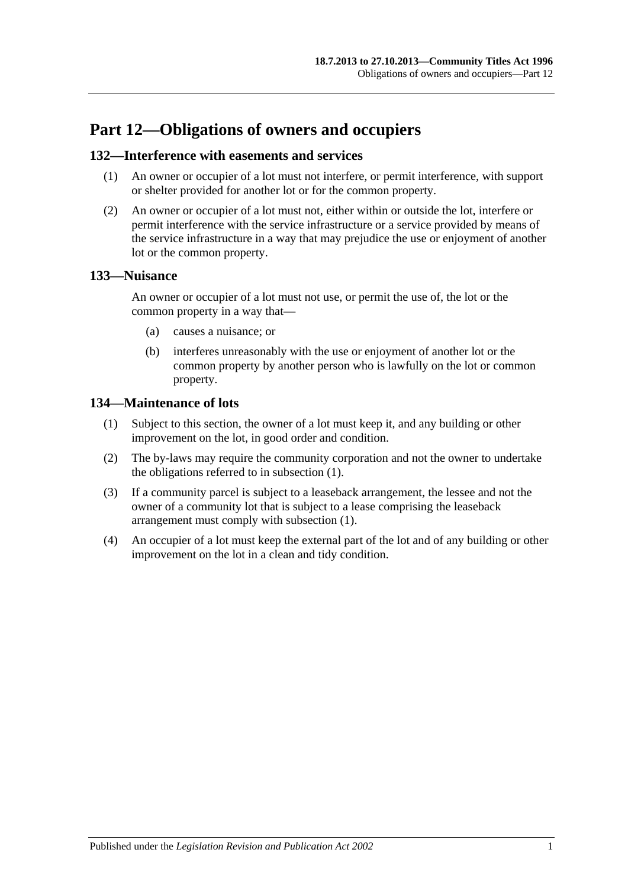# **Part 12—Obligations of owners and occupiers**

### **132—Interference with easements and services**

- (1) An owner or occupier of a lot must not interfere, or permit interference, with support or shelter provided for another lot or for the common property.
- (2) An owner or occupier of a lot must not, either within or outside the lot, interfere or permit interference with the service infrastructure or a service provided by means of the service infrastructure in a way that may prejudice the use or enjoyment of another lot or the common property.

### **133—Nuisance**

An owner or occupier of a lot must not use, or permit the use of, the lot or the common property in a way that—

- (a) causes a nuisance; or
- (b) interferes unreasonably with the use or enjoyment of another lot or the common property by another person who is lawfully on the lot or common property.

### <span id="page-94-0"></span>**134—Maintenance of lots**

- (1) Subject to this section, the owner of a lot must keep it, and any building or other improvement on the lot, in good order and condition.
- (2) The by-laws may require the community corporation and not the owner to undertake the obligations referred to in [subsection](#page-94-0) (1).
- (3) If a community parcel is subject to a leaseback arrangement, the lessee and not the owner of a community lot that is subject to a lease comprising the leaseback arrangement must comply with [subsection](#page-94-0) (1).
- (4) An occupier of a lot must keep the external part of the lot and of any building or other improvement on the lot in a clean and tidy condition.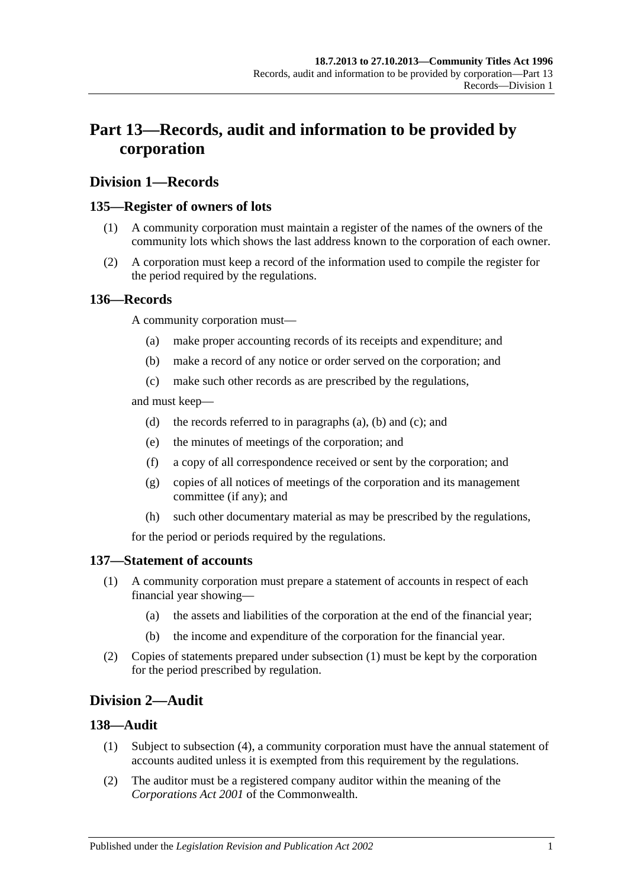# **Part 13—Records, audit and information to be provided by corporation**

# **Division 1—Records**

# **135—Register of owners of lots**

- (1) A community corporation must maintain a register of the names of the owners of the community lots which shows the last address known to the corporation of each owner.
- (2) A corporation must keep a record of the information used to compile the register for the period required by the regulations.

### <span id="page-96-1"></span><span id="page-96-0"></span>**136—Records**

A community corporation must—

- (a) make proper accounting records of its receipts and expenditure; and
- (b) make a record of any notice or order served on the corporation; and
- (c) make such other records as are prescribed by the regulations,

<span id="page-96-2"></span>and must keep—

- (d) the records referred to in [paragraphs](#page-96-0) (a), [\(b\)](#page-96-1) and [\(c\);](#page-96-2) and
- (e) the minutes of meetings of the corporation; and
- (f) a copy of all correspondence received or sent by the corporation; and
- (g) copies of all notices of meetings of the corporation and its management committee (if any); and
- (h) such other documentary material as may be prescribed by the regulations,

for the period or periods required by the regulations.

#### <span id="page-96-3"></span>**137—Statement of accounts**

- (1) A community corporation must prepare a statement of accounts in respect of each financial year showing—
	- (a) the assets and liabilities of the corporation at the end of the financial year;
	- (b) the income and expenditure of the corporation for the financial year.
- (2) Copies of statements prepared under [subsection](#page-96-3) (1) must be kept by the corporation for the period prescribed by regulation.

# **Division 2—Audit**

#### **138—Audit**

- (1) Subject to [subsection](#page-97-0) (4), a community corporation must have the annual statement of accounts audited unless it is exempted from this requirement by the regulations.
- (2) The auditor must be a registered company auditor within the meaning of the *Corporations Act 2001* of the Commonwealth.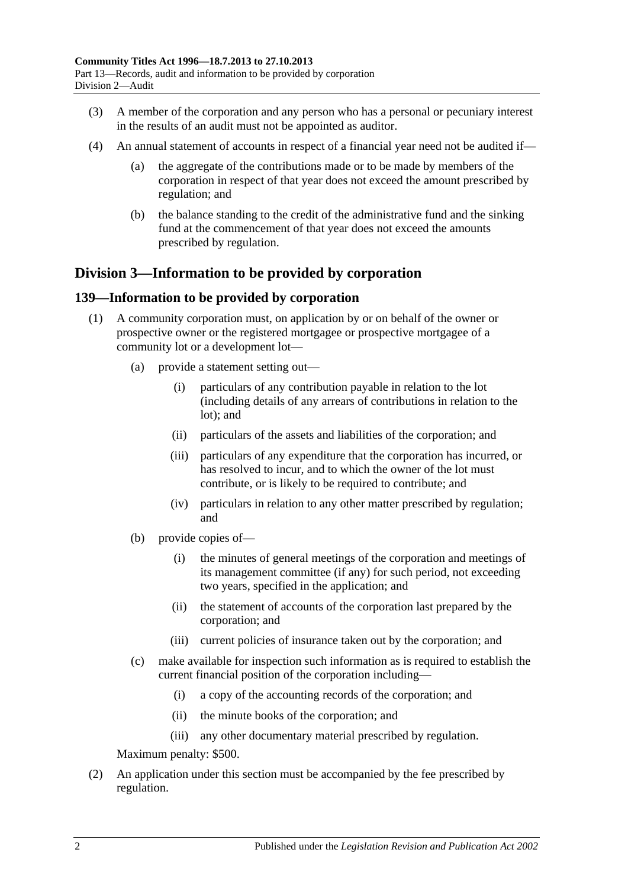- (3) A member of the corporation and any person who has a personal or pecuniary interest in the results of an audit must not be appointed as auditor.
- <span id="page-97-0"></span>(4) An annual statement of accounts in respect of a financial year need not be audited if—
	- (a) the aggregate of the contributions made or to be made by members of the corporation in respect of that year does not exceed the amount prescribed by regulation; and
	- (b) the balance standing to the credit of the administrative fund and the sinking fund at the commencement of that year does not exceed the amounts prescribed by regulation.

# **Division 3—Information to be provided by corporation**

### <span id="page-97-2"></span>**139—Information to be provided by corporation**

- <span id="page-97-1"></span>(1) A community corporation must, on application by or on behalf of the owner or prospective owner or the registered mortgagee or prospective mortgagee of a community lot or a development lot—
	- (a) provide a statement setting out—
		- (i) particulars of any contribution payable in relation to the lot (including details of any arrears of contributions in relation to the lot); and
		- (ii) particulars of the assets and liabilities of the corporation; and
		- (iii) particulars of any expenditure that the corporation has incurred, or has resolved to incur, and to which the owner of the lot must contribute, or is likely to be required to contribute; and
		- (iv) particulars in relation to any other matter prescribed by regulation; and
	- (b) provide copies of—
		- (i) the minutes of general meetings of the corporation and meetings of its management committee (if any) for such period, not exceeding two years, specified in the application; and
		- (ii) the statement of accounts of the corporation last prepared by the corporation; and
		- (iii) current policies of insurance taken out by the corporation; and
	- (c) make available for inspection such information as is required to establish the current financial position of the corporation including—
		- (i) a copy of the accounting records of the corporation; and
		- (ii) the minute books of the corporation; and
		- (iii) any other documentary material prescribed by regulation.

Maximum penalty: \$500.

(2) An application under this section must be accompanied by the fee prescribed by regulation.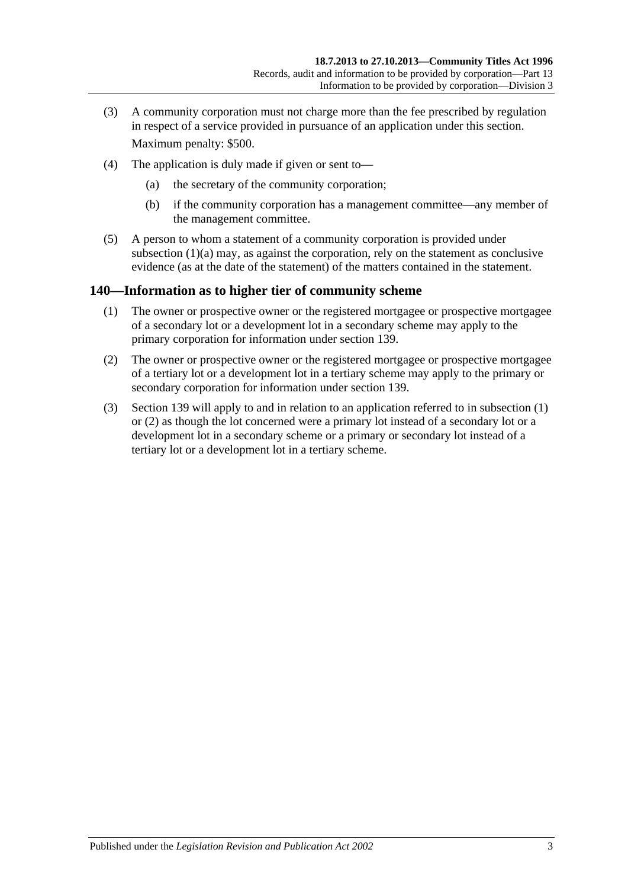- (3) A community corporation must not charge more than the fee prescribed by regulation in respect of a service provided in pursuance of an application under this section. Maximum penalty: \$500.
- (4) The application is duly made if given or sent to—
	- (a) the secretary of the community corporation;
	- (b) if the community corporation has a management committee—any member of the management committee.
- (5) A person to whom a statement of a community corporation is provided under [subsection](#page-97-1)  $(1)(a)$  may, as against the corporation, rely on the statement as conclusive evidence (as at the date of the statement) of the matters contained in the statement.

# <span id="page-98-0"></span>**140—Information as to higher tier of community scheme**

- (1) The owner or prospective owner or the registered mortgagee or prospective mortgagee of a secondary lot or a development lot in a secondary scheme may apply to the primary corporation for information under [section](#page-97-2) 139.
- <span id="page-98-1"></span>(2) The owner or prospective owner or the registered mortgagee or prospective mortgagee of a tertiary lot or a development lot in a tertiary scheme may apply to the primary or secondary corporation for information under [section](#page-97-2) 139.
- (3) [Section](#page-97-2) 139 will apply to and in relation to an application referred to in [subsection](#page-98-0) (1) or [\(2\)](#page-98-1) as though the lot concerned were a primary lot instead of a secondary lot or a development lot in a secondary scheme or a primary or secondary lot instead of a tertiary lot or a development lot in a tertiary scheme.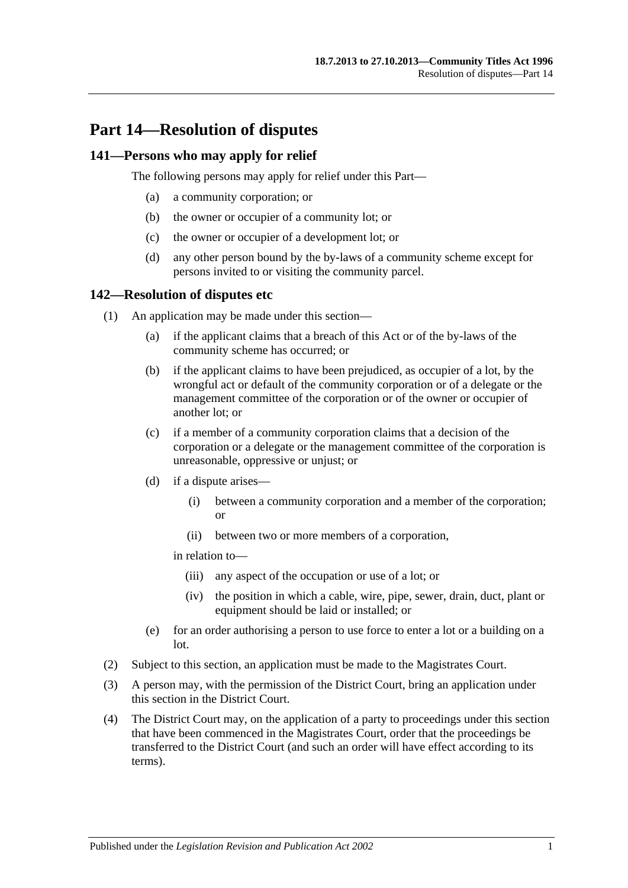# **Part 14—Resolution of disputes**

### **141—Persons who may apply for relief**

The following persons may apply for relief under this Part—

- (a) a community corporation; or
- (b) the owner or occupier of a community lot; or
- (c) the owner or occupier of a development lot; or
- (d) any other person bound by the by-laws of a community scheme except for persons invited to or visiting the community parcel.

#### **142—Resolution of disputes etc**

- (1) An application may be made under this section—
	- (a) if the applicant claims that a breach of this Act or of the by-laws of the community scheme has occurred; or
	- (b) if the applicant claims to have been prejudiced, as occupier of a lot, by the wrongful act or default of the community corporation or of a delegate or the management committee of the corporation or of the owner or occupier of another lot; or
	- (c) if a member of a community corporation claims that a decision of the corporation or a delegate or the management committee of the corporation is unreasonable, oppressive or unjust; or
	- (d) if a dispute arises—
		- (i) between a community corporation and a member of the corporation; or
		- (ii) between two or more members of a corporation,

in relation to—

- (iii) any aspect of the occupation or use of a lot; or
- (iv) the position in which a cable, wire, pipe, sewer, drain, duct, plant or equipment should be laid or installed; or
- (e) for an order authorising a person to use force to enter a lot or a building on a lot.
- (2) Subject to this section, an application must be made to the Magistrates Court.
- <span id="page-100-0"></span>(3) A person may, with the permission of the District Court, bring an application under this section in the District Court.
- <span id="page-100-1"></span>(4) The District Court may, on the application of a party to proceedings under this section that have been commenced in the Magistrates Court, order that the proceedings be transferred to the District Court (and such an order will have effect according to its terms).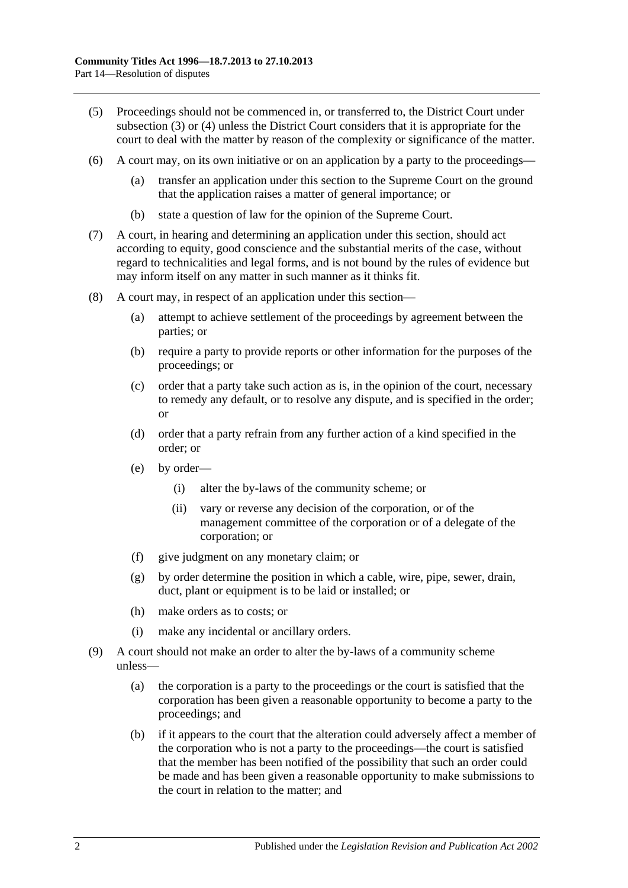- (5) Proceedings should not be commenced in, or transferred to, the District Court under [subsection](#page-100-0) (3) or [\(4\)](#page-100-1) unless the District Court considers that it is appropriate for the court to deal with the matter by reason of the complexity or significance of the matter.
- (6) A court may, on its own initiative or on an application by a party to the proceedings—
	- (a) transfer an application under this section to the Supreme Court on the ground that the application raises a matter of general importance; or
	- (b) state a question of law for the opinion of the Supreme Court.
- (7) A court, in hearing and determining an application under this section, should act according to equity, good conscience and the substantial merits of the case, without regard to technicalities and legal forms, and is not bound by the rules of evidence but may inform itself on any matter in such manner as it thinks fit.
- (8) A court may, in respect of an application under this section—
	- (a) attempt to achieve settlement of the proceedings by agreement between the parties; or
	- (b) require a party to provide reports or other information for the purposes of the proceedings; or
	- (c) order that a party take such action as is, in the opinion of the court, necessary to remedy any default, or to resolve any dispute, and is specified in the order; or
	- (d) order that a party refrain from any further action of a kind specified in the order; or
	- (e) by order—
		- (i) alter the by-laws of the community scheme; or
		- (ii) vary or reverse any decision of the corporation, or of the management committee of the corporation or of a delegate of the corporation; or
	- (f) give judgment on any monetary claim; or
	- (g) by order determine the position in which a cable, wire, pipe, sewer, drain, duct, plant or equipment is to be laid or installed; or
	- (h) make orders as to costs; or
	- (i) make any incidental or ancillary orders.
- (9) A court should not make an order to alter the by-laws of a community scheme unless—
	- (a) the corporation is a party to the proceedings or the court is satisfied that the corporation has been given a reasonable opportunity to become a party to the proceedings; and
	- (b) if it appears to the court that the alteration could adversely affect a member of the corporation who is not a party to the proceedings—the court is satisfied that the member has been notified of the possibility that such an order could be made and has been given a reasonable opportunity to make submissions to the court in relation to the matter; and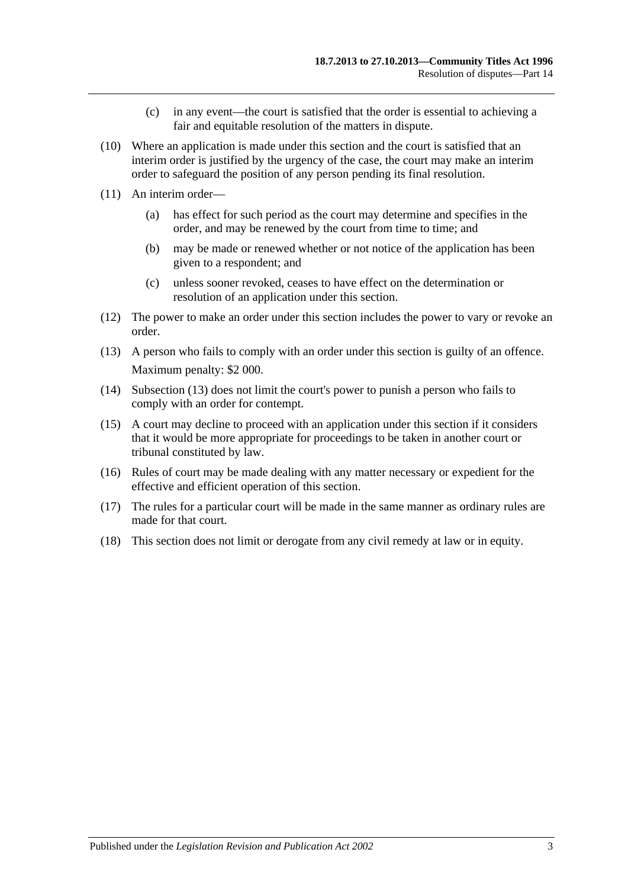- (c) in any event—the court is satisfied that the order is essential to achieving a fair and equitable resolution of the matters in dispute.
- (10) Where an application is made under this section and the court is satisfied that an interim order is justified by the urgency of the case, the court may make an interim order to safeguard the position of any person pending its final resolution.
- (11) An interim order—
	- (a) has effect for such period as the court may determine and specifies in the order, and may be renewed by the court from time to time; and
	- (b) may be made or renewed whether or not notice of the application has been given to a respondent; and
	- (c) unless sooner revoked, ceases to have effect on the determination or resolution of an application under this section.
- (12) The power to make an order under this section includes the power to vary or revoke an order.
- <span id="page-102-0"></span>(13) A person who fails to comply with an order under this section is guilty of an offence. Maximum penalty: \$2 000.
- (14) [Subsection](#page-102-0) (13) does not limit the court's power to punish a person who fails to comply with an order for contempt.
- (15) A court may decline to proceed with an application under this section if it considers that it would be more appropriate for proceedings to be taken in another court or tribunal constituted by law.
- (16) Rules of court may be made dealing with any matter necessary or expedient for the effective and efficient operation of this section.
- (17) The rules for a particular court will be made in the same manner as ordinary rules are made for that court.
- (18) This section does not limit or derogate from any civil remedy at law or in equity.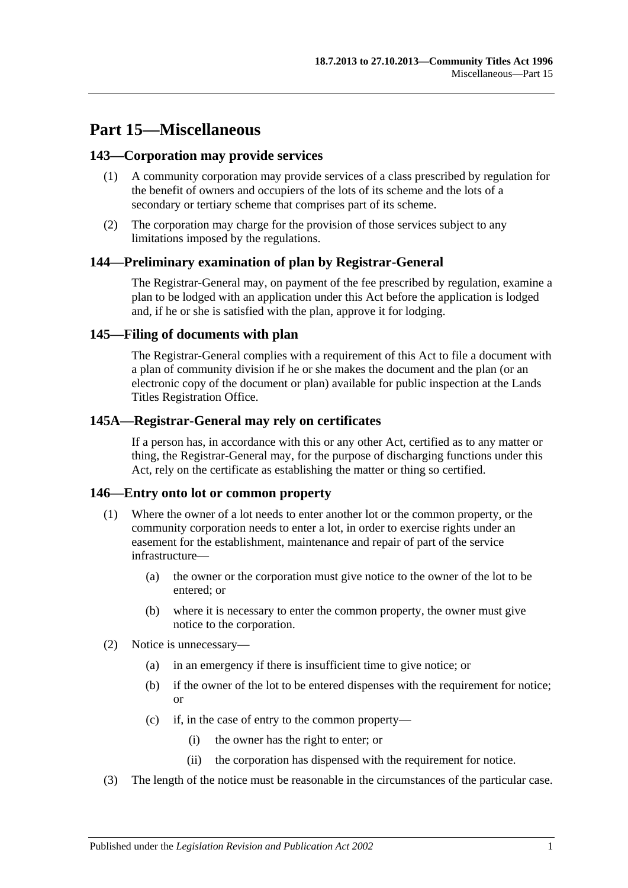# **Part 15—Miscellaneous**

# **143—Corporation may provide services**

- (1) A community corporation may provide services of a class prescribed by regulation for the benefit of owners and occupiers of the lots of its scheme and the lots of a secondary or tertiary scheme that comprises part of its scheme.
- (2) The corporation may charge for the provision of those services subject to any limitations imposed by the regulations.

### **144—Preliminary examination of plan by Registrar-General**

The Registrar-General may, on payment of the fee prescribed by regulation, examine a plan to be lodged with an application under this Act before the application is lodged and, if he or she is satisfied with the plan, approve it for lodging.

### **145—Filing of documents with plan**

The Registrar-General complies with a requirement of this Act to file a document with a plan of community division if he or she makes the document and the plan (or an electronic copy of the document or plan) available for public inspection at the Lands Titles Registration Office.

### **145A—Registrar-General may rely on certificates**

If a person has, in accordance with this or any other Act, certified as to any matter or thing, the Registrar-General may, for the purpose of discharging functions under this Act, rely on the certificate as establishing the matter or thing so certified.

#### **146—Entry onto lot or common property**

- (1) Where the owner of a lot needs to enter another lot or the common property, or the community corporation needs to enter a lot, in order to exercise rights under an easement for the establishment, maintenance and repair of part of the service infrastructure—
	- (a) the owner or the corporation must give notice to the owner of the lot to be entered; or
	- (b) where it is necessary to enter the common property, the owner must give notice to the corporation.
- (2) Notice is unnecessary—
	- (a) in an emergency if there is insufficient time to give notice; or
	- (b) if the owner of the lot to be entered dispenses with the requirement for notice; or
	- (c) if, in the case of entry to the common property—
		- (i) the owner has the right to enter; or
		- (ii) the corporation has dispensed with the requirement for notice.
- (3) The length of the notice must be reasonable in the circumstances of the particular case.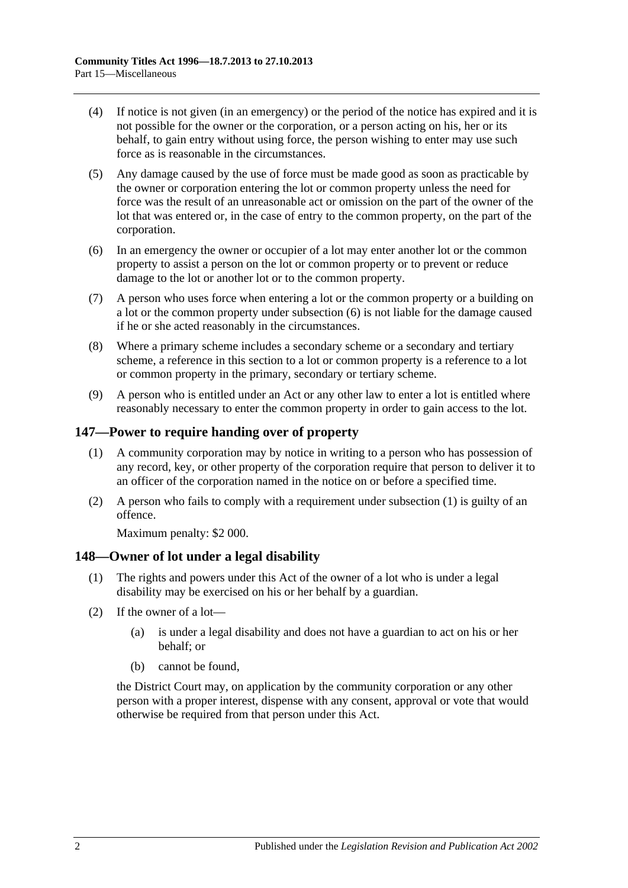- (4) If notice is not given (in an emergency) or the period of the notice has expired and it is not possible for the owner or the corporation, or a person acting on his, her or its behalf, to gain entry without using force, the person wishing to enter may use such force as is reasonable in the circumstances.
- (5) Any damage caused by the use of force must be made good as soon as practicable by the owner or corporation entering the lot or common property unless the need for force was the result of an unreasonable act or omission on the part of the owner of the lot that was entered or, in the case of entry to the common property, on the part of the corporation.
- <span id="page-105-0"></span>(6) In an emergency the owner or occupier of a lot may enter another lot or the common property to assist a person on the lot or common property or to prevent or reduce damage to the lot or another lot or to the common property.
- (7) A person who uses force when entering a lot or the common property or a building on a lot or the common property under [subsection](#page-105-0) (6) is not liable for the damage caused if he or she acted reasonably in the circumstances.
- (8) Where a primary scheme includes a secondary scheme or a secondary and tertiary scheme, a reference in this section to a lot or common property is a reference to a lot or common property in the primary, secondary or tertiary scheme.
- (9) A person who is entitled under an Act or any other law to enter a lot is entitled where reasonably necessary to enter the common property in order to gain access to the lot.

# <span id="page-105-1"></span>**147—Power to require handing over of property**

- (1) A community corporation may by notice in writing to a person who has possession of any record, key, or other property of the corporation require that person to deliver it to an officer of the corporation named in the notice on or before a specified time.
- (2) A person who fails to comply with a requirement under [subsection](#page-105-1) (1) is guilty of an offence.

Maximum penalty: \$2 000.

# **148—Owner of lot under a legal disability**

- (1) The rights and powers under this Act of the owner of a lot who is under a legal disability may be exercised on his or her behalf by a guardian.
- (2) If the owner of a lot—
	- (a) is under a legal disability and does not have a guardian to act on his or her behalf; or
	- (b) cannot be found,

the District Court may, on application by the community corporation or any other person with a proper interest, dispense with any consent, approval or vote that would otherwise be required from that person under this Act.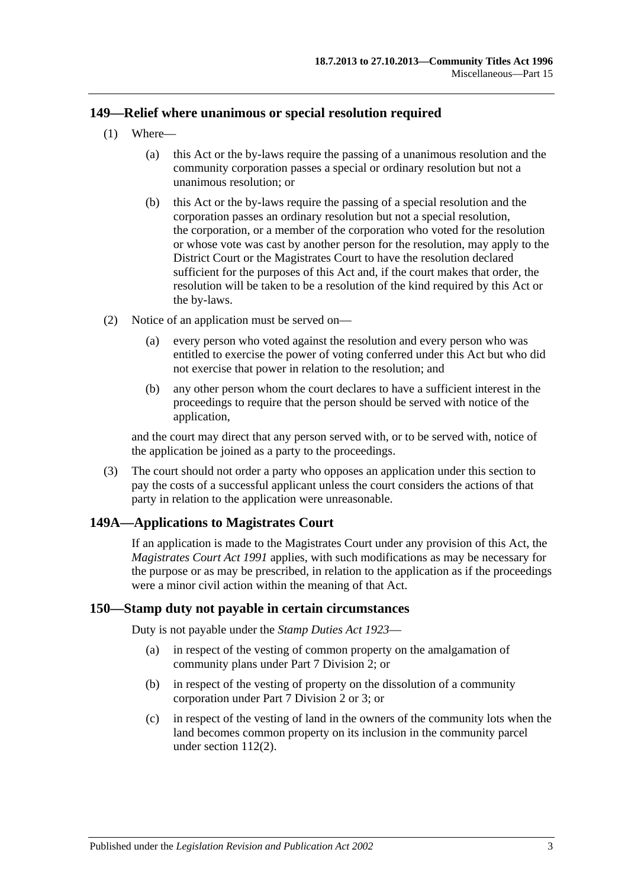### **149—Relief where unanimous or special resolution required**

- (1) Where—
	- (a) this Act or the by-laws require the passing of a unanimous resolution and the community corporation passes a special or ordinary resolution but not a unanimous resolution; or
	- (b) this Act or the by-laws require the passing of a special resolution and the corporation passes an ordinary resolution but not a special resolution, the corporation, or a member of the corporation who voted for the resolution or whose vote was cast by another person for the resolution, may apply to the District Court or the Magistrates Court to have the resolution declared sufficient for the purposes of this Act and, if the court makes that order, the resolution will be taken to be a resolution of the kind required by this Act or the by-laws.
- (2) Notice of an application must be served on—
	- (a) every person who voted against the resolution and every person who was entitled to exercise the power of voting conferred under this Act but who did not exercise that power in relation to the resolution; and
	- (b) any other person whom the court declares to have a sufficient interest in the proceedings to require that the person should be served with notice of the application,

and the court may direct that any person served with, or to be served with, notice of the application be joined as a party to the proceedings.

(3) The court should not order a party who opposes an application under this section to pay the costs of a successful applicant unless the court considers the actions of that party in relation to the application were unreasonable.

# **149A—Applications to Magistrates Court**

If an application is made to the Magistrates Court under any provision of this Act, the *[Magistrates Court Act](http://www.legislation.sa.gov.au/index.aspx?action=legref&type=act&legtitle=Magistrates%20Court%20Act%201991) 1991* applies, with such modifications as may be necessary for the purpose or as may be prescribed, in relation to the application as if the proceedings were a minor civil action within the meaning of that Act.

#### **150—Stamp duty not payable in certain circumstances**

Duty is not payable under the *[Stamp Duties Act](http://www.legislation.sa.gov.au/index.aspx?action=legref&type=act&legtitle=Stamp%20Duties%20Act%201923) 1923*—

- (a) in respect of the vesting of common property on the amalgamation of community plans under [Part 7 Division 2;](#page-55-0) or
- (b) in respect of the vesting of property on the dissolution of a community corporation under [Part 7 Division 2](#page-55-0) or [3;](#page-59-0) or
- (c) in respect of the vesting of land in the owners of the community lots when the land becomes common property on its inclusion in the community parcel under [section](#page-85-1) 112(2).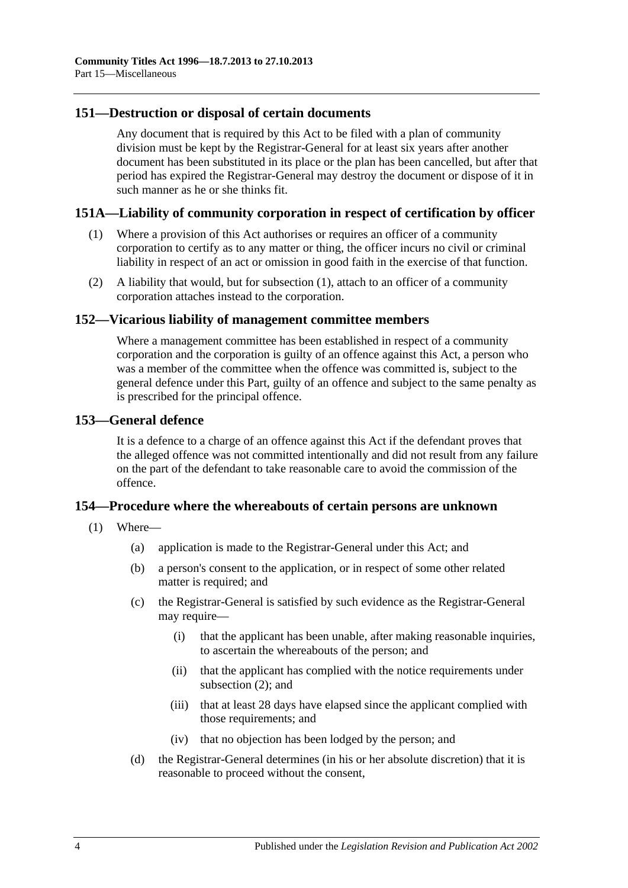### **151—Destruction or disposal of certain documents**

Any document that is required by this Act to be filed with a plan of community division must be kept by the Registrar-General for at least six years after another document has been substituted in its place or the plan has been cancelled, but after that period has expired the Registrar-General may destroy the document or dispose of it in such manner as he or she thinks fit.

### <span id="page-107-1"></span>**151A—Liability of community corporation in respect of certification by officer**

- (1) Where a provision of this Act authorises or requires an officer of a community corporation to certify as to any matter or thing, the officer incurs no civil or criminal liability in respect of an act or omission in good faith in the exercise of that function.
- (2) A liability that would, but for [subsection](#page-107-1) (1), attach to an officer of a community corporation attaches instead to the corporation.

#### **152—Vicarious liability of management committee members**

Where a management committee has been established in respect of a community corporation and the corporation is guilty of an offence against this Act, a person who was a member of the committee when the offence was committed is, subject to the general defence under this Part, guilty of an offence and subject to the same penalty as is prescribed for the principal offence.

#### <span id="page-107-0"></span>**153—General defence**

It is a defence to a charge of an offence against this Act if the defendant proves that the alleged offence was not committed intentionally and did not result from any failure on the part of the defendant to take reasonable care to avoid the commission of the offence.

#### **154—Procedure where the whereabouts of certain persons are unknown**

- (1) Where—
	- (a) application is made to the Registrar-General under this Act; and
	- (b) a person's consent to the application, or in respect of some other related matter is required; and
	- (c) the Registrar-General is satisfied by such evidence as the Registrar-General may require—
		- (i) that the applicant has been unable, after making reasonable inquiries, to ascertain the whereabouts of the person; and
		- (ii) that the applicant has complied with the notice requirements under [subsection](#page-108-0) (2); and
		- (iii) that at least 28 days have elapsed since the applicant complied with those requirements; and
		- (iv) that no objection has been lodged by the person; and
	- (d) the Registrar-General determines (in his or her absolute discretion) that it is reasonable to proceed without the consent,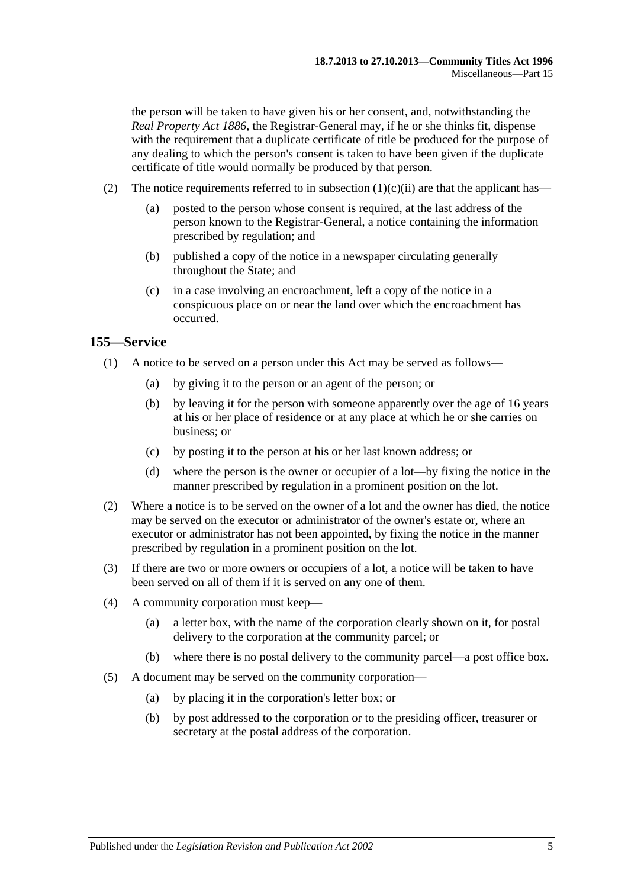the person will be taken to have given his or her consent, and, notwithstanding the *[Real Property Act](http://www.legislation.sa.gov.au/index.aspx?action=legref&type=act&legtitle=Real%20Property%20Act%201886) 1886*, the Registrar-General may, if he or she thinks fit, dispense with the requirement that a duplicate certificate of title be produced for the purpose of any dealing to which the person's consent is taken to have been given if the duplicate certificate of title would normally be produced by that person.

- (2) The notice requirements referred to in [subsection](#page-107-0)  $(1)(c)(ii)$  are that the applicant has—
	- (a) posted to the person whose consent is required, at the last address of the person known to the Registrar-General, a notice containing the information prescribed by regulation; and
	- (b) published a copy of the notice in a newspaper circulating generally throughout the State; and
	- (c) in a case involving an encroachment, left a copy of the notice in a conspicuous place on or near the land over which the encroachment has occurred.

### **155—Service**

- (1) A notice to be served on a person under this Act may be served as follows—
	- (a) by giving it to the person or an agent of the person; or
	- (b) by leaving it for the person with someone apparently over the age of 16 years at his or her place of residence or at any place at which he or she carries on business; or
	- (c) by posting it to the person at his or her last known address; or
	- (d) where the person is the owner or occupier of a lot—by fixing the notice in the manner prescribed by regulation in a prominent position on the lot.
- (2) Where a notice is to be served on the owner of a lot and the owner has died, the notice may be served on the executor or administrator of the owner's estate or, where an executor or administrator has not been appointed, by fixing the notice in the manner prescribed by regulation in a prominent position on the lot.
- (3) If there are two or more owners or occupiers of a lot, a notice will be taken to have been served on all of them if it is served on any one of them.
- (4) A community corporation must keep—
	- (a) a letter box, with the name of the corporation clearly shown on it, for postal delivery to the corporation at the community parcel; or
	- (b) where there is no postal delivery to the community parcel—a post office box.
- (5) A document may be served on the community corporation—
	- (a) by placing it in the corporation's letter box; or
	- (b) by post addressed to the corporation or to the presiding officer, treasurer or secretary at the postal address of the corporation.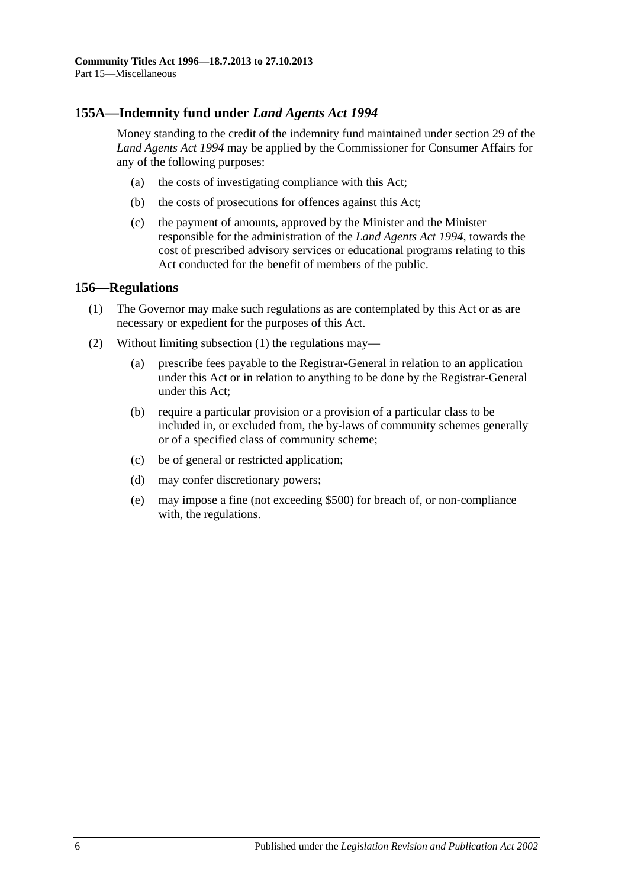## **155A—Indemnity fund under** *Land Agents Act 1994*

Money standing to the credit of the indemnity fund maintained under section 29 of the *[Land Agents Act](http://www.legislation.sa.gov.au/index.aspx?action=legref&type=act&legtitle=Land%20Agents%20Act%201994) 1994* may be applied by the Commissioner for Consumer Affairs for any of the following purposes:

- (a) the costs of investigating compliance with this Act;
- (b) the costs of prosecutions for offences against this Act;
- (c) the payment of amounts, approved by the Minister and the Minister responsible for the administration of the *[Land Agents Act](http://www.legislation.sa.gov.au/index.aspx?action=legref&type=act&legtitle=Land%20Agents%20Act%201994) 1994*, towards the cost of prescribed advisory services or educational programs relating to this Act conducted for the benefit of members of the public.

#### <span id="page-109-0"></span>**156—Regulations**

- (1) The Governor may make such regulations as are contemplated by this Act or as are necessary or expedient for the purposes of this Act.
- (2) Without limiting [subsection](#page-109-0) (1) the regulations may—
	- (a) prescribe fees payable to the Registrar-General in relation to an application under this Act or in relation to anything to be done by the Registrar-General under this Act;
	- (b) require a particular provision or a provision of a particular class to be included in, or excluded from, the by-laws of community schemes generally or of a specified class of community scheme;
	- (c) be of general or restricted application;
	- (d) may confer discretionary powers;
	- (e) may impose a fine (not exceeding \$500) for breach of, or non-compliance with, the regulations.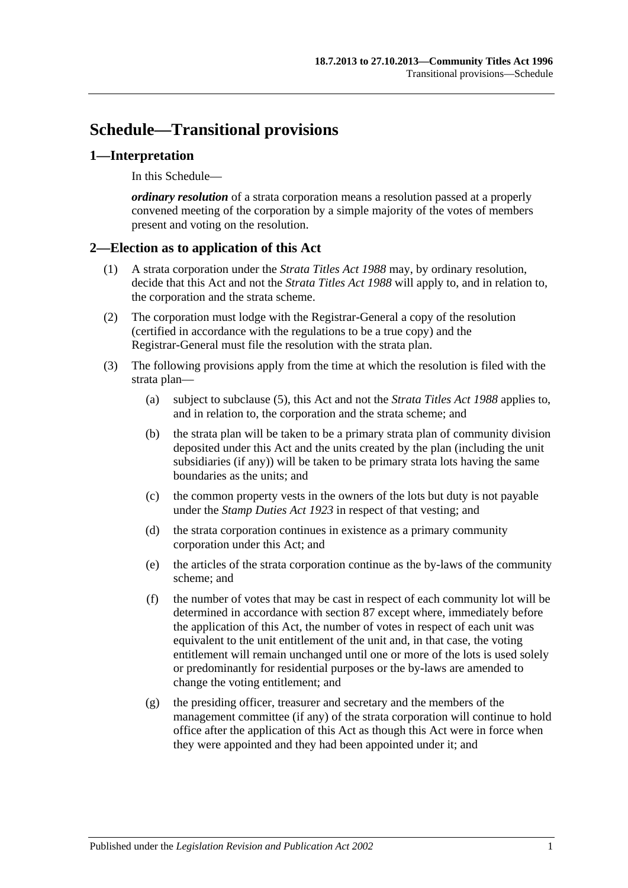# **Schedule—Transitional provisions**

### **1—Interpretation**

In this Schedule—

*ordinary resolution* of a strata corporation means a resolution passed at a properly convened meeting of the corporation by a simple majority of the votes of members present and voting on the resolution.

### **2—Election as to application of this Act**

- (1) A strata corporation under the *[Strata Titles Act](http://www.legislation.sa.gov.au/index.aspx?action=legref&type=act&legtitle=Strata%20Titles%20Act%201988) 1988* may, by ordinary resolution, decide that this Act and not the *[Strata Titles Act](http://www.legislation.sa.gov.au/index.aspx?action=legref&type=act&legtitle=Strata%20Titles%20Act%201988) 1988* will apply to, and in relation to, the corporation and the strata scheme.
- (2) The corporation must lodge with the Registrar-General a copy of the resolution (certified in accordance with the regulations to be a true copy) and the Registrar-General must file the resolution with the strata plan.
- (3) The following provisions apply from the time at which the resolution is filed with the strata plan—
	- (a) subject to [subclause](#page-111-0) (5), this Act and not the *[Strata Titles Act](http://www.legislation.sa.gov.au/index.aspx?action=legref&type=act&legtitle=Strata%20Titles%20Act%201988) 1988* applies to, and in relation to, the corporation and the strata scheme; and
	- (b) the strata plan will be taken to be a primary strata plan of community division deposited under this Act and the units created by the plan (including the unit subsidiaries (if any)) will be taken to be primary strata lots having the same boundaries as the units; and
	- (c) the common property vests in the owners of the lots but duty is not payable under the *[Stamp Duties Act](http://www.legislation.sa.gov.au/index.aspx?action=legref&type=act&legtitle=Stamp%20Duties%20Act%201923) 1923* in respect of that vesting; and
	- (d) the strata corporation continues in existence as a primary community corporation under this Act; and
	- (e) the articles of the strata corporation continue as the by-laws of the community scheme; and
	- (f) the number of votes that may be cast in respect of each community lot will be determined in accordance with [section](#page-74-0) 87 except where, immediately before the application of this Act, the number of votes in respect of each unit was equivalent to the unit entitlement of the unit and, in that case, the voting entitlement will remain unchanged until one or more of the lots is used solely or predominantly for residential purposes or the by-laws are amended to change the voting entitlement; and
	- (g) the presiding officer, treasurer and secretary and the members of the management committee (if any) of the strata corporation will continue to hold office after the application of this Act as though this Act were in force when they were appointed and they had been appointed under it; and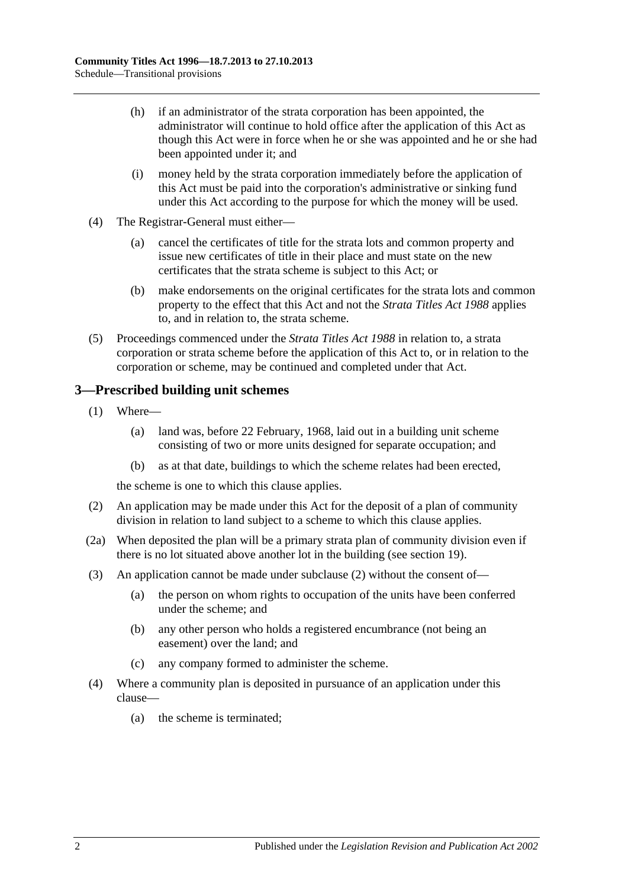- (h) if an administrator of the strata corporation has been appointed, the administrator will continue to hold office after the application of this Act as though this Act were in force when he or she was appointed and he or she had been appointed under it; and
- (i) money held by the strata corporation immediately before the application of this Act must be paid into the corporation's administrative or sinking fund under this Act according to the purpose for which the money will be used.
- (4) The Registrar-General must either—
	- (a) cancel the certificates of title for the strata lots and common property and issue new certificates of title in their place and must state on the new certificates that the strata scheme is subject to this Act; or
	- (b) make endorsements on the original certificates for the strata lots and common property to the effect that this Act and not the *[Strata Titles Act](http://www.legislation.sa.gov.au/index.aspx?action=legref&type=act&legtitle=Strata%20Titles%20Act%201988) 1988* applies to, and in relation to, the strata scheme.
- <span id="page-111-0"></span>(5) Proceedings commenced under the *[Strata Titles Act](http://www.legislation.sa.gov.au/index.aspx?action=legref&type=act&legtitle=Strata%20Titles%20Act%201988) 1988* in relation to, a strata corporation or strata scheme before the application of this Act to, or in relation to the corporation or scheme, may be continued and completed under that Act.

## **3—Prescribed building unit schemes**

- (1) Where—
	- (a) land was, before 22 February, 1968, laid out in a building unit scheme consisting of two or more units designed for separate occupation; and
	- (b) as at that date, buildings to which the scheme relates had been erected,

the scheme is one to which this clause applies.

- <span id="page-111-1"></span>(2) An application may be made under this Act for the deposit of a plan of community division in relation to land subject to a scheme to which this clause applies.
- (2a) When deposited the plan will be a primary strata plan of community division even if there is no lot situated above another lot in the building (see [section](#page-21-0) 19).
- (3) An application cannot be made under [subclause](#page-111-1) (2) without the consent of—
	- (a) the person on whom rights to occupation of the units have been conferred under the scheme; and
	- (b) any other person who holds a registered encumbrance (not being an easement) over the land; and
	- (c) any company formed to administer the scheme.
- (4) Where a community plan is deposited in pursuance of an application under this clause—
	- (a) the scheme is terminated;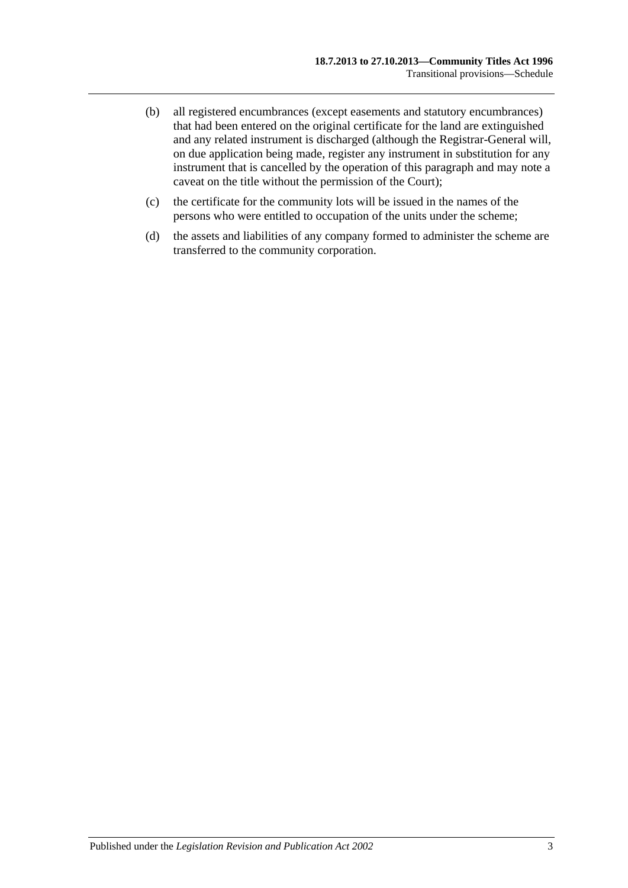- (b) all registered encumbrances (except easements and statutory encumbrances) that had been entered on the original certificate for the land are extinguished and any related instrument is discharged (although the Registrar-General will, on due application being made, register any instrument in substitution for any instrument that is cancelled by the operation of this paragraph and may note a caveat on the title without the permission of the Court);
- (c) the certificate for the community lots will be issued in the names of the persons who were entitled to occupation of the units under the scheme;
- (d) the assets and liabilities of any company formed to administer the scheme are transferred to the community corporation.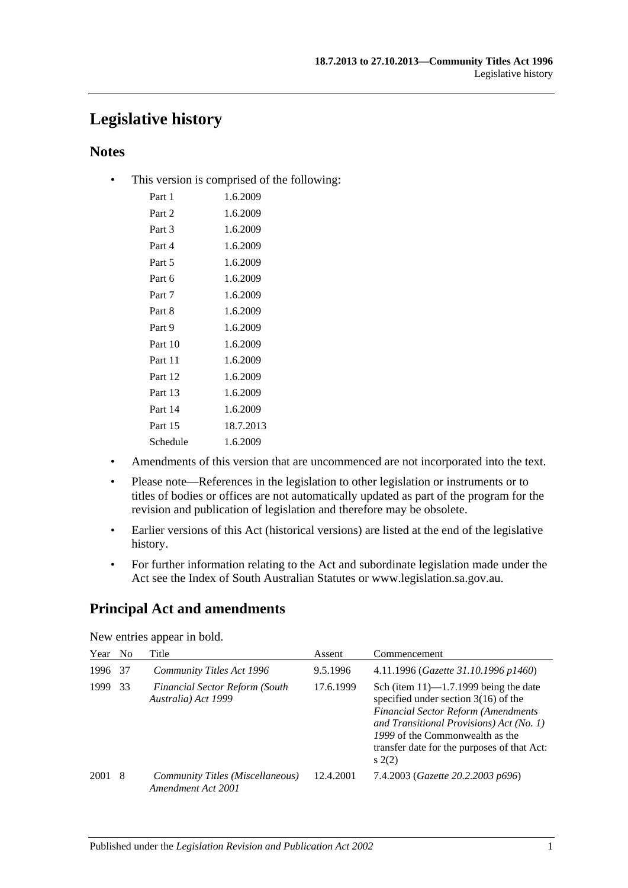# **Legislative history**

## **Notes**

• This version is comprised of the following:

| Part 1   | 1.6.2009  |
|----------|-----------|
| Part 2   | 1.6.2009  |
| Part 3   | 1.6.2009  |
| Part 4   | 1.6.2009  |
| Part 5   | 1.6.2009  |
| Part 6   | 1.6.2009  |
| Part 7   | 1.6.2009  |
| Part 8   | 1.6.2009  |
| Part 9   | 1.6.2009  |
| Part 10  | 1.6.2009  |
| Part 11  | 1.6.2009  |
| Part 12  | 1.6.2009  |
| Part 13  | 1.6.2009  |
| Part 14  | 1.6.2009  |
| Part 15  | 18.7.2013 |
| Schedule | 1.6.2009  |
|          |           |

- Amendments of this version that are uncommenced are not incorporated into the text.
- Please note—References in the legislation to other legislation or instruments or to titles of bodies or offices are not automatically updated as part of the program for the revision and publication of legislation and therefore may be obsolete.
- Earlier versions of this Act (historical versions) are listed at the end of the legislative history.
- For further information relating to the Act and subordinate legislation made under the Act see the Index of South Australian Statutes or www.legislation.sa.gov.au.

# **Principal Act and amendments**

| Year | No. | Title                                                        | Assent    | Commencement                                                                                                                                                                                                                                                           |
|------|-----|--------------------------------------------------------------|-----------|------------------------------------------------------------------------------------------------------------------------------------------------------------------------------------------------------------------------------------------------------------------------|
| 1996 | 37  | Community Titles Act 1996                                    | 9.5.1996  | 4.11.1996 (Gazette 31.10.1996 p1460)                                                                                                                                                                                                                                   |
| 1999 | 33  | <b>Financial Sector Reform (South</b><br>Australia) Act 1999 | 17.6.1999 | Sch (item $11$ )—1.7.1999 being the date<br>specified under section $3(16)$ of the<br><b>Financial Sector Reform (Amendments</b><br>and Transitional Provisions) Act (No. 1)<br>1999 of the Commonwealth as the<br>transfer date for the purposes of that Act:<br>s(2) |
| 2001 | -8  | Community Titles (Miscellaneous)<br>Amendment Act 2001       | 12.4.2001 | 7.4.2003 (Gazette 20.2.2003 p696)                                                                                                                                                                                                                                      |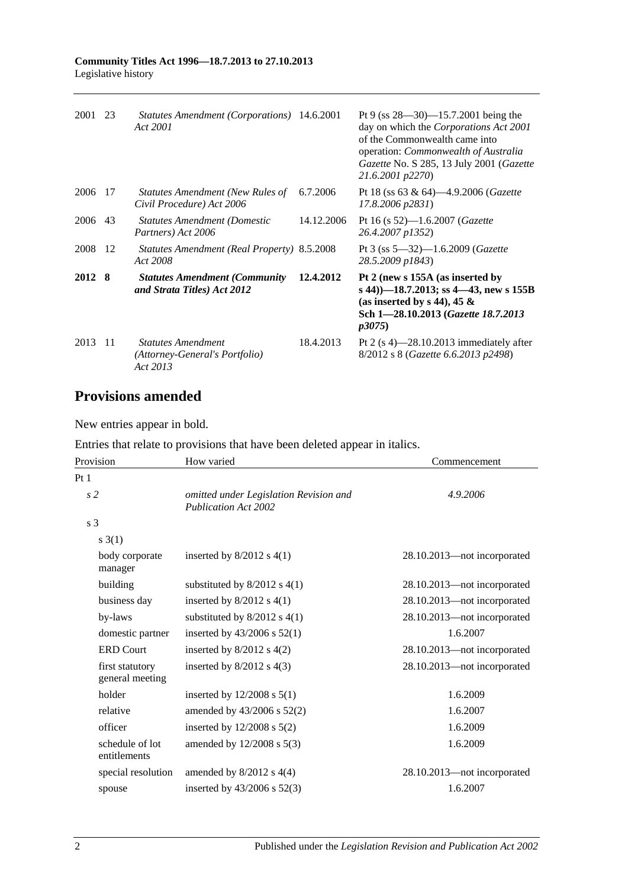| 2001    | 23  | Statutes Amendment (Corporations) 14.6.2001<br>Act 2001                 |            | Pt 9 (ss $28 - 30$ ) -15.7.2001 being the<br>day on which the Corporations Act 2001<br>of the Commonwealth came into<br>operation: <i>Commonwealth of Australia</i><br>Gazette No. S 285, 13 July 2001 (Gazette<br>21.6.2001 p2270) |
|---------|-----|-------------------------------------------------------------------------|------------|-------------------------------------------------------------------------------------------------------------------------------------------------------------------------------------------------------------------------------------|
| 2006    | -17 | Statutes Amendment (New Rules of<br>Civil Procedure) Act 2006           | 6.7.2006   | Pt 18 (ss 63 & 64)—4.9.2006 ( <i>Gazette</i><br>17.8.2006 p2831)                                                                                                                                                                    |
| 2006 43 |     | <b>Statutes Amendment (Domestic</b><br>Partners) Act 2006               | 14.12.2006 | Pt 16 (s $52$ )-1.6.2007 ( <i>Gazette</i><br>26.4.2007 p1352)                                                                                                                                                                       |
| 2008    | -12 | Statutes Amendment (Real Property) 8.5.2008<br>Act 2008                 |            | Pt 3 (ss $5 - 32$ ) $-1.6.2009$ ( <i>Gazette</i><br>28.5.2009 p1843)                                                                                                                                                                |
| 2012 8  |     | <b>Statutes Amendment (Community)</b><br>and Strata Titles) Act 2012    | 12.4.2012  | Pt 2 (new s 155A (as inserted by<br>s 44) $-18.7.2013$ ; ss 4 $-43$ , new s 155B<br>(as inserted by s 44), 45 $\&$<br>Sch 1-28.10.2013 (Gazette 18.7.2013<br><i>p</i> 3075)                                                         |
| 2013    | -11 | <b>Statutes Amendment</b><br>(Attorney-General's Portfolio)<br>Act 2013 | 18.4.2013  | Pt 2 $(s 4)$ —28.10.2013 immediately after<br>8/2012 s 8 (Gazette 6.6.2013 p2498)                                                                                                                                                   |

# **Provisions amended**

New entries appear in bold.

Entries that relate to provisions that have been deleted appear in italics.

| Provision                          | How varied                                                            | Commencement                |
|------------------------------------|-----------------------------------------------------------------------|-----------------------------|
| Pt <sub>1</sub>                    |                                                                       |                             |
| s <sub>2</sub>                     | omitted under Legislation Revision and<br><b>Publication Act 2002</b> | 4.9.2006                    |
| s <sub>3</sub>                     |                                                                       |                             |
| $s \; 3(1)$                        |                                                                       |                             |
| body corporate<br>manager          | inserted by $8/2012$ s $4(1)$                                         | 28.10.2013—not incorporated |
| building                           | substituted by $8/2012$ s $4(1)$                                      | 28.10.2013—not incorporated |
| business day                       | inserted by $8/2012$ s $4(1)$                                         | 28.10.2013-not incorporated |
| by-laws                            | substituted by $8/2012$ s $4(1)$                                      | 28.10.2013-not incorporated |
| domestic partner                   | inserted by $43/2006$ s $52(1)$                                       | 1.6.2007                    |
| <b>ERD Court</b>                   | inserted by $8/2012$ s $4(2)$                                         | 28.10.2013-not incorporated |
| first statutory<br>general meeting | inserted by $8/2012$ s $4(3)$                                         | 28.10.2013-not incorporated |
| holder                             | inserted by $12/2008$ s $5(1)$                                        | 1.6.2009                    |
| relative                           | amended by $43/2006$ s $52(2)$                                        | 1.6.2007                    |
| officer                            | inserted by $12/2008$ s $5(2)$                                        | 1.6.2009                    |
| schedule of lot<br>entitlements    | amended by $12/2008$ s $5(3)$                                         | 1.6.2009                    |
| special resolution                 | amended by $8/2012$ s $4(4)$                                          | 28.10.2013-not incorporated |
| spouse                             | inserted by $43/2006$ s $52(3)$                                       | 1.6.2007                    |
|                                    |                                                                       |                             |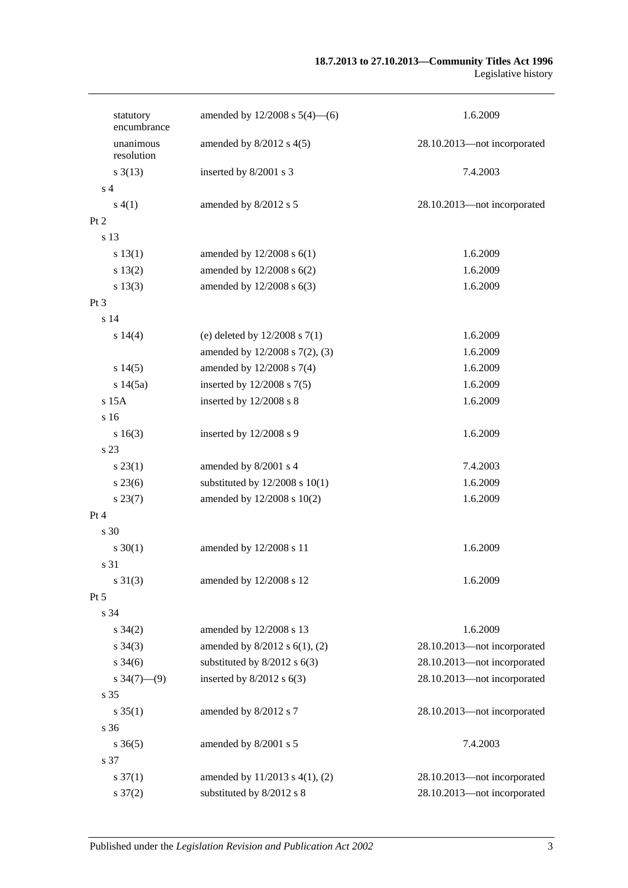| statutory<br>encumbrance  | amended by $12/2008$ s $5(4)$ —(6)  | 1.6.2009                    |
|---------------------------|-------------------------------------|-----------------------------|
| unanimous<br>resolution   | amended by $8/2012$ s $4(5)$        | 28.10.2013-not incorporated |
| $s \frac{3(13)}{2}$       | inserted by 8/2001 s 3              | 7.4.2003                    |
| s <sub>4</sub>            |                                     |                             |
| s(4(1))                   | amended by 8/2012 s 5               | 28.10.2013-not incorporated |
| Pt 2                      |                                     |                             |
| s 13                      |                                     |                             |
| s 13(1)                   | amended by $12/2008$ s $6(1)$       | 1.6.2009                    |
| s 13(2)                   | amended by 12/2008 s 6(2)           | 1.6.2009                    |
| s 13(3)                   | amended by 12/2008 s 6(3)           | 1.6.2009                    |
| Pt <sub>3</sub>           |                                     |                             |
| s <sub>14</sub>           |                                     |                             |
| s14(4)                    | (e) deleted by $12/2008$ s $7(1)$   | 1.6.2009                    |
|                           | amended by 12/2008 s 7(2), (3)      | 1.6.2009                    |
| s14(5)                    | amended by 12/2008 s 7(4)           | 1.6.2009                    |
| s 14(5a)                  | inserted by $12/2008$ s $7(5)$      | 1.6.2009                    |
| $s$ 15 $A$                | inserted by 12/2008 s 8             | 1.6.2009                    |
| s 16                      |                                     |                             |
| s 16(3)                   | inserted by $12/2008$ s 9           | 1.6.2009                    |
| s 23                      |                                     |                             |
| $s\,23(1)$                | amended by 8/2001 s 4               | 7.4.2003                    |
| $s\,23(6)$                | substituted by $12/2008$ s $10(1)$  | 1.6.2009                    |
| $s\,23(7)$                | amended by 12/2008 s 10(2)          | 1.6.2009                    |
| Pt 4                      |                                     |                             |
| s 30                      |                                     |                             |
| $s \ 30(1)$               | amended by 12/2008 s 11             | 1.6.2009                    |
| s 31                      |                                     |                             |
| $s \ 31(3)$               | amended by 12/2008 s 12             | 1.6.2009                    |
| Pt 5                      |                                     |                             |
| s 34                      |                                     |                             |
| $s \, 34(2)$              | amended by 12/2008 s 13             | 1.6.2009                    |
| $s \; 34(3)$              | amended by $8/2012$ s $6(1)$ , (2)  | 28.10.2013-not incorporated |
| $s \frac{34(6)}{2}$       | substituted by $8/2012$ s $6(3)$    | 28.10.2013-not incorporated |
| $s \frac{34(7) - (9)}{ }$ | inserted by $8/2012$ s $6(3)$       | 28.10.2013-not incorporated |
| s 35                      |                                     |                             |
| $s \, 35(1)$              | amended by 8/2012 s 7               | 28.10.2013-not incorporated |
| s 36                      |                                     |                             |
| $s \, 36(5)$              | amended by 8/2001 s 5               | 7.4.2003                    |
| s 37                      |                                     |                             |
| $s \frac{37(1)}{2}$       | amended by $11/2013$ s $4(1)$ , (2) | 28.10.2013-not incorporated |
| $s \frac{37(2)}{2}$       | substituted by 8/2012 s 8           | 28.10.2013-not incorporated |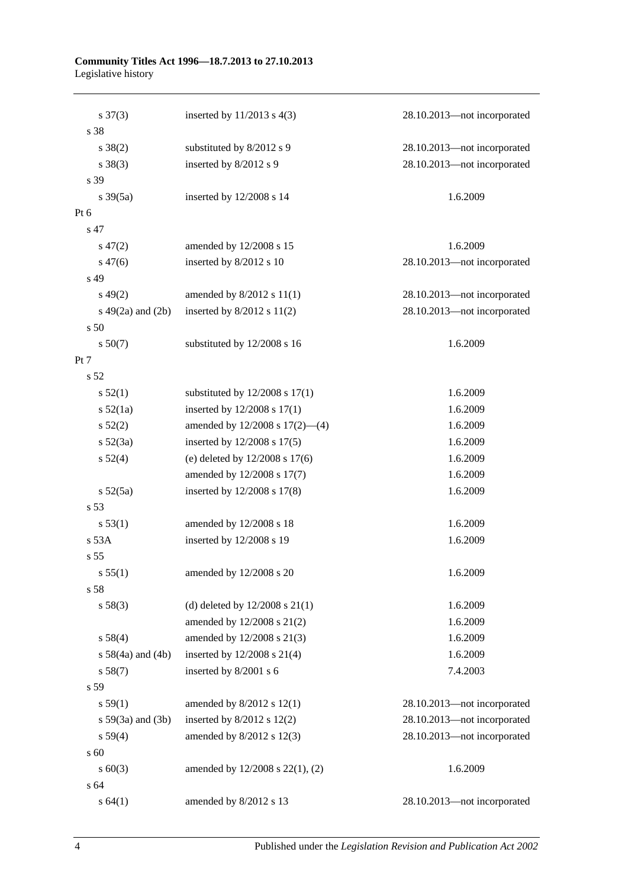#### **Community Titles Act 1996—18.7.2013 to 27.10.2013** Legislative history

| $s \frac{37(3)}{2}$    | inserted by $11/2013$ s $4(3)$       | 28.10.2013-not incorporated |
|------------------------|--------------------------------------|-----------------------------|
| s 38                   |                                      |                             |
| $s \ 38(2)$            | substituted by 8/2012 s 9            | 28.10.2013-not incorporated |
| $s \ 38(3)$            | inserted by 8/2012 s 9               | 28.10.2013-not incorporated |
| s 39                   |                                      |                             |
| $s \frac{39(5a)}{2}$   | inserted by 12/2008 s 14             | 1.6.2009                    |
| Pt 6                   |                                      |                             |
| s 47                   |                                      |                             |
| $s\,47(2)$             | amended by 12/2008 s 15              | 1.6.2009                    |
| $s\,47(6)$             | inserted by 8/2012 s 10              | 28.10.2013-not incorporated |
| s 49                   |                                      |                             |
| $s\,49(2)$             | amended by $8/2012$ s $11(1)$        | 28.10.2013-not incorporated |
| s $49(2a)$ and $(2b)$  | inserted by 8/2012 s 11(2)           | 28.10.2013-not incorporated |
| s 50                   |                                      |                             |
| s 50(7)                | substituted by 12/2008 s 16          | 1.6.2009                    |
| Pt 7                   |                                      |                             |
| s 52                   |                                      |                             |
| s 52(1)                | substituted by $12/2008$ s $17(1)$   | 1.6.2009                    |
| s 52(1a)               | inserted by $12/2008$ s $17(1)$      | 1.6.2009                    |
| s 52(2)                | amended by 12/2008 s 17(2)-(4)       | 1.6.2009                    |
| $s\ 52(3a)$            | inserted by 12/2008 s 17(5)          | 1.6.2009                    |
| s 52(4)                | (e) deleted by $12/2008$ s $17(6)$   | 1.6.2009                    |
|                        | amended by 12/2008 s 17(7)           | 1.6.2009                    |
| $s\ 52(5a)$            | inserted by 12/2008 s 17(8)          | 1.6.2009                    |
| s 53                   |                                      |                             |
| s 53(1)                | amended by 12/2008 s 18              | 1.6.2009                    |
| s 53A                  | inserted by 12/2008 s 19             | 1.6.2009                    |
| s 55                   |                                      |                             |
| s 55(1)                | amended by 12/2008 s 20              | 1.6.2009                    |
| s 58                   |                                      |                             |
| s 58(3)                | (d) deleted by $12/2008$ s $21(1)$   | 1.6.2009                    |
|                        | amended by 12/2008 s 21(2)           | 1.6.2009                    |
| s 58(4)                | amended by 12/2008 s 21(3)           | 1.6.2009                    |
| s $58(4a)$ and $(4b)$  | inserted by 12/2008 s 21(4)          | 1.6.2009                    |
| s 58(7)                | inserted by 8/2001 s 6               | 7.4.2003                    |
| s 59                   |                                      |                             |
| s 59(1)                | amended by $8/2012$ s $12(1)$        | 28.10.2013-not incorporated |
| $s\ 59(3a)$ and $(3b)$ | inserted by $8/2012$ s $12(2)$       | 28.10.2013-not incorporated |
| s 59(4)                | amended by 8/2012 s 12(3)            | 28.10.2013-not incorporated |
| s 60                   |                                      |                             |
| $s \ 60(3)$            | amended by $12/2008$ s $22(1)$ , (2) | 1.6.2009                    |
| s 64                   |                                      |                             |
| s 64(1)                | amended by 8/2012 s 13               | 28.10.2013-not incorporated |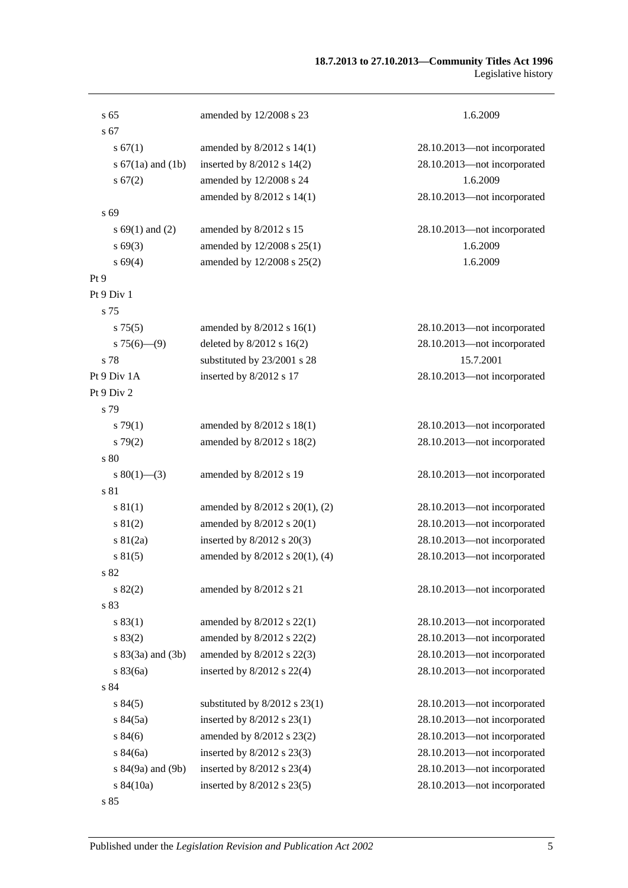#### **18.7.2013 to 27.10.2013—Community Titles Act 1996** Legislative history

| s <sub>65</sub>       | amended by 12/2008 s 23           | 1.6.2009                    |
|-----------------------|-----------------------------------|-----------------------------|
| s <sub>67</sub>       |                                   |                             |
| s 67(1)               | amended by $8/2012$ s $14(1)$     | 28.10.2013-not incorporated |
| s $67(1a)$ and $(1b)$ | inserted by $8/2012$ s $14(2)$    | 28.10.2013-not incorporated |
| s 67(2)               | amended by 12/2008 s 24           | 1.6.2009                    |
|                       | amended by 8/2012 s 14(1)         | 28.10.2013-not incorporated |
| s 69                  |                                   |                             |
| s $69(1)$ and $(2)$   | amended by 8/2012 s 15            | 28.10.2013-not incorporated |
| $s\,69(3)$            | amended by 12/2008 s 25(1)        | 1.6.2009                    |
| s 69(4)               | amended by 12/2008 s 25(2)        | 1.6.2009                    |
| Pt9                   |                                   |                             |
| Pt 9 Div 1            |                                   |                             |
| s 75                  |                                   |                             |
| s 75(5)               | amended by $8/2012$ s $16(1)$     | 28.10.2013-not incorporated |
| $s75(6)$ —(9)         | deleted by 8/2012 s 16(2)         | 28.10.2013-not incorporated |
| s 78                  | substituted by 23/2001 s 28       | 15.7.2001                   |
| Pt 9 Div 1A           | inserted by 8/2012 s 17           | 28.10.2013-not incorporated |
| Pt 9 Div 2            |                                   |                             |
| s 79                  |                                   |                             |
| s79(1)                | amended by 8/2012 s 18(1)         | 28.10.2013-not incorporated |
| s79(2)                | amended by 8/2012 s 18(2)         | 28.10.2013-not incorporated |
| s 80                  |                                   |                             |
| s $80(1)$ —(3)        | amended by 8/2012 s 19            | 28.10.2013-not incorporated |
| s 81                  |                                   |                             |
| s 81(1)               | amended by 8/2012 s 20(1), (2)    | 28.10.2013-not incorporated |
| s 81(2)               | amended by 8/2012 s 20(1)         | 28.10.2013-not incorporated |
| $s \ 81(2a)$          | inserted by $8/2012$ s $20(3)$    | 28.10.2013-not incorporated |
| s 81(5)               | amended by 8/2012 s 20(1), (4)    | 28.10.2013-not incorporated |
| s 82                  |                                   |                             |
| s 82(2)               | amended by 8/2012 s 21            | 28.10.2013-not incorporated |
| s 83                  |                                   |                             |
| s 83(1)               | amended by 8/2012 s 22(1)         | 28.10.2013-not incorporated |
| s 83(2)               | amended by 8/2012 s 22(2)         | 28.10.2013-not incorporated |
| $s 83(3a)$ and $(3b)$ | amended by 8/2012 s 22(3)         | 28.10.2013-not incorporated |
| s 83(6a)              | inserted by $8/2012$ s $22(4)$    | 28.10.2013-not incorporated |
| s 84                  |                                   |                             |
| s 84(5)               | substituted by $8/2012$ s $23(1)$ | 28.10.2013-not incorporated |
| s 84(5a)              | inserted by 8/2012 s 23(1)        | 28.10.2013-not incorporated |
| s 84(6)               | amended by 8/2012 s 23(2)         | 28.10.2013-not incorporated |
| s 84(6a)              | inserted by $8/2012$ s $23(3)$    | 28.10.2013-not incorporated |
| s 84(9a) and (9b)     | inserted by $8/2012$ s $23(4)$    | 28.10.2013-not incorporated |
| s 84(10a)             | inserted by 8/2012 s 23(5)        | 28.10.2013-not incorporated |
| s 85                  |                                   |                             |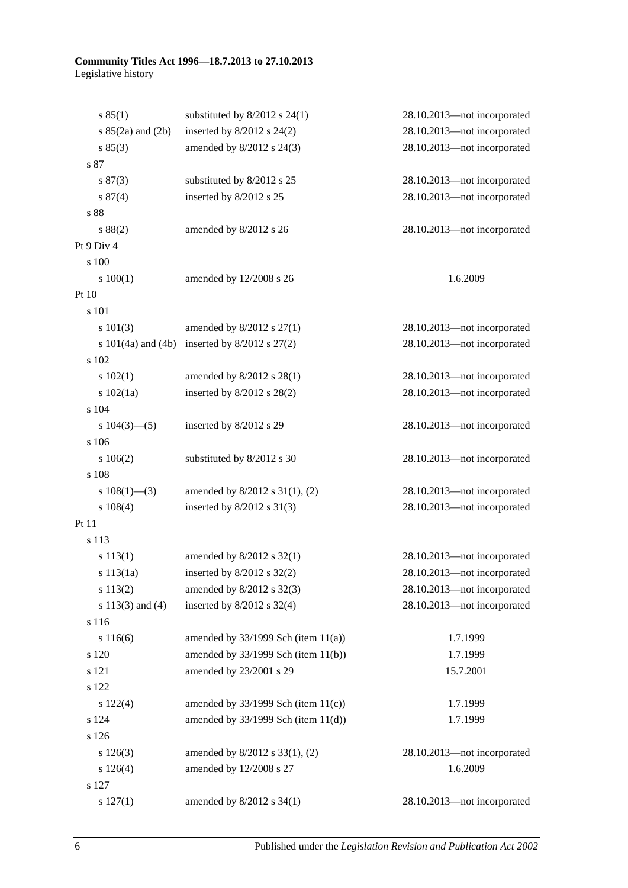#### **Community Titles Act 1996—18.7.2013 to 27.10.2013** Legislative history

| s 85(1)                | substituted by $8/2012$ s 24(1)          | 28.10.2013-not incorporated |
|------------------------|------------------------------------------|-----------------------------|
| s $85(2a)$ and $(2b)$  | inserted by $8/2012$ s $24(2)$           | 28.10.2013-not incorporated |
| s 85(3)                | amended by 8/2012 s 24(3)                | 28.10.2013-not incorporated |
| s 87                   |                                          |                             |
| s 87(3)                | substituted by 8/2012 s 25               | 28.10.2013-not incorporated |
| s 87(4)                | inserted by 8/2012 s 25                  | 28.10.2013-not incorporated |
| s 88                   |                                          |                             |
| s 88(2)                | amended by 8/2012 s 26                   | 28.10.2013-not incorporated |
| Pt 9 Div 4             |                                          |                             |
| s 100                  |                                          |                             |
| 100(1)                 | amended by 12/2008 s 26                  | 1.6.2009                    |
| Pt 10                  |                                          |                             |
| s 101                  |                                          |                             |
| s 101(3)               | amended by $8/2012$ s $27(1)$            | 28.10.2013-not incorporated |
| s $101(4a)$ and $(4b)$ | inserted by $8/2012$ s $27(2)$           | 28.10.2013-not incorporated |
| s 102                  |                                          |                             |
| 102(1)                 | amended by 8/2012 s 28(1)                | 28.10.2013-not incorporated |
| s 102(1a)              | inserted by $8/2012$ s $28(2)$           | 28.10.2013-not incorporated |
| s 104                  |                                          |                             |
| s $104(3)$ —(5)        | inserted by 8/2012 s 29                  | 28.10.2013-not incorporated |
| s 106                  |                                          |                             |
| 106(2)                 | substituted by 8/2012 s 30               | 28.10.2013-not incorporated |
| s 108                  |                                          |                             |
| s $108(1)$ —(3)        | amended by 8/2012 s 31(1), (2)           | 28.10.2013-not incorporated |
| $s\ 108(4)$            | inserted by $8/2012$ s $31(3)$           | 28.10.2013-not incorporated |
| Pt 11                  |                                          |                             |
| s 113                  |                                          |                             |
| s 113(1)               | amended by $8/2012$ s $32(1)$            | 28.10.2013-not incorporated |
| s $113(1a)$            | inserted by $8/2012$ s $32(2)$           | 28.10.2013—not incorporated |
| s 113(2)               | amended by 8/2012 s 32(3)                | 28.10.2013-not incorporated |
| s $113(3)$ and $(4)$   | inserted by $8/2012$ s 32(4)             | 28.10.2013-not incorporated |
| s 116                  |                                          |                             |
| s 116(6)               | amended by $33/1999$ Sch (item $11(a)$ ) | 1.7.1999                    |
| s 120                  | amended by 33/1999 Sch (item 11(b))      | 1.7.1999                    |
| s 121                  | amended by 23/2001 s 29                  | 15.7.2001                   |
| s 122                  |                                          |                             |
| $s\ 122(4)$            | amended by $33/1999$ Sch (item $11(c)$ ) | 1.7.1999                    |
| s 124                  | amended by $33/1999$ Sch (item $11(d)$ ) | 1.7.1999                    |
| s 126                  |                                          |                             |
| s 126(3)               | amended by 8/2012 s 33(1), (2)           | 28.10.2013-not incorporated |
| s 126(4)               | amended by 12/2008 s 27                  | 1.6.2009                    |
| s 127                  |                                          |                             |
| s 127(1)               | amended by 8/2012 s 34(1)                | 28.10.2013-not incorporated |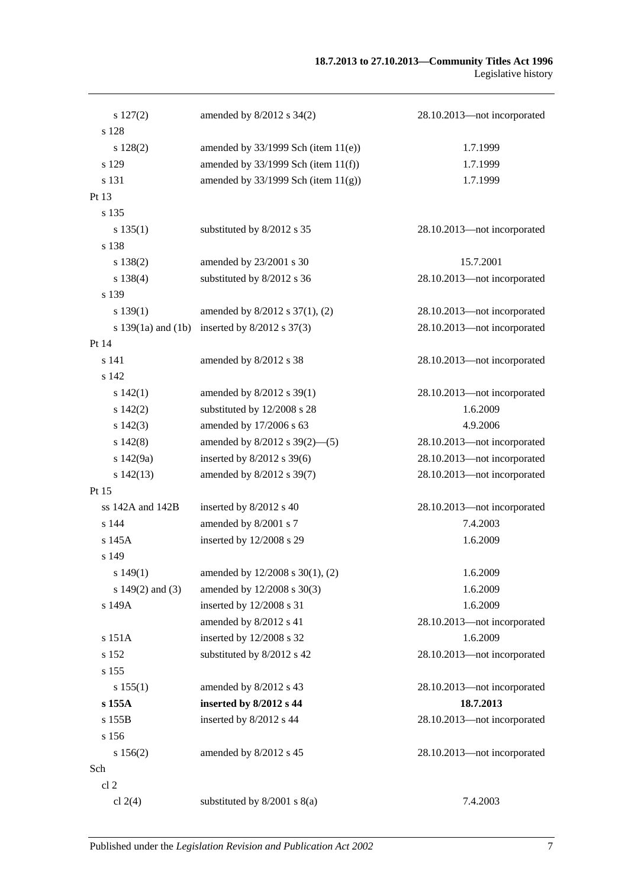| s 127(2)               | amended by 8/2012 s 34(2)                | 28.10.2013-not incorporated |
|------------------------|------------------------------------------|-----------------------------|
| s 128                  |                                          |                             |
| s 128(2)               | amended by $33/1999$ Sch (item $11(e)$ ) | 1.7.1999                    |
| s 129                  | amended by $33/1999$ Sch (item $11(f)$ ) | 1.7.1999                    |
| s 131                  | amended by $33/1999$ Sch (item $11(g)$ ) | 1.7.1999                    |
| Pt 13                  |                                          |                             |
| s 135                  |                                          |                             |
| s 135(1)               | substituted by 8/2012 s 35               | 28.10.2013-not incorporated |
| s 138                  |                                          |                             |
| $s\,138(2)$            | amended by 23/2001 s 30                  | 15.7.2001                   |
| s 138(4)               | substituted by 8/2012 s 36               | 28.10.2013-not incorporated |
| s 139                  |                                          |                             |
| s 139(1)               | amended by 8/2012 s 37(1), (2)           | 28.10.2013-not incorporated |
| s $139(1a)$ and $(1b)$ | inserted by $8/2012$ s 37(3)             | 28.10.2013-not incorporated |
| Pt 14                  |                                          |                             |
| s 141                  | amended by 8/2012 s 38                   | 28.10.2013-not incorporated |
| s 142                  |                                          |                             |
| s142(1)                | amended by 8/2012 s 39(1)                | 28.10.2013-not incorporated |
| $s\ 142(2)$            | substituted by 12/2008 s 28              | 1.6.2009                    |
| $s\ 142(3)$            | amended by 17/2006 s 63                  | 4.9.2006                    |
| $s\ 142(8)$            | amended by $8/2012$ s $39(2)$ —(5)       | 28.10.2013-not incorporated |
| s 142(9a)              | inserted by 8/2012 s 39(6)               | 28.10.2013-not incorporated |
| $s\ 142(13)$           | amended by 8/2012 s 39(7)                | 28.10.2013-not incorporated |
| Pt 15                  |                                          |                             |
| ss $142A$ and $142B$   | inserted by 8/2012 s 40                  | 28.10.2013-not incorporated |
| s 144                  | amended by 8/2001 s 7                    | 7.4.2003                    |
| s 145A                 | inserted by 12/2008 s 29                 | 1.6.2009                    |
| s 149                  |                                          |                             |
| s $149(1)$             | amended by 12/2008 s 30(1), (2)          | 1.6.2009                    |
| s $149(2)$ and $(3)$   | amended by 12/2008 s 30(3)               | 1.6.2009                    |
| s 149A                 | inserted by 12/2008 s 31                 | 1.6.2009                    |
|                        | amended by 8/2012 s 41                   | 28.10.2013-not incorporated |
| s 151A                 | inserted by 12/2008 s 32                 | 1.6.2009                    |
| s 152                  | substituted by 8/2012 s 42               | 28.10.2013-not incorporated |
| s 155                  |                                          |                             |
| s 155(1)               | amended by 8/2012 s 43                   | 28.10.2013-not incorporated |
| s 155A                 | inserted by 8/2012 s 44                  | 18.7.2013                   |
| s 155B                 | inserted by 8/2012 s 44                  | 28.10.2013-not incorporated |
| s 156                  |                                          |                             |
| s 156(2)               | amended by 8/2012 s 45                   | 28.10.2013-not incorporated |
| Sch                    |                                          |                             |
| cl 2                   |                                          |                             |
| cl $2(4)$              | substituted by $8/2001$ s $8(a)$         | 7.4.2003                    |
|                        |                                          |                             |